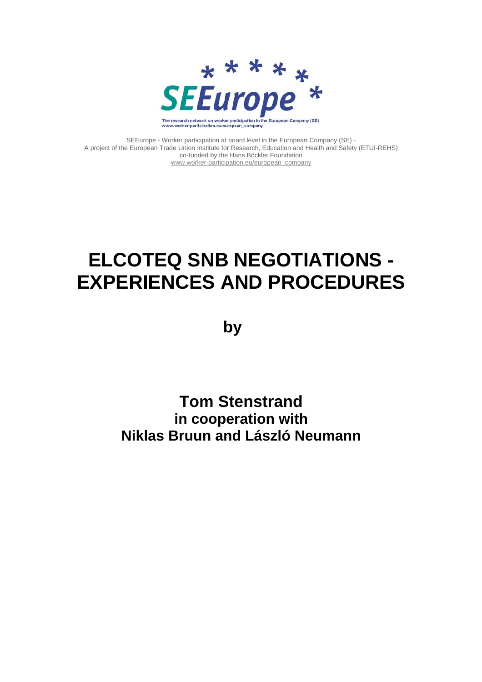

SEEurope - Worker participation at board level in the European Company (SE) - A project of the European Trade Union Institute for Research, Education and Health and Safety (ETUI-REHS) co-funded by the Hans Böckler Foundation [www.worker-participation.eu/european\\_company](http://www.worker-participation.eu/european_company)

# **ELCOTEQ SNB NEGOTIATIONS - EXPERIENCES AND PROCEDURES**

 **by** 

**Tom Stenstrand in cooperation with Niklas Bruun and László Neumann**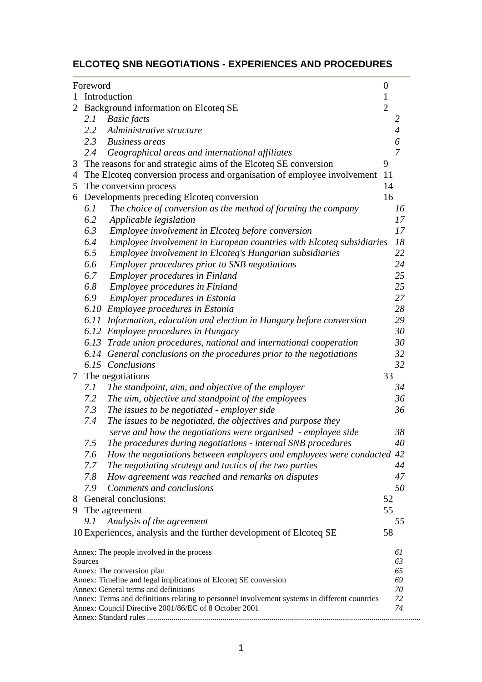# **ELCOTEQ SNB NEGOTIATIONS - EXPERIENCES AND PROCEDURES**

| $\boldsymbol{0}$<br>Foreword                    |                                                                                                                                                   |                                                                                                   |                |  |
|-------------------------------------------------|---------------------------------------------------------------------------------------------------------------------------------------------------|---------------------------------------------------------------------------------------------------|----------------|--|
| Introduction<br>1                               |                                                                                                                                                   |                                                                                                   | $\mathbf{1}$   |  |
|                                                 |                                                                                                                                                   | 2 Background information on Elcoteq SE                                                            | $\overline{2}$ |  |
|                                                 | 2.1                                                                                                                                               | <b>Basic</b> facts                                                                                | 2              |  |
|                                                 | 2.2                                                                                                                                               | Administrative structure                                                                          | $\overline{4}$ |  |
|                                                 | 2.3                                                                                                                                               | <b>Business areas</b>                                                                             | 6              |  |
|                                                 | 2.4                                                                                                                                               | Geographical areas and international affiliates                                                   | $\overline{7}$ |  |
| 3                                               |                                                                                                                                                   | The reasons for and strategic aims of the Elcoteq SE conversion                                   | 9              |  |
| 4                                               |                                                                                                                                                   | The Elcoteq conversion process and organisation of employee involvement                           | 11             |  |
|                                                 |                                                                                                                                                   | 5 The conversion process                                                                          | 14             |  |
| 6                                               |                                                                                                                                                   | Developments preceding Elcoteq conversion                                                         | 16             |  |
|                                                 | 6.1                                                                                                                                               | The choice of conversion as the method of forming the company                                     | 16             |  |
|                                                 | 6.2                                                                                                                                               | Applicable legislation                                                                            | 17             |  |
|                                                 | 6.3                                                                                                                                               | Employee involvement in Elcoteq before conversion                                                 | 17             |  |
|                                                 | 6.4                                                                                                                                               | Employee involvement in European countries with Elcoteq subsidiaries                              | 18             |  |
|                                                 | 6.5                                                                                                                                               | Employee involvement in Elcoteq's Hungarian subsidiaries                                          | 22             |  |
|                                                 | 6.6                                                                                                                                               | Employer procedures prior to SNB negotiations                                                     | 24             |  |
|                                                 | 6.7                                                                                                                                               | <b>Employer procedures in Finland</b>                                                             | 25             |  |
|                                                 | 6.8                                                                                                                                               | Employee procedures in Finland                                                                    | 25             |  |
|                                                 | 6.9                                                                                                                                               | Employer procedures in Estonia                                                                    | 27             |  |
|                                                 | 6.10                                                                                                                                              | Employee procedures in Estonia                                                                    | 28             |  |
|                                                 | 6.11                                                                                                                                              | Information, education and election in Hungary before conversion                                  | 29             |  |
|                                                 |                                                                                                                                                   | 6.12 Employee procedures in Hungary                                                               | 30             |  |
|                                                 |                                                                                                                                                   | 6.13 Trade union procedures, national and international cooperation                               | 30             |  |
|                                                 |                                                                                                                                                   | 6.14 General conclusions on the procedures prior to the negotiations                              | 32             |  |
|                                                 |                                                                                                                                                   | 6.15 Conclusions                                                                                  | 32             |  |
|                                                 |                                                                                                                                                   | 7 The negotiations                                                                                | 33             |  |
|                                                 | 7.1                                                                                                                                               |                                                                                                   | 34             |  |
|                                                 | 7.2                                                                                                                                               | The standpoint, aim, and objective of the employer                                                | 36             |  |
|                                                 | 7.3                                                                                                                                               | The aim, objective and standpoint of the employees<br>The issues to be negotiated - employer side | 36             |  |
|                                                 | 7.4                                                                                                                                               | The issues to be negotiated, the objectives and purpose they                                      |                |  |
|                                                 |                                                                                                                                                   |                                                                                                   | 38             |  |
|                                                 |                                                                                                                                                   | serve and how the negotiations were organised - employee side                                     |                |  |
|                                                 | 7.5                                                                                                                                               | The procedures during negotiations - internal SNB procedures                                      | 40             |  |
|                                                 | 7.6                                                                                                                                               | How the negotiations between employers and employees were conducted 42                            | 44             |  |
|                                                 | 7.7                                                                                                                                               | The negotiating strategy and tactics of the two parties                                           | 47             |  |
|                                                 | 7.8<br>7.9                                                                                                                                        | How agreement was reached and remarks on disputes<br>Comments and conclusions                     |                |  |
|                                                 |                                                                                                                                                   |                                                                                                   | 50             |  |
| 8                                               |                                                                                                                                                   | General conclusions:                                                                              | 52             |  |
| 9                                               |                                                                                                                                                   | The agreement                                                                                     | 55             |  |
|                                                 | 9.1                                                                                                                                               | Analysis of the agreement                                                                         | 55             |  |
|                                                 |                                                                                                                                                   | 10 Experiences, analysis and the further development of Elcoteq SE                                | 58             |  |
| Annex: The people involved in the process<br>61 |                                                                                                                                                   |                                                                                                   |                |  |
|                                                 | Sources<br>63                                                                                                                                     |                                                                                                   |                |  |
|                                                 | Annex: The conversion plan<br>65                                                                                                                  |                                                                                                   |                |  |
|                                                 | Annex: Timeline and legal implications of Elcoteq SE conversion<br>69                                                                             |                                                                                                   |                |  |
|                                                 | Annex: General terms and definitions<br>70<br>Annex: Terms and definitions relating to personnel involvement systems in different countries<br>72 |                                                                                                   |                |  |
|                                                 | Annex: Council Directive 2001/86/EC of 8 October 2001<br>74                                                                                       |                                                                                                   |                |  |
|                                                 |                                                                                                                                                   |                                                                                                   |                |  |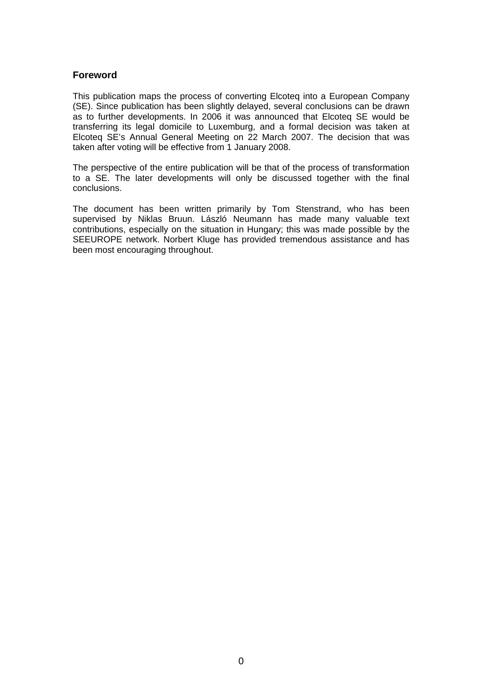## **Foreword**

This publication maps the process of converting Elcoteq into a European Company (SE). Since publication has been slightly delayed, several conclusions can be drawn as to further developments. In 2006 it was announced that Elcoteq SE would be transferring its legal domicile to Luxemburg, and a formal decision was taken at Elcoteq SE's Annual General Meeting on 22 March 2007. The decision that was taken after voting will be effective from 1 January 2008.

The perspective of the entire publication will be that of the process of transformation to a SE. The later developments will only be discussed together with the final conclusions.

The document has been written primarily by Tom Stenstrand, who has been supervised by Niklas Bruun. László Neumann has made many valuable text contributions, especially on the situation in Hungary; this was made possible by the SEEUROPE network. Norbert Kluge has provided tremendous assistance and has been most encouraging throughout.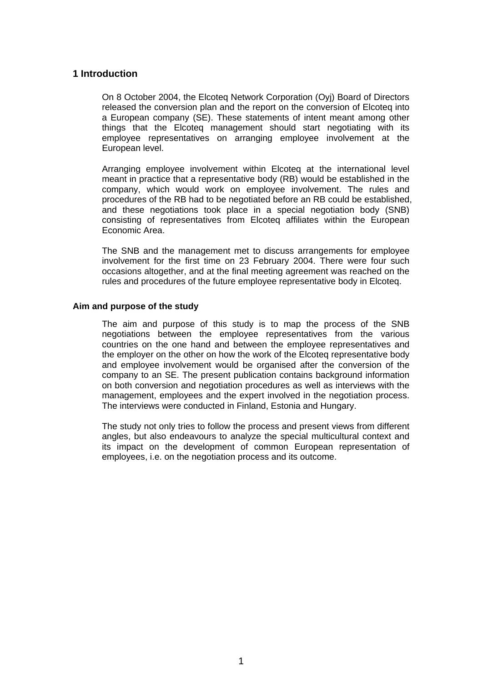## **1 Introduction**

On 8 October 2004, the Elcoteq Network Corporation (Oyj) Board of Directors released the conversion plan and the report on the conversion of Elcoteq into a European company (SE). These statements of intent meant among other things that the Elcoteq management should start negotiating with its employee representatives on arranging employee involvement at the European level.

Arranging employee involvement within Elcoteq at the international level meant in practice that a representative body (RB) would be established in the company, which would work on employee involvement. The rules and procedures of the RB had to be negotiated before an RB could be established, and these negotiations took place in a special negotiation body (SNB) consisting of representatives from Elcoteq affiliates within the European Economic Area.

The SNB and the management met to discuss arrangements for employee involvement for the first time on 23 February 2004. There were four such occasions altogether, and at the final meeting agreement was reached on the rules and procedures of the future employee representative body in Elcoteq.

## **Aim and purpose of the study**

The aim and purpose of this study is to map the process of the SNB negotiations between the employee representatives from the various countries on the one hand and between the employee representatives and the employer on the other on how the work of the Elcoteq representative body and employee involvement would be organised after the conversion of the company to an SE. The present publication contains background information on both conversion and negotiation procedures as well as interviews with the management, employees and the expert involved in the negotiation process. The interviews were conducted in Finland, Estonia and Hungary.

The study not only tries to follow the process and present views from different angles, but also endeavours to analyze the special multicultural context and its impact on the development of common European representation of employees, i.e. on the negotiation process and its outcome.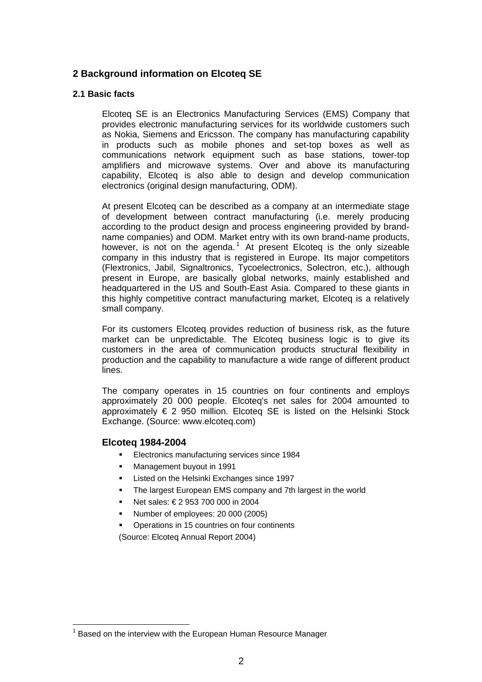# **2 Background information on Elcoteq SE**

## **2.1 Basic facts**

Elcoteq SE is an Electronics Manufacturing Services (EMS) Company that provides electronic manufacturing services for its worldwide customers such as Nokia, Siemens and Ericsson. The company has manufacturing capability in products such as mobile phones and set-top boxes as well as communications network equipment such as base stations, tower-top amplifiers and microwave systems. Over and above its manufacturing capability, Elcoteq is also able to design and develop communication electronics (original design manufacturing, ODM).

At present Elcoteq can be described as a company at an intermediate stage of development between contract manufacturing (i.e. merely producing according to the product design and process engineering provided by brandname companies) and ODM. Market entry with its own brand-name products, however, is not on the agenda.<sup>[1](#page-4-0)</sup> At present Elcoteg is the only sizeable company in this industry that is registered in Europe. Its major competitors (Flextronics, Jabil, Signaltronics, Tycoelectronics, Solectron, etc.), although present in Europe, are basically global networks, mainly established and headquartered in the US and South-East Asia. Compared to these giants in this highly competitive contract manufacturing market, Elcoteq is a relatively small company.

For its customers Elcoteq provides reduction of business risk, as the future market can be unpredictable. The Elcoteq business logic is to give its customers in the area of communication products structural flexibility in production and the capability to manufacture a wide range of different product lines.

The company operates in 15 countries on four continents and employs approximately 20 000 people. Elcoteq's net sales for 2004 amounted to approximately  $\epsilon$  2 950 million. Elcoteq SE is listed on the Helsinki Stock Exchange. (Source: www.elcoteq.com)

## **Elcoteq 1984-2004**

- Electronics manufacturing services since 1984
- Management buyout in 1991
- **Listed on the Helsinki Exchanges since 1997**
- The largest European EMS company and 7th largest in the world
- Net sales:  $€ 2 953 700 000$  in 2004
- Number of employees: 20 000 (2005)
- Operations in 15 countries on four continents

(Source: Elcoteq Annual Report 2004)

<span id="page-4-0"></span> $\overline{a}$ <sup>1</sup> Based on the interview with the European Human Resource Manager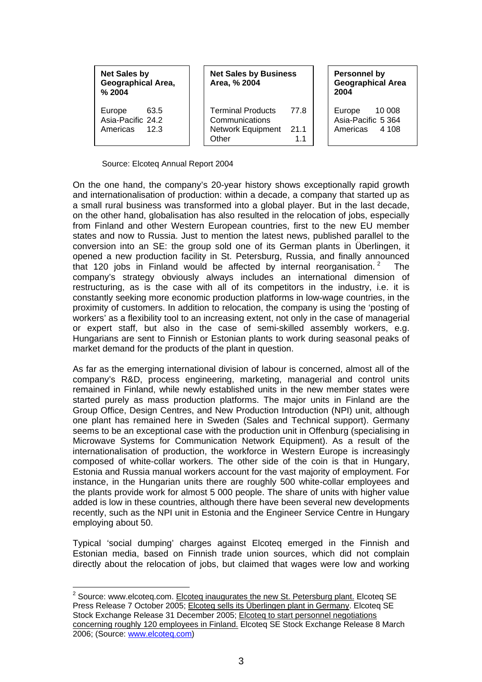| <b>Net Sales by</b><br><b>Geographical Area,</b><br>% 2004 | <b>Net Sales by Business</b><br>Area, % 2004                                                    | <b>Personnel by</b><br><b>Geographical Area</b><br>2004  |
|------------------------------------------------------------|-------------------------------------------------------------------------------------------------|----------------------------------------------------------|
| 63.5<br>Europe<br>Asia-Pacific 24.2<br>Americas<br>$-12.3$ | <b>Terminal Products</b><br>77.8<br>Communications<br>Network Equipment<br>21.1<br>1.1<br>Other | 10 008<br>Europe<br>Asia-Pacific 5 364<br>Americas 4 108 |

Source: Elcoteq Annual Report 2004

On the one hand, the company's 20-year history shows exceptionally rapid growth and internationalisation of production: within a decade, a company that started up as a small rural business was transformed into a global player. But in the last decade, on the other hand, globalisation has also resulted in the relocation of jobs, especially from Finland and other Western European countries, first to the new EU member states and now to Russia. Just to mention the latest news, published parallel to the conversion into an SE: the group sold one of its German plants in Überlingen, it opened a new production facility in St. Petersburg, Russia, and finally announced that 1[2](#page-5-0)0 jobs in Finland would be affected by internal reorganisation.<sup>2</sup> The company's strategy obviously always includes an international dimension of restructuring, as is the case with all of its competitors in the industry, i.e. it is constantly seeking more economic production platforms in low-wage countries, in the proximity of customers. In addition to relocation, the company is using the 'posting of workers' as a flexibility tool to an increasing extent, not only in the case of managerial or expert staff, but also in the case of semi-skilled assembly workers, e.g. Hungarians are sent to Finnish or Estonian plants to work during seasonal peaks of market demand for the products of the plant in question.

As far as the emerging international division of labour is concerned, almost all of the company's R&D, process engineering, marketing, managerial and control units remained in Finland, while newly established units in the new member states were started purely as mass production platforms. The major units in Finland are the Group Office, Design Centres, and New Production Introduction (NPI) unit, although one plant has remained here in Sweden (Sales and Technical support). Germany seems to be an exceptional case with the production unit in Offenburg (specialising in Microwave Systems for Communication Network Equipment). As a result of the internationalisation of production, the workforce in Western Europe is increasingly composed of white-collar workers. The other side of the coin is that in Hungary, Estonia and Russia manual workers account for the vast majority of employment. For instance, in the Hungarian units there are roughly 500 white-collar employees and the plants provide work for almost 5 000 people. The share of units with higher value added is low in these countries, although there have been several new developments recently, such as the NPI unit in Estonia and the Engineer Service Centre in Hungary employing about 50.

Typical 'social dumping' charges against Elcoteq emerged in the Finnish and Estonian media, based on Finnish trade union sources, which did not complain directly about the relocation of jobs, but claimed that wages were low and working

<span id="page-5-0"></span><sup>&</sup>lt;u>2</u><br>2 Source: www.elcoteq.com. Elcoteq inaugurates the new St. Petersburg plant. Elcoteq SE Press Release 7 October 2005; Elcoteq sells its Überlingen plant in Germany. Elcoteq SE Stock Exchange Release 31 December 2005; Elcoteq to start personnel negotiations concerning roughly 120 employees in Finland. Elcoteq SE Stock Exchange Release 8 March 2006; (Source: [www.elcoteq.com\)](http://www.elcoteq.com/)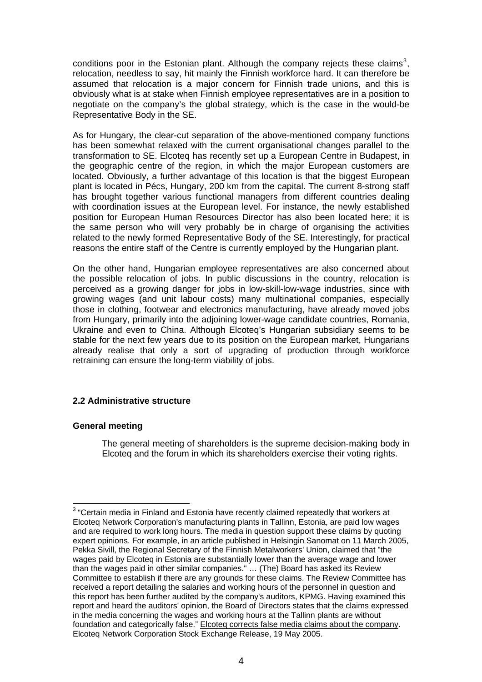conditions poor in the Estonian plant. Although the company rejects these claims<sup>[3](#page-6-0)</sup>, relocation, needless to say, hit mainly the Finnish workforce hard. It can therefore be assumed that relocation is a major concern for Finnish trade unions, and this is obviously what is at stake when Finnish employee representatives are in a position to negotiate on the company's the global strategy, which is the case in the would-be Representative Body in the SE.

As for Hungary, the clear-cut separation of the above-mentioned company functions has been somewhat relaxed with the current organisational changes parallel to the transformation to SE. Elcoteq has recently set up a European Centre in Budapest, in the geographic centre of the region, in which the major European customers are located. Obviously, a further advantage of this location is that the biggest European plant is located in Pécs, Hungary, 200 km from the capital. The current 8-strong staff has brought together various functional managers from different countries dealing with coordination issues at the European level. For instance, the newly established position for European Human Resources Director has also been located here; it is the same person who will very probably be in charge of organising the activities related to the newly formed Representative Body of the SE. Interestingly, for practical reasons the entire staff of the Centre is currently employed by the Hungarian plant.

On the other hand, Hungarian employee representatives are also concerned about the possible relocation of jobs. In public discussions in the country, relocation is perceived as a growing danger for jobs in low-skill-low-wage industries, since with growing wages (and unit labour costs) many multinational companies, especially those in clothing, footwear and electronics manufacturing, have already moved jobs from Hungary, primarily into the adjoining lower-wage candidate countries, Romania, Ukraine and even to China. Although Elcoteq's Hungarian subsidiary seems to be stable for the next few years due to its position on the European market, Hungarians already realise that only a sort of upgrading of production through workforce retraining can ensure the long-term viability of jobs.

## **2.2 Administrative structure**

## **General meeting**

The general meeting of shareholders is the supreme decision-making body in Elcoteq and the forum in which its shareholders exercise their voting rights.

<span id="page-6-0"></span> 3 "Certain media in Finland and Estonia have recently claimed repeatedly that workers at Elcoteq Network Corporation's manufacturing plants in Tallinn, Estonia, are paid low wages and are required to work long hours. The media in question support these claims by quoting expert opinions. For example, in an article published in Helsingin Sanomat on 11 March 2005, Pekka Sivill, the Regional Secretary of the Finnish Metalworkers' Union, claimed that "the wages paid by Elcoteq in Estonia are substantially lower than the average wage and lower than the wages paid in other similar companies." … (The) Board has asked its Review Committee to establish if there are any grounds for these claims. The Review Committee has received a report detailing the salaries and working hours of the personnel in question and this report has been further audited by the company's auditors, KPMG. Having examined this report and heard the auditors' opinion, the Board of Directors states that the claims expressed in the media concerning the wages and working hours at the Tallinn plants are without foundation and categorically false." Elcoteq corrects false media claims about the company. Elcoteq Network Corporation Stock Exchange Release, 19 May 2005.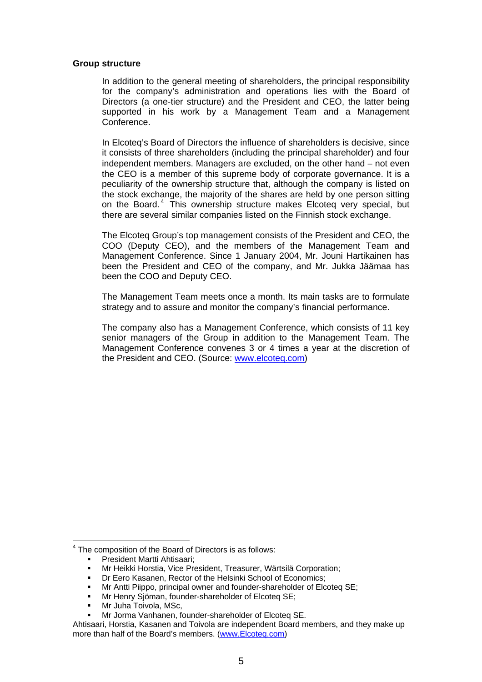#### **Group structure**

In addition to the general meeting of shareholders, the principal responsibility for the company's administration and operations lies with the Board of Directors (a one-tier structure) and the President and CEO, the latter being supported in his work by a Management Team and a Management Conference.

In Elcoteq's Board of Directors the influence of shareholders is decisive, since it consists of three shareholders (including the principal shareholder) and four independent members. Managers are excluded, on the other hand − not even the CEO is a member of this supreme body of corporate governance. It is a peculiarity of the ownership structure that, although the company is listed on the stock exchange, the majority of the shares are held by one person sitting on the Board. [4](#page-7-0) This ownership structure makes Elcoteq very special, but there are several similar companies listed on the Finnish stock exchange.

The Elcoteq Group's top management consists of the President and CEO, the COO (Deputy CEO), and the members of the Management Team and Management Conference. Since 1 January 2004, Mr. Jouni Hartikainen has been the President and CEO of the company, and Mr. Jukka Jäämaa has been the COO and Deputy CEO.

The Management Team meets once a month. Its main tasks are to formulate strategy and to assure and monitor the company's financial performance.

The company also has a Management Conference, which consists of 11 key senior managers of the Group in addition to the Management Team. The Management Conference convenes 3 or 4 times a year at the discretion of the President and CEO. (Source: [www.elcoteq.com\)](http://www.elcoteq.com/)

- **President Martti Ahtisaari;**
- Mr Heikki Horstia, Vice President, Treasurer, Wärtsilä Corporation;
- Dr Eero Kasanen, Rector of the Helsinki School of Economics;
- Mr Antti Piippo, principal owner and founder-shareholder of Elcoteq SE;
- Mr Henry Sjöman, founder-shareholder of Elcoteq SE;
- Mr Juha Toivola, MSc,
- Mr Jorma Vanhanen, founder-shareholder of Elcoteq SE.

<span id="page-7-0"></span> 4 The composition of the Board of Directors is as follows:

Ahtisaari, Horstia, Kasanen and Toivola are independent Board members, and they make up more than half of the Board's members. ([www.Elcoteq.com](http://www.elcoteq.com/))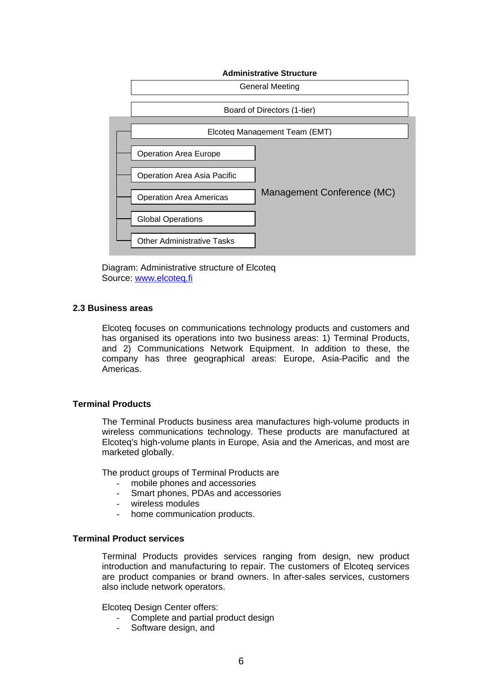

Diagram: Administrative structure of Elcoteq Source: [www.elcoteq.fi](http://www.elcoteq.fi/) 

## **2.3 Business areas**

Elcoteq focuses on communications technology products and customers and has organised its operations into two business areas: 1) Terminal Products, and 2) Communications Network Equipment. In addition to these, the company has three geographical areas: Europe, Asia-Pacific and the Americas.

## **Terminal Products**

The Terminal Products business area manufactures high-volume products in wireless communications technology. These products are manufactured at Elcoteq's high-volume plants in Europe, Asia and the Americas, and most are marketed globally.

The product groups of Terminal Products are

- mobile phones and accessories
- Smart phones, PDAs and accessories
- wireless modules
- home communication products.

## **Terminal Product services**

Terminal Products provides services ranging from design, new product introduction and manufacturing to repair. The customers of Elcoteq services are product companies or brand owners. In after-sales services, customers also include network operators.

Elcoteq Design Center offers:

- Complete and partial product design
- Software design, and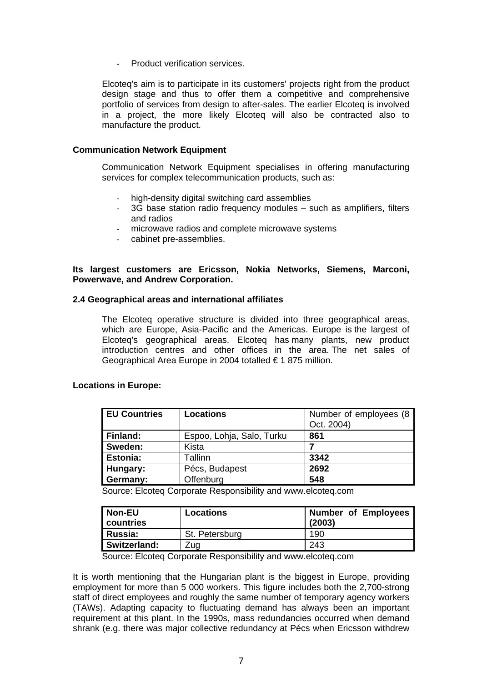Product verification services.

Elcoteq's aim is to participate in its customers' projects right from the product design stage and thus to offer them a competitive and comprehensive portfolio of services from design to after-sales. The earlier Elcoteq is involved in a project, the more likely Elcoteq will also be contracted also to manufacture the product.

## **Communication Network Equipment**

Communication Network Equipment specialises in offering manufacturing services for complex telecommunication products, such as:

- high-density digital switching card assemblies
- 3G base station radio frequency modules such as amplifiers, filters and radios
- microwave radios and complete microwave systems
- cabinet pre-assemblies.

## **Its largest customers are Ericsson, Nokia Networks, Siemens, Marconi, Powerwave, and Andrew Corporation.**

## **2.4 Geographical areas and international affiliates**

The Elcoteq operative structure is divided into three geographical areas, which are Europe, Asia-Pacific and the Americas. Europe is the largest of Elcoteq's geographical areas. Elcoteq has many plants, new product introduction centres and other offices in the area. The net sales of Geographical Area Europe in 2004 totalled € 1 875 million.

## **Locations in Europe:**

| <b>EU Countries</b> | <b>Locations</b>          | Number of employees (8)<br>Oct. 2004) |
|---------------------|---------------------------|---------------------------------------|
| Finland:            | Espoo, Lohja, Salo, Turku | 861                                   |
| Sweden:             | Kista                     |                                       |
| Estonia:            | Tallinn                   | 3342                                  |
| Hungary:            | Pécs, Budapest            | 2692                                  |
| Germany:            | Offenburg                 | 548                                   |

Source: Elcoteq Corporate Responsibility and www.elcoteq.com

| l Non-EU<br>countries | Locations      | <b>Number of Employees</b><br>(2003) |
|-----------------------|----------------|--------------------------------------|
| <b>Russia:</b>        | St. Petersburg | 190                                  |
| Switzerland:          | ∠ua            | 243                                  |

Source: Elcoteq Corporate Responsibility and www.elcoteq.com

It is worth mentioning that the Hungarian plant is the biggest in Europe, providing employment for more than 5 000 workers. This figure includes both the 2,700-strong staff of direct employees and roughly the same number of temporary agency workers (TAWs). Adapting capacity to fluctuating demand has always been an important requirement at this plant. In the 1990s, mass redundancies occurred when demand shrank (e.g. there was major collective redundancy at Pécs when Ericsson withdrew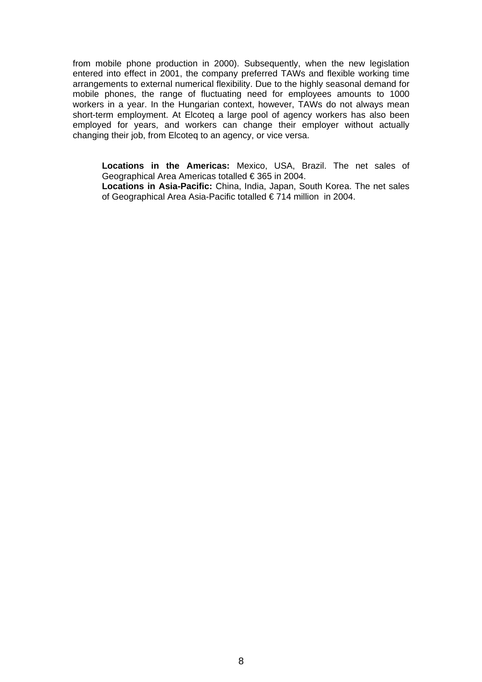from mobile phone production in 2000). Subsequently, when the new legislation entered into effect in 2001, the company preferred TAWs and flexible working time arrangements to external numerical flexibility. Due to the highly seasonal demand for mobile phones, the range of fluctuating need for employees amounts to 1000 workers in a year. In the Hungarian context, however, TAWs do not always mean short-term employment. At Elcoteq a large pool of agency workers has also been employed for years, and workers can change their employer without actually changing their job, from Elcoteq to an agency, or vice versa.

**Locations in the Americas:** Mexico, USA, Brazil. The net sales of Geographical Area Americas totalled € 365 in 2004. **Locations in Asia-Pacific:** China, India, Japan, South Korea. The net sales of Geographical Area Asia-Pacific totalled € 714 million in 2004.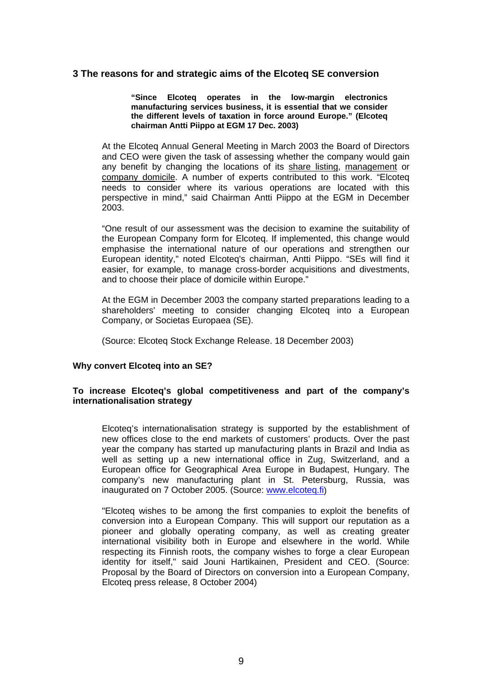## **3 The reasons for and strategic aims of the Elcoteq SE conversion**

**"Since Elcoteq operates in the low-margin electronics manufacturing services business, it is essential that we consider the different levels of taxation in force around Europe." (Elcoteq chairman Antti Piippo at EGM 17 Dec. 2003)** 

At the Elcoteq Annual General Meeting in March 2003 the Board of Directors and CEO were given the task of assessing whether the company would gain any benefit by changing the locations of its share listing, management or company domicile. A number of experts contributed to this work. "Elcoteq needs to consider where its various operations are located with this perspective in mind," said Chairman Antti Piippo at the EGM in December 2003.

"One result of our assessment was the decision to examine the suitability of the European Company form for Elcoteq. If implemented, this change would emphasise the international nature of our operations and strengthen our European identity," noted Elcoteq's chairman, Antti Piippo. "SEs will find it easier, for example, to manage cross-border acquisitions and divestments, and to choose their place of domicile within Europe."

At the EGM in December 2003 the company started preparations leading to a shareholders' meeting to consider changing Elcoteq into a European Company, or Societas Europaea (SE).

(Source: Elcoteq Stock Exchange Release. 18 December 2003)

## **Why convert Elcoteq into an SE?**

## **To increase Elcoteq's global competitiveness and part of the company's internationalisation strategy**

Elcoteq's internationalisation strategy is supported by the establishment of new offices close to the end markets of customers' products. Over the past year the company has started up manufacturing plants in Brazil and India as well as setting up a new international office in Zug, Switzerland, and a European office for Geographical Area Europe in Budapest, Hungary. The company's new manufacturing plant in St. Petersburg, Russia, was inaugurated on 7 October 2005. (Source: [www.elcoteq.fi\)](http://www.elcoteq.fi/)

"Elcoteq wishes to be among the first companies to exploit the benefits of conversion into a European Company. This will support our reputation as a pioneer and globally operating company, as well as creating greater international visibility both in Europe and elsewhere in the world. While respecting its Finnish roots, the company wishes to forge a clear European identity for itself," said Jouni Hartikainen, President and CEO. (Source: Proposal by the Board of Directors on conversion into a European Company, Elcoteq press release, 8 October 2004)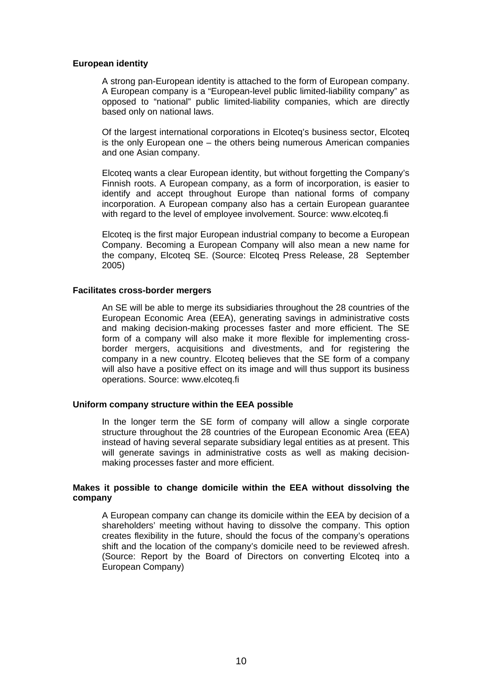## **European identity**

A strong pan-European identity is attached to the form of European company. A European company is a "European-level public limited-liability company" as opposed to "national" public limited-liability companies, which are directly based only on national laws.

Of the largest international corporations in Elcoteq's business sector, Elcoteq is the only European one – the others being numerous American companies and one Asian company.

Elcoteq wants a clear European identity, but without forgetting the Company's Finnish roots. A European company, as a form of incorporation, is easier to identify and accept throughout Europe than national forms of company incorporation. A European company also has a certain European guarantee with regard to the level of employee involvement. Source: www.elcoteq.fi

Elcoteq is the first major European industrial company to become a European Company. Becoming a European Company will also mean a new name for the company, Elcoteq SE. (Source: Elcoteq Press Release, 28 September 2005)

#### **Facilitates cross-border mergers**

An SE will be able to merge its subsidiaries throughout the 28 countries of the European Economic Area (EEA), generating savings in administrative costs and making decision-making processes faster and more efficient. The SE form of a company will also make it more flexible for implementing crossborder mergers, acquisitions and divestments, and for registering the company in a new country. Elcoteq believes that the SE form of a company will also have a positive effect on its image and will thus support its business operations. Source: www.elcoteq.fi

## **Uniform company structure within the EEA possible**

In the longer term the SE form of company will allow a single corporate structure throughout the 28 countries of the European Economic Area (EEA) instead of having several separate subsidiary legal entities as at present. This will generate savings in administrative costs as well as making decisionmaking processes faster and more efficient.

## **Makes it possible to change domicile within the EEA without dissolving the company**

A European company can change its domicile within the EEA by decision of a shareholders' meeting without having to dissolve the company. This option creates flexibility in the future, should the focus of the company's operations shift and the location of the company's domicile need to be reviewed afresh. (Source: Report by the Board of Directors on converting Elcoteq into a European Company)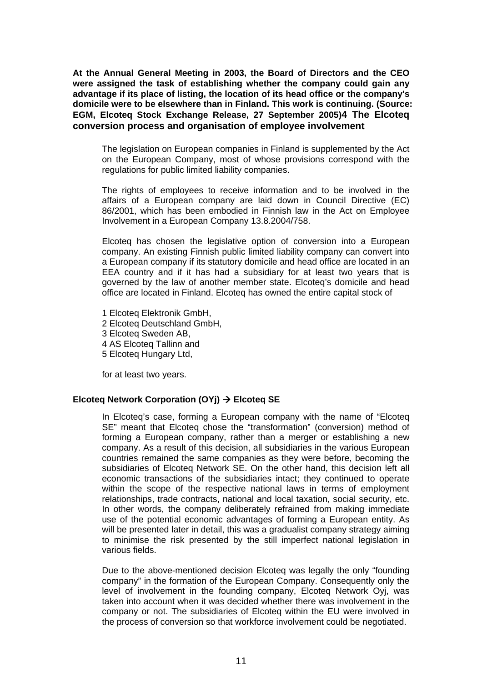**At the Annual General Meeting in 2003, the Board of Directors and the CEO were assigned the task of establishing whether the company could gain any advantage if its place of listing, the location of its head office or the company's domicile were to be elsewhere than in Finland. This work is continuing. (Source: EGM, Elcoteq Stock Exchange Release, 27 September 2005)4 The Elcoteq conversion process and organisation of employee involvement**

The legislation on European companies in Finland is supplemented by the Act on the European Company, most of whose provisions correspond with the regulations for public limited liability companies.

The rights of employees to receive information and to be involved in the affairs of a European company are laid down in Council Directive (EC) 86/2001, which has been embodied in Finnish law in the Act on Employee Involvement in a European Company 13.8.2004/758.

Elcoteq has chosen the legislative option of conversion into a European company. An existing Finnish public limited liability company can convert into a European company if its statutory domicile and head office are located in an EEA country and if it has had a subsidiary for at least two years that is governed by the law of another member state. Elcoteq's domicile and head office are located in Finland. Elcoteq has owned the entire capital stock of

1 Elcoteq Elektronik GmbH, 2 Elcoteq Deutschland GmbH, 3 Elcoteq Sweden AB, 4 AS Elcoteq Tallinn and 5 Elcoteq Hungary Ltd,

for at least two years.

## **Elcoteq Network Corporation (OYj)** Æ **Elcoteq SE**

In Elcoteq's case, forming a European company with the name of "Elcoteq SE" meant that Elcoteq chose the "transformation" (conversion) method of forming a European company, rather than a merger or establishing a new company. As a result of this decision, all subsidiaries in the various European countries remained the same companies as they were before, becoming the subsidiaries of Elcoteq Network SE. On the other hand, this decision left all economic transactions of the subsidiaries intact; they continued to operate within the scope of the respective national laws in terms of employment relationships, trade contracts, national and local taxation, social security, etc. In other words, the company deliberately refrained from making immediate use of the potential economic advantages of forming a European entity. As will be presented later in detail, this was a gradualist company strategy aiming to minimise the risk presented by the still imperfect national legislation in various fields.

Due to the above-mentioned decision Elcoteq was legally the only "founding company" in the formation of the European Company. Consequently only the level of involvement in the founding company, Elcoteq Network Oyj, was taken into account when it was decided whether there was involvement in the company or not. The subsidiaries of Elcoteq within the EU were involved in the process of conversion so that workforce involvement could be negotiated.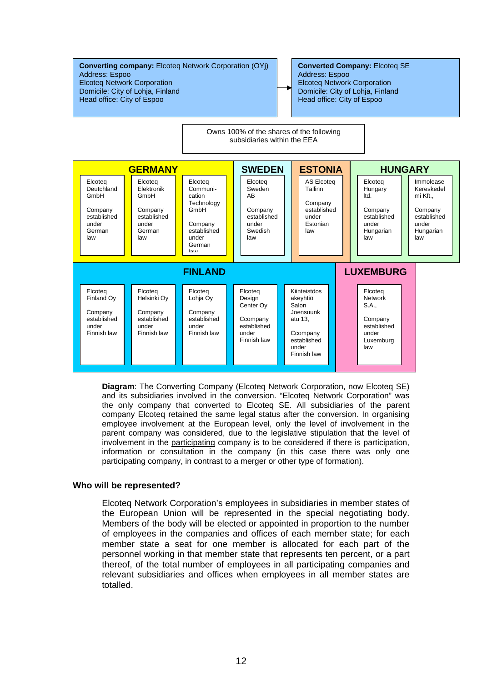#### **Converting company:** Elcoteq Network Corporation (OYj) Address: Espoo Elcoteq Network Corporation

Domicile: City of Lohja, Finland Head office: City of Espoo

#### **Converted Company:** Elcoteq SE Address: Espoo Elcoteq Network Corporation Domicile: City of Lohja, Finland Head office: City of Espoo

Owns 100% of the shares of the following subsidiaries within the EEA



**Diagram**: The Converting Company (Elcoteq Network Corporation, now Elcoteq SE) and its subsidiaries involved in the conversion. "Elcoteq Network Corporation" was the only company that converted to Elcoteq SE. All subsidiaries of the parent company Elcoteq retained the same legal status after the conversion. In organising employee involvement at the European level, only the level of involvement in the parent company was considered, due to the legislative stipulation that the level of involvement in the participating company is to be considered if there is participation, information or consultation in the company (in this case there was only one participating company, in contrast to a merger or other type of formation).

## **Who will be represented?**

Elcoteq Network Corporation's employees in subsidiaries in member states of the European Union will be represented in the special negotiating body. Members of the body will be elected or appointed in proportion to the number of employees in the companies and offices of each member state; for each member state a seat for one member is allocated for each part of the personnel working in that member state that represents ten percent, or a part thereof, of the total number of employees in all participating companies and relevant subsidiaries and offices when employees in all member states are totalled.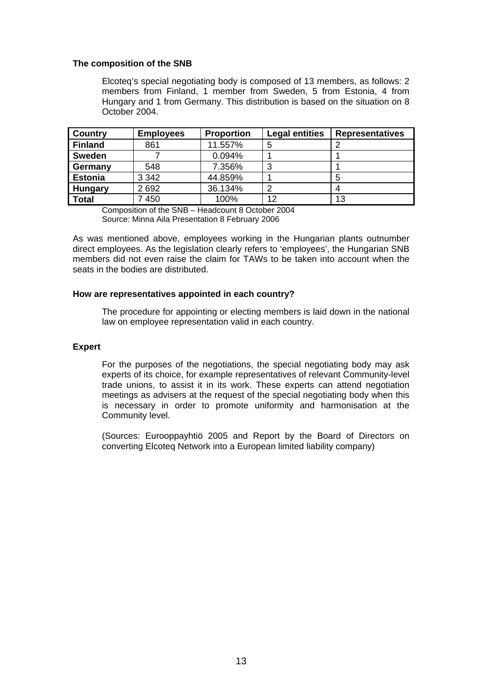## **The composition of the SNB**

Elcoteq's special negotiating body is composed of 13 members, as follows: 2 members from Finland, 1 member from Sweden, 5 from Estonia, 4 from Hungary and 1 from Germany. This distribution is based on the situation on 8 October 2004.

| <b>Country</b> | <b>Employees</b> | <b>Proportion</b> | <b>Legal entities</b> | <b>Representatives</b> |
|----------------|------------------|-------------------|-----------------------|------------------------|
| <b>Finland</b> | 861              | 11.557%           | 5                     |                        |
| <b>Sweden</b>  |                  | 0.094%            |                       |                        |
| Germany        | 548              | 7.356%            | 3                     |                        |
| <b>Estonia</b> | 3 3 4 2          | 44.859%           |                       | 5                      |
| <b>Hungary</b> | 2692             | 36.134%           |                       |                        |
| <b>Total</b>   | 450              | 100%              | 12                    | 13                     |

Composition of the SNB – Headcount 8 October 2004 Source: Minna Aila Presentation 8 February 2006

As was mentioned above, employees working in the Hungarian plants outnumber direct employees. As the legislation clearly refers to 'employees', the Hungarian SNB members did not even raise the claim for TAWs to be taken into account when the seats in the bodies are distributed.

## **How are representatives appointed in each country?**

The procedure for appointing or electing members is laid down in the national law on employee representation valid in each country.

## **Expert**

For the purposes of the negotiations, the special negotiating body may ask experts of its choice, for example representatives of relevant Community-level trade unions, to assist it in its work. These experts can attend negotiation meetings as advisers at the request of the special negotiating body when this is necessary in order to promote uniformity and harmonisation at the Community level.

(Sources: Eurooppayhtiö 2005 and Report by the Board of Directors on converting Elcoteq Network into a European limited liability company)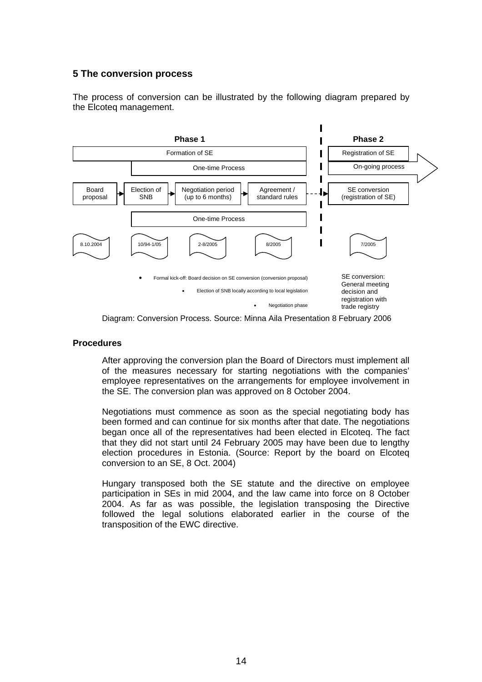# **5 The conversion process**

The process of conversion can be illustrated by the following diagram prepared by the Elcoteq management.



Diagram: Conversion Process. Source: Minna Aila Presentation 8 February 2006

## **Procedures**

After approving the conversion plan the Board of Directors must implement all of the measures necessary for starting negotiations with the companies' employee representatives on the arrangements for employee involvement in the SE. The conversion plan was approved on 8 October 2004.

Negotiations must commence as soon as the special negotiating body has been formed and can continue for six months after that date. The negotiations began once all of the representatives had been elected in Elcoteq. The fact that they did not start until 24 February 2005 may have been due to lengthy election procedures in Estonia. (Source: Report by the board on Elcoteq conversion to an SE, 8 Oct. 2004)

Hungary transposed both the SE statute and the directive on employee participation in SEs in mid 2004, and the law came into force on 8 October 2004. As far as was possible, the legislation transposing the Directive followed the legal solutions elaborated earlier in the course of the transposition of the EWC directive.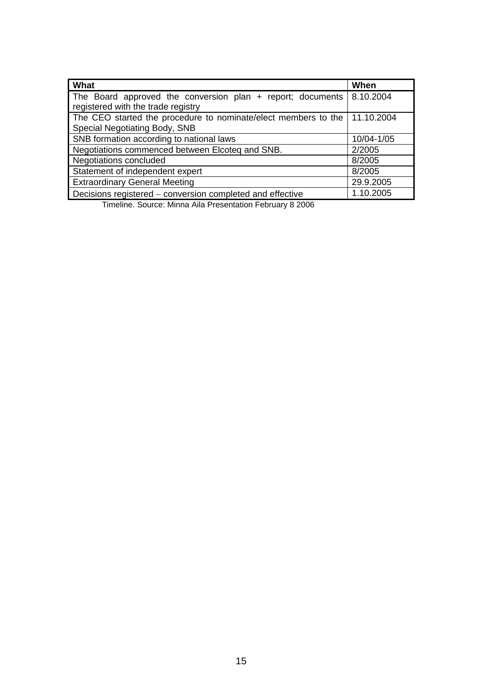| When                                                                        |
|-----------------------------------------------------------------------------|
| 8.10.2004                                                                   |
|                                                                             |
| The CEO started the procedure to nominate/elect members to the   11.10.2004 |
|                                                                             |
| 10/04-1/05                                                                  |
| 2/2005                                                                      |
| 8/2005                                                                      |
| 8/2005                                                                      |
| 29.9.2005                                                                   |
| 1.10.2005                                                                   |
| The Board approved the conversion plan $+$ report; documents                |

Timeline. Source: Minna Aila Presentation February 8 2006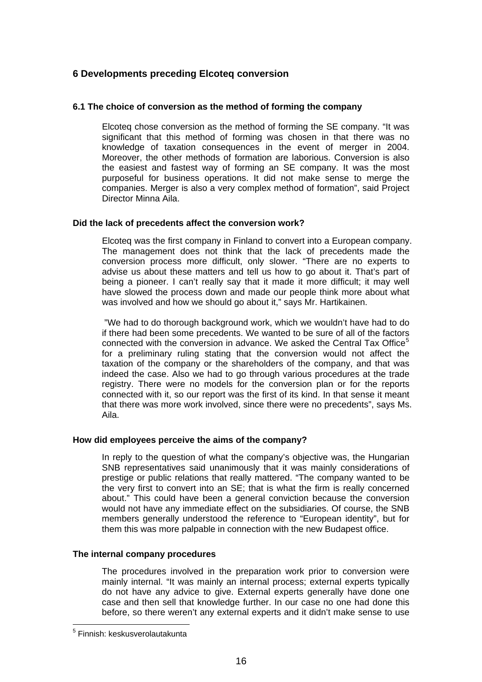# **6 Developments preceding Elcoteq conversion**

## **6.1 The choice of conversion as the method of forming the company**

Elcoteq chose conversion as the method of forming the SE company. "It was significant that this method of forming was chosen in that there was no knowledge of taxation consequences in the event of merger in 2004. Moreover, the other methods of formation are laborious. Conversion is also the easiest and fastest way of forming an SE company. It was the most purposeful for business operations. It did not make sense to merge the companies. Merger is also a very complex method of formation", said Project Director Minna Aila.

## **Did the lack of precedents affect the conversion work?**

Elcoteq was the first company in Finland to convert into a European company. The management does not think that the lack of precedents made the conversion process more difficult, only slower. "There are no experts to advise us about these matters and tell us how to go about it. That's part of being a pioneer. I can't really say that it made it more difficult; it may well have slowed the process down and made our people think more about what was involved and how we should go about it," says Mr. Hartikainen.

 "We had to do thorough background work, which we wouldn't have had to do if there had been some precedents. We wanted to be sure of all of the factors connected with the conversion in advance. We asked the Central Tax Office<sup>[5](#page-18-0)</sup> for a preliminary ruling stating that the conversion would not affect the taxation of the company or the shareholders of the company, and that was indeed the case. Also we had to go through various procedures at the trade registry. There were no models for the conversion plan or for the reports connected with it, so our report was the first of its kind. In that sense it meant that there was more work involved, since there were no precedents", says Ms. Aila.

## **How did employees perceive the aims of the company?**

In reply to the question of what the company's objective was, the Hungarian SNB representatives said unanimously that it was mainly considerations of prestige or public relations that really mattered. "The company wanted to be the very first to convert into an SE; that is what the firm is really concerned about." This could have been a general conviction because the conversion would not have any immediate effect on the subsidiaries. Of course, the SNB members generally understood the reference to "European identity", but for them this was more palpable in connection with the new Budapest office.

## **The internal company procedures**

The procedures involved in the preparation work prior to conversion were mainly internal. "It was mainly an internal process; external experts typically do not have any advice to give. External experts generally have done one case and then sell that knowledge further. In our case no one had done this before, so there weren't any external experts and it didn't make sense to use

 $\overline{a}$ 

<span id="page-18-0"></span><sup>5</sup> Finnish: keskusverolautakunta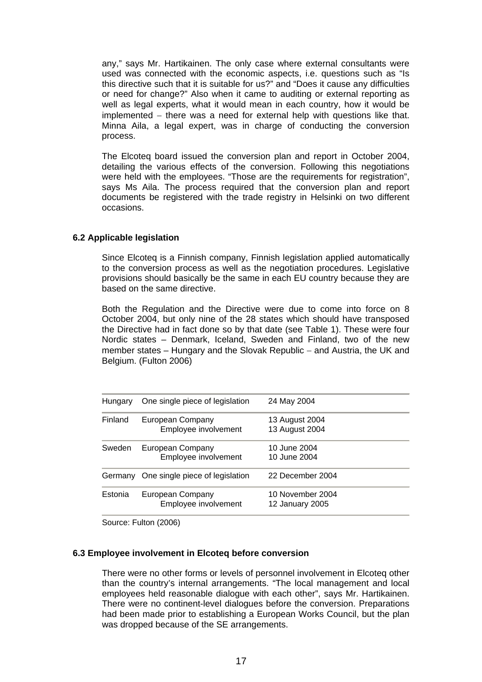any," says Mr. Hartikainen. The only case where external consultants were used was connected with the economic aspects, i.e. questions such as "Is this directive such that it is suitable for us?" and "Does it cause any difficulties or need for change?" Also when it came to auditing or external reporting as well as legal experts, what it would mean in each country, how it would be implemented − there was a need for external help with questions like that. Minna Aila, a legal expert, was in charge of conducting the conversion process.

The Elcoteq board issued the conversion plan and report in October 2004, detailing the various effects of the conversion. Following this negotiations were held with the employees. "Those are the requirements for registration". says Ms Aila. The process required that the conversion plan and report documents be registered with the trade registry in Helsinki on two different occasions.

## **6.2 Applicable legislation**

Since Elcoteq is a Finnish company, Finnish legislation applied automatically to the conversion process as well as the negotiation procedures. Legislative provisions should basically be the same in each EU country because they are based on the same directive.

Both the Regulation and the Directive were due to come into force on 8 October 2004, but only nine of the 28 states which should have transposed the Directive had in fact done so by that date (see Table 1). These were four Nordic states – Denmark, Iceland, Sweden and Finland, two of the new member states – Hungary and the Slovak Republic – and Austria, the UK and Belgium. (Fulton 2006)

| Hungary | One single piece of legislation          | 24 May 2004                         |
|---------|------------------------------------------|-------------------------------------|
| Finland | European Company<br>Employee involvement | 13 August 2004<br>13 August 2004    |
| Sweden  | European Company<br>Employee involvement | 10 June 2004<br>10 June 2004        |
|         | Germany One single piece of legislation  | 22 December 2004                    |
| Estonia | European Company<br>Employee involvement | 10 November 2004<br>12 January 2005 |

Source: Fulton (2006)

## **6.3 Employee involvement in Elcoteq before conversion**

There were no other forms or levels of personnel involvement in Elcoteq other than the country's internal arrangements. "The local management and local employees held reasonable dialogue with each other", says Mr. Hartikainen. There were no continent-level dialogues before the conversion. Preparations had been made prior to establishing a European Works Council, but the plan was dropped because of the SE arrangements.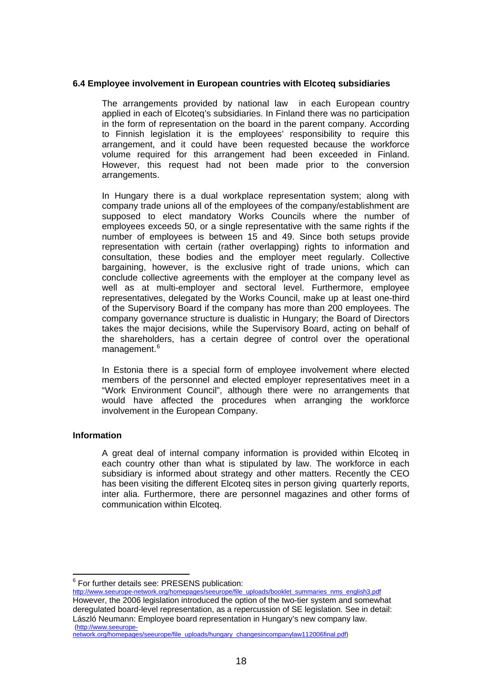## **6.4 Employee involvement in European countries with Elcoteq subsidiaries**

The arrangements provided by national law in each European country applied in each of Elcoteq's subsidiaries. In Finland there was no participation in the form of representation on the board in the parent company. According to Finnish legislation it is the employees' responsibility to require this arrangement, and it could have been requested because the workforce volume required for this arrangement had been exceeded in Finland. However, this request had not been made prior to the conversion arrangements.

In Hungary there is a dual workplace representation system; along with company trade unions all of the employees of the company/establishment are supposed to elect mandatory Works Councils where the number of employees exceeds 50, or a single representative with the same rights if the number of employees is between 15 and 49. Since both setups provide representation with certain (rather overlapping) rights to information and consultation, these bodies and the employer meet regularly. Collective bargaining, however, is the exclusive right of trade unions, which can conclude collective agreements with the employer at the company level as well as at multi-employer and sectoral level. Furthermore, employee representatives, delegated by the Works Council, make up at least one-third of the Supervisory Board if the company has more than 200 employees. The company governance structure is dualistic in Hungary; the Board of Directors takes the major decisions, while the Supervisory Board, acting on behalf of the shareholders, has a certain degree of control over the operational management.<sup>[6](#page-20-0)</sup>

In Estonia there is a special form of employee involvement where elected members of the personnel and elected employer representatives meet in a "Work Environment Council", although there were no arrangements that would have affected the procedures when arranging the workforce involvement in the European Company.

## **Information**

 $\overline{a}$ 

A great deal of internal company information is provided within Elcoteq in each country other than what is stipulated by law. The workforce in each subsidiary is informed about strategy and other matters. Recently the CEO has been visiting the different Elcoteg sites in person giving quarterly reports, inter alia. Furthermore, there are personnel magazines and other forms of communication within Elcoteq.

<span id="page-20-0"></span> $6$  For further details see: PRESENS publication:

[http://www.seeurope-network.org/homepages/seeurope/file\\_uploads/booklet\\_summaries\\_nms\\_english3.pdf](http://www.seeurope-network.org/homepages/seeurope/file_uploads/booklet_summaries_nms_english3.pdf) However, the 2006 legislation introduced the option of the two-tier system and somewhat deregulated board-level representation, as a repercussion of SE legislation. See in detail: László Neumann: Employee board representation in Hungary's new company law. ([http://www.seeurope-](http://www.seeurope-network.org/homepages/seeurope/file_uploads/hungary_changesincompanylaw112006final.pdf)

[network.org/homepages/seeurope/file\\_uploads/hungary\\_changesincompanylaw112006final.pdf](http://www.seeurope-network.org/homepages/seeurope/file_uploads/hungary_changesincompanylaw112006final.pdf))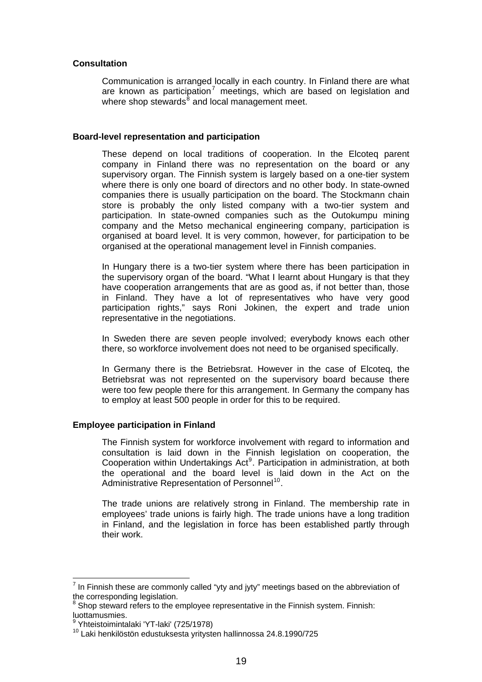## **Consultation**

Communication is arranged locally in each country. In Finland there are what are known as participation<sup>[7](#page-21-0)</sup> meetings, which are based on legislation and where shop stewards $^8$  $^8$  and local management meet.

## **Board-level representation and participation**

These depend on local traditions of cooperation. In the Elcoteq parent company in Finland there was no representation on the board or any supervisory organ. The Finnish system is largely based on a one-tier system where there is only one board of directors and no other body. In state-owned companies there is usually participation on the board. The Stockmann chain store is probably the only listed company with a two-tier system and participation. In state-owned companies such as the Outokumpu mining company and the Metso mechanical engineering company, participation is organised at board level. It is very common, however, for participation to be organised at the operational management level in Finnish companies.

In Hungary there is a two-tier system where there has been participation in the supervisory organ of the board. "What I learnt about Hungary is that they have cooperation arrangements that are as good as, if not better than, those in Finland. They have a lot of representatives who have very good participation rights," says Roni Jokinen, the expert and trade union representative in the negotiations.

In Sweden there are seven people involved; everybody knows each other there, so workforce involvement does not need to be organised specifically.

In Germany there is the Betriebsrat. However in the case of Elcoteq, the Betriebsrat was not represented on the supervisory board because there were too few people there for this arrangement. In Germany the company has to employ at least 500 people in order for this to be required.

## **Employee participation in Finland**

The Finnish system for workforce involvement with regard to information and consultation is laid down in the Finnish legislation on cooperation, the Cooperation within Undertakings Act<sup>[9](#page-21-2)</sup>. Participation in administration, at both the operational and the board level is laid down in the Act on the Administrative Representation of Personnel<sup>[10](#page-21-3)</sup>.

The trade unions are relatively strong in Finland. The membership rate in employees' trade unions is fairly high. The trade unions have a long tradition in Finland, and the legislation in force has been established partly through their work.

<span id="page-21-0"></span>The Finnish these are commonly called "yty and jyty" meetings based on the abbreviation of the corresponding legislation.<br><sup>8</sup> Shop steward refers to the employee representative in the Finnish system. Finnish:

<span id="page-21-1"></span>luottamusmies.

<span id="page-21-2"></span><sup>&</sup>lt;sup>9</sup> Yhteistoimintalaki 'YT-laki' (725/1978)

<span id="page-21-3"></span> $10$  Laki henkilöstön edustuksesta yritysten hallinnossa 24.8.1990/725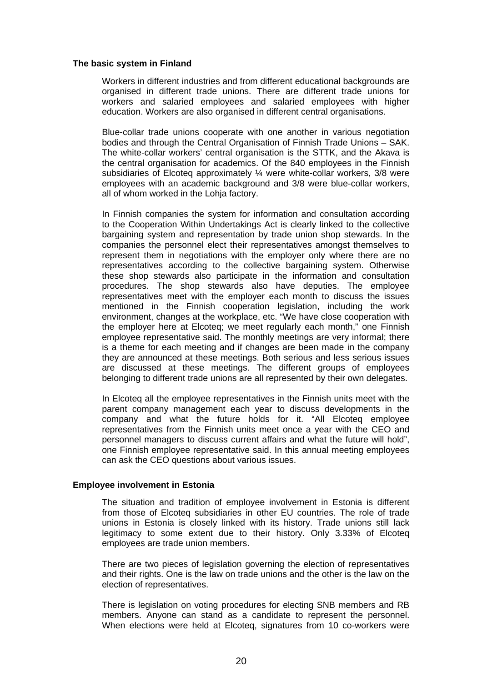## **The basic system in Finland**

Workers in different industries and from different educational backgrounds are organised in different trade unions. There are different trade unions for workers and salaried employees and salaried employees with higher education. Workers are also organised in different central organisations.

Blue-collar trade unions cooperate with one another in various negotiation bodies and through the Central Organisation of Finnish Trade Unions – SAK. The white-collar workers' central organisation is the STTK, and the Akava is the central organisation for academics. Of the 840 employees in the Finnish subsidiaries of Elcoteg approximately  $\frac{1}{4}$  were white-collar workers, 3/8 were employees with an academic background and 3/8 were blue-collar workers, all of whom worked in the Lohja factory.

In Finnish companies the system for information and consultation according to the Cooperation Within Undertakings Act is clearly linked to the collective bargaining system and representation by trade union shop stewards. In the companies the personnel elect their representatives amongst themselves to represent them in negotiations with the employer only where there are no representatives according to the collective bargaining system. Otherwise these shop stewards also participate in the information and consultation procedures. The shop stewards also have deputies. The employee representatives meet with the employer each month to discuss the issues mentioned in the Finnish cooperation legislation, including the work environment, changes at the workplace, etc. "We have close cooperation with the employer here at Elcoteq; we meet regularly each month," one Finnish employee representative said. The monthly meetings are very informal; there is a theme for each meeting and if changes are been made in the company they are announced at these meetings. Both serious and less serious issues are discussed at these meetings. The different groups of employees belonging to different trade unions are all represented by their own delegates.

In Elcoteq all the employee representatives in the Finnish units meet with the parent company management each year to discuss developments in the company and what the future holds for it. "All Elcoteq employee representatives from the Finnish units meet once a year with the CEO and personnel managers to discuss current affairs and what the future will hold", one Finnish employee representative said. In this annual meeting employees can ask the CEO questions about various issues.

## **Employee involvement in Estonia**

The situation and tradition of employee involvement in Estonia is different from those of Elcoteq subsidiaries in other EU countries. The role of trade unions in Estonia is closely linked with its history. Trade unions still lack legitimacy to some extent due to their history. Only 3.33% of Elcoteq employees are trade union members.

There are two pieces of legislation governing the election of representatives and their rights. One is the law on trade unions and the other is the law on the election of representatives.

There is legislation on voting procedures for electing SNB members and RB members. Anyone can stand as a candidate to represent the personnel. When elections were held at Elcoteq, signatures from 10 co-workers were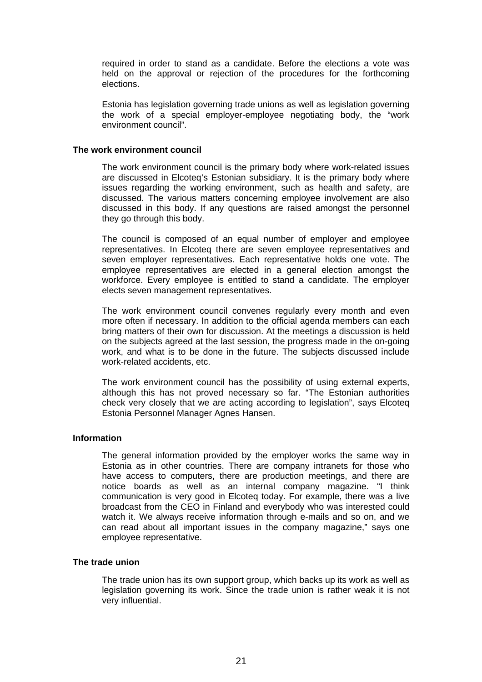required in order to stand as a candidate. Before the elections a vote was held on the approval or rejection of the procedures for the forthcoming elections.

Estonia has legislation governing trade unions as well as legislation governing the work of a special employer-employee negotiating body, the "work environment council".

## **The work environment council**

The work environment council is the primary body where work-related issues are discussed in Elcoteq's Estonian subsidiary. It is the primary body where issues regarding the working environment, such as health and safety, are discussed. The various matters concerning employee involvement are also discussed in this body. If any questions are raised amongst the personnel they go through this body.

The council is composed of an equal number of employer and employee representatives. In Elcoteq there are seven employee representatives and seven employer representatives. Each representative holds one vote. The employee representatives are elected in a general election amongst the workforce. Every employee is entitled to stand a candidate. The employer elects seven management representatives.

The work environment council convenes regularly every month and even more often if necessary. In addition to the official agenda members can each bring matters of their own for discussion. At the meetings a discussion is held on the subjects agreed at the last session, the progress made in the on-going work, and what is to be done in the future. The subjects discussed include work-related accidents, etc.

The work environment council has the possibility of using external experts, although this has not proved necessary so far. "The Estonian authorities check very closely that we are acting according to legislation", says Elcoteq Estonia Personnel Manager Agnes Hansen.

#### **Information**

The general information provided by the employer works the same way in Estonia as in other countries. There are company intranets for those who have access to computers, there are production meetings, and there are notice boards as well as an internal company magazine. "I think communication is very good in Elcoteq today. For example, there was a live broadcast from the CEO in Finland and everybody who was interested could watch it. We always receive information through e-mails and so on, and we can read about all important issues in the company magazine," says one employee representative.

## **The trade union**

The trade union has its own support group, which backs up its work as well as legislation governing its work. Since the trade union is rather weak it is not very influential.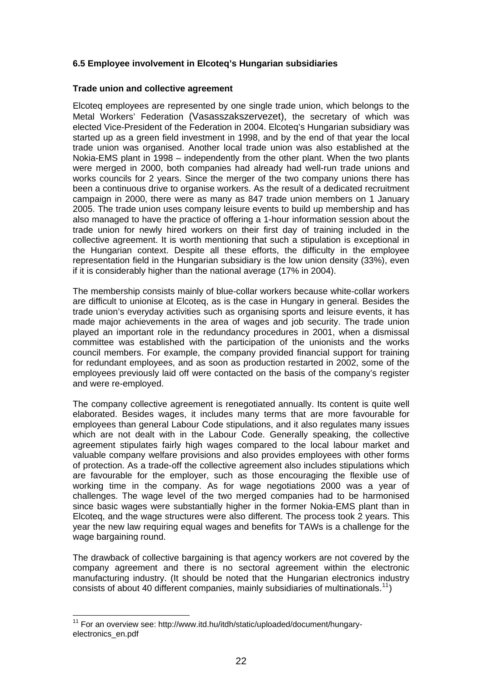## **6.5 Employee involvement in Elcoteq's Hungarian subsidiaries**

## **Trade union and collective agreement**

Elcoteq employees are represented by one single trade union, which belongs to the Metal Workers' Federation (Vasasszakszervezet), the secretary of which was elected Vice-President of the Federation in 2004. Elcoteq's Hungarian subsidiary was started up as a green field investment in 1998, and by the end of that year the local trade union was organised. Another local trade union was also established at the Nokia-EMS plant in 1998 – independently from the other plant. When the two plants were merged in 2000, both companies had already had well-run trade unions and works councils for 2 years. Since the merger of the two company unions there has been a continuous drive to organise workers. As the result of a dedicated recruitment campaign in 2000, there were as many as 847 trade union members on 1 January 2005. The trade union uses company leisure events to build up membership and has also managed to have the practice of offering a 1-hour information session about the trade union for newly hired workers on their first day of training included in the collective agreement. It is worth mentioning that such a stipulation is exceptional in the Hungarian context. Despite all these efforts, the difficulty in the employee representation field in the Hungarian subsidiary is the low union density (33%), even if it is considerably higher than the national average (17% in 2004).

The membership consists mainly of blue-collar workers because white-collar workers are difficult to unionise at Elcoteq, as is the case in Hungary in general. Besides the trade union's everyday activities such as organising sports and leisure events, it has made major achievements in the area of wages and job security. The trade union played an important role in the redundancy procedures in 2001, when a dismissal committee was established with the participation of the unionists and the works council members. For example, the company provided financial support for training for redundant employees, and as soon as production restarted in 2002, some of the employees previously laid off were contacted on the basis of the company's register and were re-employed.

The company collective agreement is renegotiated annually. Its content is quite well elaborated. Besides wages, it includes many terms that are more favourable for employees than general Labour Code stipulations, and it also regulates many issues which are not dealt with in the Labour Code. Generally speaking, the collective agreement stipulates fairly high wages compared to the local labour market and valuable company welfare provisions and also provides employees with other forms of protection. As a trade-off the collective agreement also includes stipulations which are favourable for the employer, such as those encouraging the flexible use of working time in the company. As for wage negotiations 2000 was a year of challenges. The wage level of the two merged companies had to be harmonised since basic wages were substantially higher in the former Nokia-EMS plant than in Elcoteq, and the wage structures were also different. The process took 2 years. This year the new law requiring equal wages and benefits for TAWs is a challenge for the wage bargaining round.

The drawback of collective bargaining is that agency workers are not covered by the company agreement and there is no sectoral agreement within the electronic manufacturing industry. (It should be noted that the Hungarian electronics industry consists of about 40 different companies, mainly subsidiaries of multinationals.<sup>[11](#page-24-0)</sup>)

 $\overline{a}$ 

<span id="page-24-0"></span><sup>&</sup>lt;sup>11</sup> For an overview see: http://www.itd.hu/itdh/static/uploaded/document/hungaryelectronics\_en.pdf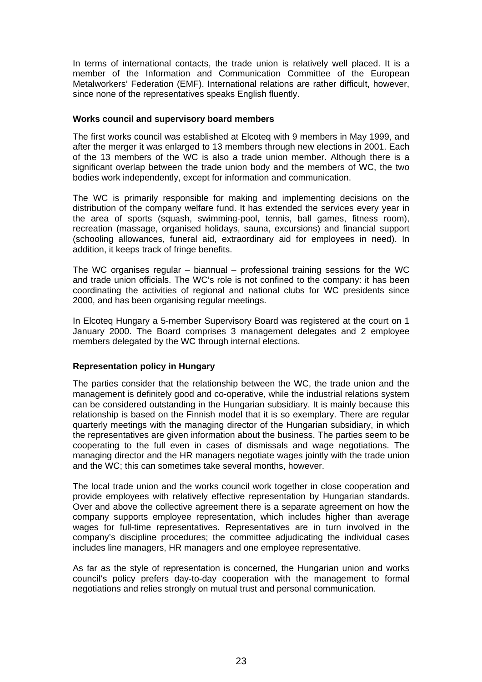In terms of international contacts, the trade union is relatively well placed. It is a member of the Information and Communication Committee of the European Metalworkers' Federation (EMF). International relations are rather difficult, however, since none of the representatives speaks English fluently.

## **Works council and supervisory board members**

The first works council was established at Elcoteq with 9 members in May 1999, and after the merger it was enlarged to 13 members through new elections in 2001. Each of the 13 members of the WC is also a trade union member. Although there is a significant overlap between the trade union body and the members of WC, the two bodies work independently, except for information and communication.

The WC is primarily responsible for making and implementing decisions on the distribution of the company welfare fund. It has extended the services every year in the area of sports (squash, swimming-pool, tennis, ball games, fitness room), recreation (massage, organised holidays, sauna, excursions) and financial support (schooling allowances, funeral aid, extraordinary aid for employees in need). In addition, it keeps track of fringe benefits.

The WC organises regular – biannual – professional training sessions for the WC and trade union officials. The WC's role is not confined to the company: it has been coordinating the activities of regional and national clubs for WC presidents since 2000, and has been organising regular meetings.

In Elcoteq Hungary a 5-member Supervisory Board was registered at the court on 1 January 2000. The Board comprises 3 management delegates and 2 employee members delegated by the WC through internal elections.

## **Representation policy in Hungary**

The parties consider that the relationship between the WC, the trade union and the management is definitely good and co-operative, while the industrial relations system can be considered outstanding in the Hungarian subsidiary. It is mainly because this relationship is based on the Finnish model that it is so exemplary. There are regular quarterly meetings with the managing director of the Hungarian subsidiary, in which the representatives are given information about the business. The parties seem to be cooperating to the full even in cases of dismissals and wage negotiations. The managing director and the HR managers negotiate wages jointly with the trade union and the WC; this can sometimes take several months, however.

The local trade union and the works council work together in close cooperation and provide employees with relatively effective representation by Hungarian standards. Over and above the collective agreement there is a separate agreement on how the company supports employee representation, which includes higher than average wages for full-time representatives. Representatives are in turn involved in the company's discipline procedures; the committee adjudicating the individual cases includes line managers, HR managers and one employee representative.

As far as the style of representation is concerned, the Hungarian union and works council's policy prefers day-to-day cooperation with the management to formal negotiations and relies strongly on mutual trust and personal communication.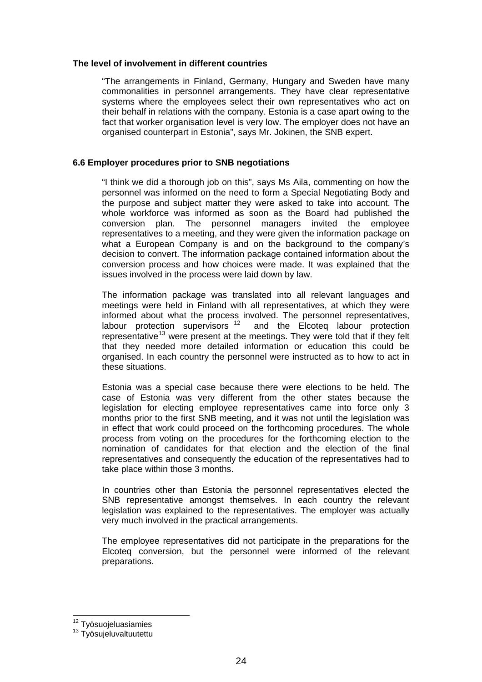## **The level of involvement in different countries**

"The arrangements in Finland, Germany, Hungary and Sweden have many commonalities in personnel arrangements. They have clear representative systems where the employees select their own representatives who act on their behalf in relations with the company. Estonia is a case apart owing to the fact that worker organisation level is very low. The employer does not have an organised counterpart in Estonia", says Mr. Jokinen, the SNB expert.

## **6.6 Employer procedures prior to SNB negotiations**

"I think we did a thorough job on this", says Ms Aila, commenting on how the personnel was informed on the need to form a Special Negotiating Body and the purpose and subject matter they were asked to take into account. The whole workforce was informed as soon as the Board had published the conversion plan. The personnel managers invited the employee representatives to a meeting, and they were given the information package on what a European Company is and on the background to the company's decision to convert. The information package contained information about the conversion process and how choices were made. It was explained that the issues involved in the process were laid down by law.

The information package was translated into all relevant languages and meetings were held in Finland with all representatives, at which they were informed about what the process involved. The personnel representatives, labour protection supervisors  $12$  and the Elcoteq labour protection [representative](#page-26-0)<sup>13</sup> were present at the meetings. They were told that if they felt [that they needed more detailed information or education this could be](#page-26-1)  [organised. In each country the personnel were instructed as to how to act in](#page-26-1)  [these situations.](#page-26-1) 

Estonia was a special case because there were elections to be held. The case of Estonia was very different from the other states because the legislation for electing employee representatives came into force only 3 months prior to the first SNB meeting, and it was not until the legislation was in effect that work could proceed on the forthcoming procedures. The whole process from voting on the procedures for the forthcoming election to the nomination of candidates for that election and the election of the final representatives and consequently the education of the representatives had to take place within those 3 months.

In countries other than Estonia the personnel representatives elected the SNB representative amongst themselves. In each country the relevant legislation was explained to the representatives. The employer was actually very much involved in the practical arrangements.

The employee representatives did not participate in the preparations for the Elcoteq conversion, but the personnel were informed of the relevant preparations.

<span id="page-26-0"></span><sup>&</sup>lt;sup>12</sup> Tvösuojeluasiamies

<span id="page-26-1"></span> $13$  Työsujeluvaltuutettu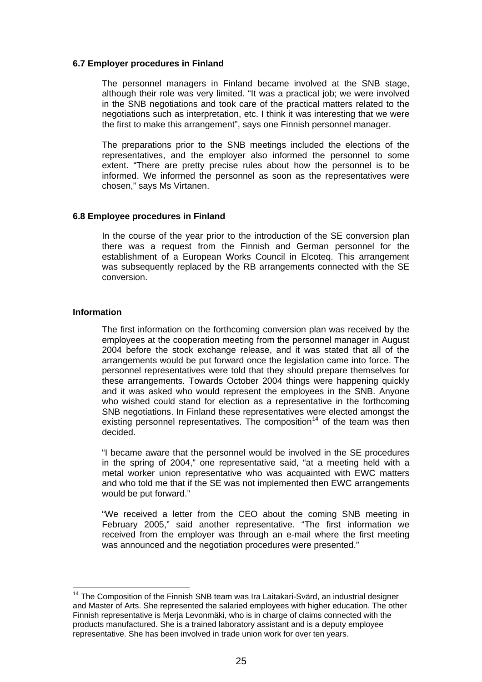## **6.7 Employer procedures in Finland**

The personnel managers in Finland became involved at the SNB stage, although their role was very limited. "It was a practical job; we were involved in the SNB negotiations and took care of the practical matters related to the negotiations such as interpretation, etc. I think it was interesting that we were the first to make this arrangement", says one Finnish personnel manager.

The preparations prior to the SNB meetings included the elections of the representatives, and the employer also informed the personnel to some extent. "There are pretty precise rules about how the personnel is to be informed. We informed the personnel as soon as the representatives were chosen," says Ms Virtanen.

## **6.8 Employee procedures in Finland**

In the course of the year prior to the introduction of the SE conversion plan there was a request from the Finnish and German personnel for the establishment of a European Works Council in Elcoteq. This arrangement was subsequently replaced by the RB arrangements connected with the SE conversion.

## **Information**

 $\overline{a}$ 

The first information on the forthcoming conversion plan was received by the employees at the cooperation meeting from the personnel manager in August 2004 before the stock exchange release, and it was stated that all of the arrangements would be put forward once the legislation came into force. The personnel representatives were told that they should prepare themselves for these arrangements. Towards October 2004 things were happening quickly and it was asked who would represent the employees in the SNB. Anyone who wished could stand for election as a representative in the forthcoming SNB negotiations. In Finland these representatives were elected amongst the existing personnel representatives. The composition<sup>[14](#page-27-0)</sup> of the team was then decided.

"I became aware that the personnel would be involved in the SE procedures in the spring of 2004," one representative said, "at a meeting held with a metal worker union representative who was acquainted with EWC matters and who told me that if the SE was not implemented then EWC arrangements would be put forward."

"We received a letter from the CEO about the coming SNB meeting in February 2005," said another representative. "The first information we received from the employer was through an e-mail where the first meeting was announced and the negotiation procedures were presented."

<span id="page-27-0"></span><sup>&</sup>lt;sup>14</sup> The Composition of the Finnish SNB team was Ira Laitakari-Svärd, an industrial designer and Master of Arts. She represented the salaried employees with higher education. The other Finnish representative is Merja Levonmäki, who is in charge of claims connected with the products manufactured. She is a trained laboratory assistant and is a deputy employee representative. She has been involved in trade union work for over ten years.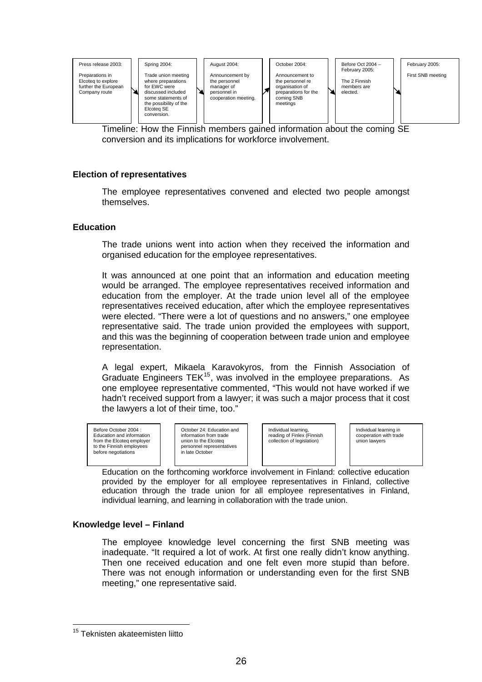

Timeline: How the Finnish members gained information about the coming SE conversion and its implications for workforce involvement.

## **Election of representatives**

The employee representatives convened and elected two people amongst themselves.

## **Education**

The trade unions went into action when they received the information and organised education for the employee representatives.

It was announced at one point that an information and education meeting would be arranged. The employee representatives received information and education from the employer. At the trade union level all of the employee representatives received education, after which the employee representatives were elected. "There were a lot of questions and no answers," one employee representative said. The trade union provided the employees with support, and this was the beginning of cooperation between trade union and employee representation.

A legal expert, Mikaela Karavokyros, from the Finnish Association of Graduate Engineers TEK<sup>[15](#page-28-0)</sup>, was involved in the employee preparations. As one employee representative commented, "This would not have worked if we hadn't received support from a lawyer; it was such a major process that it cost the lawyers a lot of their time, too."

Before October 2004 : Education and information from the Elcoteq employer to the Finnish employees before negotiations

October 24: Education and information from trade union to the Elcoteq personnel representatives in late October

Individual learning, reading of Finlex (Finnish collection of legislation)

Individual learning in cooperation with trade union lawyers

Education on the forthcoming workforce involvement in Finland: collective education provided by the employer for all employee representatives in Finland, collective education through the trade union for all employee representatives in Finland, individual learning, and learning in collaboration with the trade union.

## **Knowledge level – Finland**

The employee knowledge level concerning the first SNB meeting was inadequate. "It required a lot of work. At first one really didn't know anything. Then one received education and one felt even more stupid than before. There was not enough information or understanding even for the first SNB meeting," one representative said.

 $\overline{a}$ 

<span id="page-28-0"></span><sup>&</sup>lt;sup>15</sup> Teknisten akateemisten liitto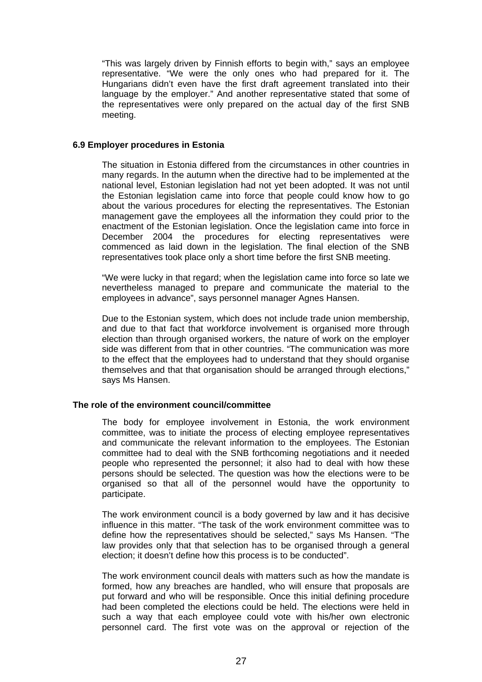"This was largely driven by Finnish efforts to begin with," says an employee representative. "We were the only ones who had prepared for it. The Hungarians didn't even have the first draft agreement translated into their language by the employer." And another representative stated that some of the representatives were only prepared on the actual day of the first SNB meeting.

## **6.9 Employer procedures in Estonia**

The situation in Estonia differed from the circumstances in other countries in many regards. In the autumn when the directive had to be implemented at the national level, Estonian legislation had not yet been adopted. It was not until the Estonian legislation came into force that people could know how to go about the various procedures for electing the representatives. The Estonian management gave the employees all the information they could prior to the enactment of the Estonian legislation. Once the legislation came into force in December 2004 the procedures for electing representatives were commenced as laid down in the legislation. The final election of the SNB representatives took place only a short time before the first SNB meeting.

"We were lucky in that regard; when the legislation came into force so late we nevertheless managed to prepare and communicate the material to the employees in advance", says personnel manager Agnes Hansen.

Due to the Estonian system, which does not include trade union membership, and due to that fact that workforce involvement is organised more through election than through organised workers, the nature of work on the employer side was different from that in other countries. "The communication was more to the effect that the employees had to understand that they should organise themselves and that that organisation should be arranged through elections," says Ms Hansen.

## **The role of the environment council/committee**

The body for employee involvement in Estonia, the work environment committee, was to initiate the process of electing employee representatives and communicate the relevant information to the employees. The Estonian committee had to deal with the SNB forthcoming negotiations and it needed people who represented the personnel; it also had to deal with how these persons should be selected. The question was how the elections were to be organised so that all of the personnel would have the opportunity to participate.

The work environment council is a body governed by law and it has decisive influence in this matter. "The task of the work environment committee was to define how the representatives should be selected," says Ms Hansen. "The law provides only that that selection has to be organised through a general election; it doesn't define how this process is to be conducted".

The work environment council deals with matters such as how the mandate is formed, how any breaches are handled, who will ensure that proposals are put forward and who will be responsible. Once this initial defining procedure had been completed the elections could be held. The elections were held in such a way that each employee could vote with his/her own electronic personnel card. The first vote was on the approval or rejection of the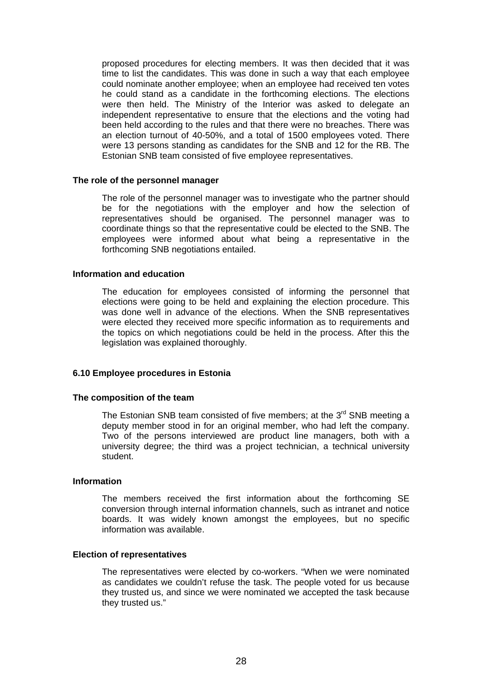proposed procedures for electing members. It was then decided that it was time to list the candidates. This was done in such a way that each employee could nominate another employee; when an employee had received ten votes he could stand as a candidate in the forthcoming elections. The elections were then held. The Ministry of the Interior was asked to delegate an independent representative to ensure that the elections and the voting had been held according to the rules and that there were no breaches. There was an election turnout of 40-50%, and a total of 1500 employees voted. There were 13 persons standing as candidates for the SNB and 12 for the RB. The Estonian SNB team consisted of five employee representatives.

#### **The role of the personnel manager**

The role of the personnel manager was to investigate who the partner should be for the negotiations with the employer and how the selection of representatives should be organised. The personnel manager was to coordinate things so that the representative could be elected to the SNB. The employees were informed about what being a representative in the forthcoming SNB negotiations entailed.

## **Information and education**

The education for employees consisted of informing the personnel that elections were going to be held and explaining the election procedure. This was done well in advance of the elections. When the SNB representatives were elected they received more specific information as to requirements and the topics on which negotiations could be held in the process. After this the legislation was explained thoroughly.

## **6.10 Employee procedures in Estonia**

#### **The composition of the team**

The Estonian SNB team consisted of five members; at the  $3<sup>rd</sup>$  SNB meeting a deputy member stood in for an original member, who had left the company. Two of the persons interviewed are product line managers, both with a university degree; the third was a project technician, a technical university student.

#### **Information**

The members received the first information about the forthcoming SE conversion through internal information channels, such as intranet and notice boards. It was widely known amongst the employees, but no specific information was available.

#### **Election of representatives**

The representatives were elected by co-workers. "When we were nominated as candidates we couldn't refuse the task. The people voted for us because they trusted us, and since we were nominated we accepted the task because they trusted us."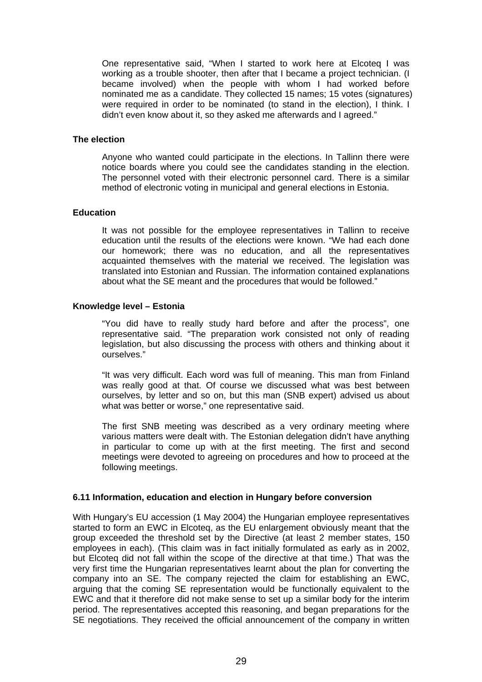One representative said, "When I started to work here at Elcoteq I was working as a trouble shooter, then after that I became a project technician. (I became involved) when the people with whom I had worked before nominated me as a candidate. They collected 15 names; 15 votes (signatures) were required in order to be nominated (to stand in the election), I think. I didn't even know about it, so they asked me afterwards and I agreed."

## **The election**

Anyone who wanted could participate in the elections. In Tallinn there were notice boards where you could see the candidates standing in the election. The personnel voted with their electronic personnel card. There is a similar method of electronic voting in municipal and general elections in Estonia.

## **Education**

It was not possible for the employee representatives in Tallinn to receive education until the results of the elections were known. "We had each done our homework; there was no education, and all the representatives acquainted themselves with the material we received. The legislation was translated into Estonian and Russian. The information contained explanations about what the SE meant and the procedures that would be followed."

## **Knowledge level – Estonia**

"You did have to really study hard before and after the process", one representative said. "The preparation work consisted not only of reading legislation, but also discussing the process with others and thinking about it ourselves."

"It was very difficult. Each word was full of meaning. This man from Finland was really good at that. Of course we discussed what was best between ourselves, by letter and so on, but this man (SNB expert) advised us about what was better or worse," one representative said.

The first SNB meeting was described as a very ordinary meeting where various matters were dealt with. The Estonian delegation didn't have anything in particular to come up with at the first meeting. The first and second meetings were devoted to agreeing on procedures and how to proceed at the following meetings.

## **6.11 Information, education and election in Hungary before conversion**

With Hungary's EU accession (1 May 2004) the Hungarian employee representatives started to form an EWC in Elcoteq, as the EU enlargement obviously meant that the group exceeded the threshold set by the Directive (at least 2 member states, 150 employees in each). (This claim was in fact initially formulated as early as in 2002, but Elcoteq did not fall within the scope of the directive at that time.) That was the very first time the Hungarian representatives learnt about the plan for converting the company into an SE. The company rejected the claim for establishing an EWC, arguing that the coming SE representation would be functionally equivalent to the EWC and that it therefore did not make sense to set up a similar body for the interim period. The representatives accepted this reasoning, and began preparations for the SE negotiations. They received the official announcement of the company in written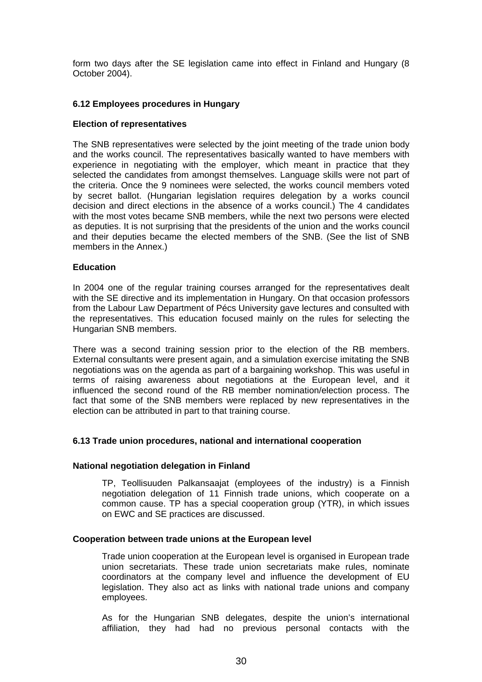form two days after the SE legislation came into effect in Finland and Hungary (8 October 2004).

## **6.12 Employees procedures in Hungary**

## **Election of representatives**

The SNB representatives were selected by the joint meeting of the trade union body and the works council. The representatives basically wanted to have members with experience in negotiating with the employer, which meant in practice that they selected the candidates from amongst themselves. Language skills were not part of the criteria. Once the 9 nominees were selected, the works council members voted by secret ballot. (Hungarian legislation requires delegation by a works council decision and direct elections in the absence of a works council.) The 4 candidates with the most votes became SNB members, while the next two persons were elected as deputies. It is not surprising that the presidents of the union and the works council and their deputies became the elected members of the SNB. (See the list of SNB members in the Annex.)

## **Education**

In 2004 one of the regular training courses arranged for the representatives dealt with the SE directive and its implementation in Hungary. On that occasion professors from the Labour Law Department of Pécs University gave lectures and consulted with the representatives. This education focused mainly on the rules for selecting the Hungarian SNB members.

There was a second training session prior to the election of the RB members. External consultants were present again, and a simulation exercise imitating the SNB negotiations was on the agenda as part of a bargaining workshop. This was useful in terms of raising awareness about negotiations at the European level, and it influenced the second round of the RB member nomination/election process. The fact that some of the SNB members were replaced by new representatives in the election can be attributed in part to that training course.

## **6.13 Trade union procedures, national and international cooperation**

## **National negotiation delegation in Finland**

TP, Teollisuuden Palkansaajat (employees of the industry) is a Finnish negotiation delegation of 11 Finnish trade unions, which cooperate on a common cause. TP has a special cooperation group (YTR), in which issues on EWC and SE practices are discussed.

## **Cooperation between trade unions at the European level**

Trade union cooperation at the European level is organised in European trade union secretariats. These trade union secretariats make rules, nominate coordinators at the company level and influence the development of EU legislation. They also act as links with national trade unions and company employees.

As for the Hungarian SNB delegates, despite the union's international affiliation, they had had no previous personal contacts with the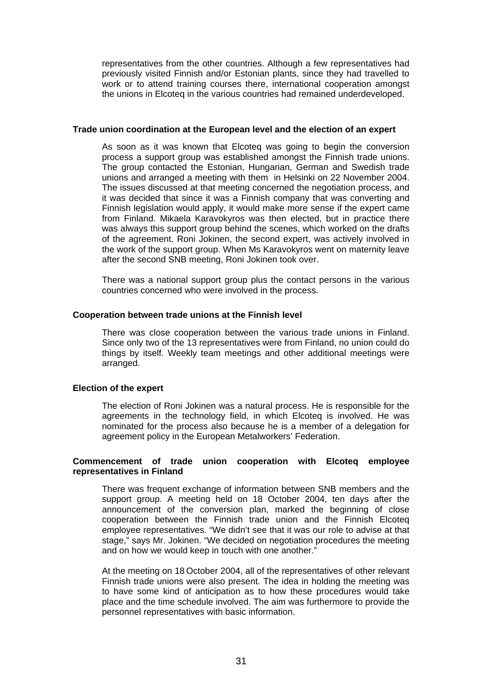representatives from the other countries. Although a few representatives had previously visited Finnish and/or Estonian plants, since they had travelled to work or to attend training courses there, international cooperation amongst the unions in Elcoteq in the various countries had remained underdeveloped.

#### **Trade union coordination at the European level and the election of an expert**

As soon as it was known that Elcoteq was going to begin the conversion process a support group was established amongst the Finnish trade unions. The group contacted the Estonian, Hungarian, German and Swedish trade unions and arranged a meeting with them in Helsinki on 22 November 2004. The issues discussed at that meeting concerned the negotiation process, and it was decided that since it was a Finnish company that was converting and Finnish legislation would apply, it would make more sense if the expert came from Finland. Mikaela Karavokyros was then elected, but in practice there was always this support group behind the scenes, which worked on the drafts of the agreement. Roni Jokinen, the second expert, was actively involved in the work of the support group. When Ms Karavokyros went on maternity leave after the second SNB meeting, Roni Jokinen took over.

There was a national support group plus the contact persons in the various countries concerned who were involved in the process.

## **Cooperation between trade unions at the Finnish level**

There was close cooperation between the various trade unions in Finland. Since only two of the 13 representatives were from Finland, no union could do things by itself. Weekly team meetings and other additional meetings were arranged.

## **Election of the expert**

The election of Roni Jokinen was a natural process. He is responsible for the agreements in the technology field, in which Elcoteq is involved. He was nominated for the process also because he is a member of a delegation for agreement policy in the European Metalworkers' Federation.

## **Commencement of trade union cooperation with Elcoteq employee representatives in Finland**

There was frequent exchange of information between SNB members and the support group. A meeting held on 18 October 2004, ten days after the announcement of the conversion plan, marked the beginning of close cooperation between the Finnish trade union and the Finnish Elcoteq employee representatives. "We didn't see that it was our role to advise at that stage," says Mr. Jokinen. "We decided on negotiation procedures the meeting and on how we would keep in touch with one another."

At the meeting on 18 October 2004, all of the representatives of other relevant Finnish trade unions were also present. The idea in holding the meeting was to have some kind of anticipation as to how these procedures would take place and the time schedule involved. The aim was furthermore to provide the personnel representatives with basic information.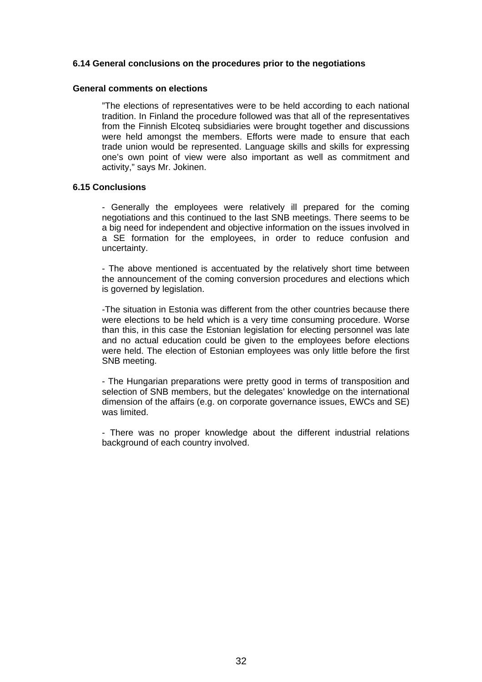## **6.14 General conclusions on the procedures prior to the negotiations**

#### **General comments on elections**

"The elections of representatives were to be held according to each national tradition. In Finland the procedure followed was that all of the representatives from the Finnish Elcoteq subsidiaries were brought together and discussions were held amongst the members. Efforts were made to ensure that each trade union would be represented. Language skills and skills for expressing one's own point of view were also important as well as commitment and activity," says Mr. Jokinen.

# **6.15 Conclusions**

- Generally the employees were relatively ill prepared for the coming negotiations and this continued to the last SNB meetings. There seems to be a big need for independent and objective information on the issues involved in a SE formation for the employees, in order to reduce confusion and uncertainty.

- The above mentioned is accentuated by the relatively short time between the announcement of the coming conversion procedures and elections which is governed by legislation.

-The situation in Estonia was different from the other countries because there were elections to be held which is a very time consuming procedure. Worse than this, in this case the Estonian legislation for electing personnel was late and no actual education could be given to the employees before elections were held. The election of Estonian employees was only little before the first SNB meeting.

- The Hungarian preparations were pretty good in terms of transposition and selection of SNB members, but the delegates' knowledge on the international dimension of the affairs (e.g. on corporate governance issues, EWCs and SE) was limited.

- There was no proper knowledge about the different industrial relations background of each country involved.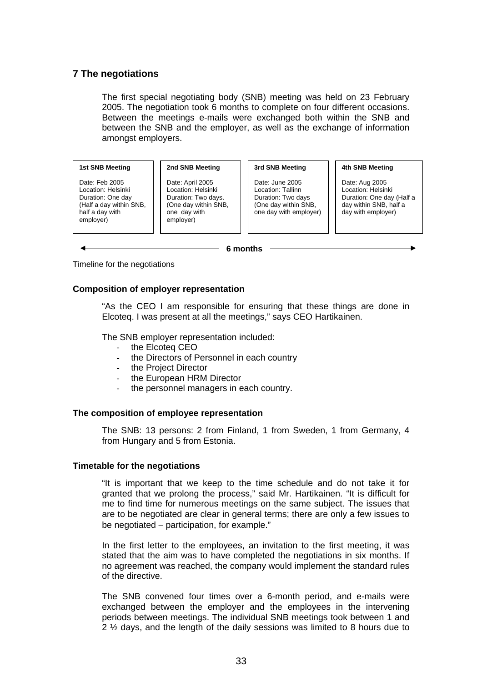# **7 The negotiations**

The first special negotiating body (SNB) meeting was held on 23 February 2005. The negotiation took 6 months to complete on four different occasions. Between the meetings e-mails were exchanged both within the SNB and between the SNB and the employer, as well as the exchange of information amongst employers.

#### **1st SNB Meeting**

Date: Feb 2005 Location: Helsinki Duration: One day (Half a day within SNB, half a day with employer)

Date: April 2005 Location: Helsinki Duration: Two days. (One day within SNB, one day with employer)

**2nd SNB Meeting** 

#### **3rd SNB Meeting**

Date: June 2005 Location: Tallinn Duration: Two days (One day within SNB, one day with employer)

#### **4th SNB Meeting**

Date: Aug 2005 Location: Helsinki Duration: One day (Half a day within SNB, half a day with employer)

#### **6 months**

Timeline for the negotiations

## **Composition of employer representation**

"As the CEO I am responsible for ensuring that these things are done in Elcoteq. I was present at all the meetings," says CEO Hartikainen.

The SNB employer representation included:

- the Elcoteq CEO
- the Directors of Personnel in each country
- the Project Director
- the European HRM Director
- the personnel managers in each country.

#### **The composition of employee representation**

The SNB: 13 persons: 2 from Finland, 1 from Sweden, 1 from Germany, 4 from Hungary and 5 from Estonia.

## **Timetable for the negotiations**

"It is important that we keep to the time schedule and do not take it for granted that we prolong the process," said Mr. Hartikainen. "It is difficult for me to find time for numerous meetings on the same subject. The issues that are to be negotiated are clear in general terms; there are only a few issues to be negotiated – participation, for example."

In the first letter to the employees, an invitation to the first meeting, it was stated that the aim was to have completed the negotiations in six months. If no agreement was reached, the company would implement the standard rules of the directive.

The SNB convened four times over a 6-month period, and e-mails were exchanged between the employer and the employees in the intervening periods between meetings. The individual SNB meetings took between 1 and 2 ½ days, and the length of the daily sessions was limited to 8 hours due to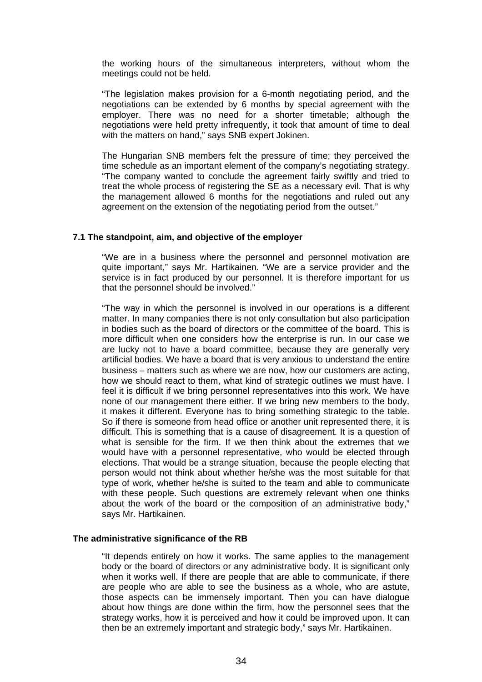the working hours of the simultaneous interpreters, without whom the meetings could not be held.

"The legislation makes provision for a 6-month negotiating period, and the negotiations can be extended by 6 months by special agreement with the employer. There was no need for a shorter timetable; although the negotiations were held pretty infrequently, it took that amount of time to deal with the matters on hand," says SNB expert Jokinen.

The Hungarian SNB members felt the pressure of time; they perceived the time schedule as an important element of the company's negotiating strategy. "The company wanted to conclude the agreement fairly swiftly and tried to treat the whole process of registering the SE as a necessary evil. That is why the management allowed 6 months for the negotiations and ruled out any agreement on the extension of the negotiating period from the outset."

## **7.1 The standpoint, aim, and objective of the employer**

"We are in a business where the personnel and personnel motivation are quite important," says Mr. Hartikainen. "We are a service provider and the service is in fact produced by our personnel. It is therefore important for us that the personnel should be involved."

"The way in which the personnel is involved in our operations is a different matter. In many companies there is not only consultation but also participation in bodies such as the board of directors or the committee of the board. This is more difficult when one considers how the enterprise is run. In our case we are lucky not to have a board committee, because they are generally very artificial bodies. We have a board that is very anxious to understand the entire business − matters such as where we are now, how our customers are acting, how we should react to them, what kind of strategic outlines we must have. I feel it is difficult if we bring personnel representatives into this work. We have none of our management there either. If we bring new members to the body, it makes it different. Everyone has to bring something strategic to the table. So if there is someone from head office or another unit represented there, it is difficult. This is something that is a cause of disagreement. It is a question of what is sensible for the firm. If we then think about the extremes that we would have with a personnel representative, who would be elected through elections. That would be a strange situation, because the people electing that person would not think about whether he/she was the most suitable for that type of work, whether he/she is suited to the team and able to communicate with these people. Such questions are extremely relevant when one thinks about the work of the board or the composition of an administrative body," says Mr. Hartikainen.

## **The administrative significance of the RB**

"It depends entirely on how it works. The same applies to the management body or the board of directors or any administrative body. It is significant only when it works well. If there are people that are able to communicate, if there are people who are able to see the business as a whole, who are astute, those aspects can be immensely important. Then you can have dialogue about how things are done within the firm, how the personnel sees that the strategy works, how it is perceived and how it could be improved upon. It can then be an extremely important and strategic body," says Mr. Hartikainen.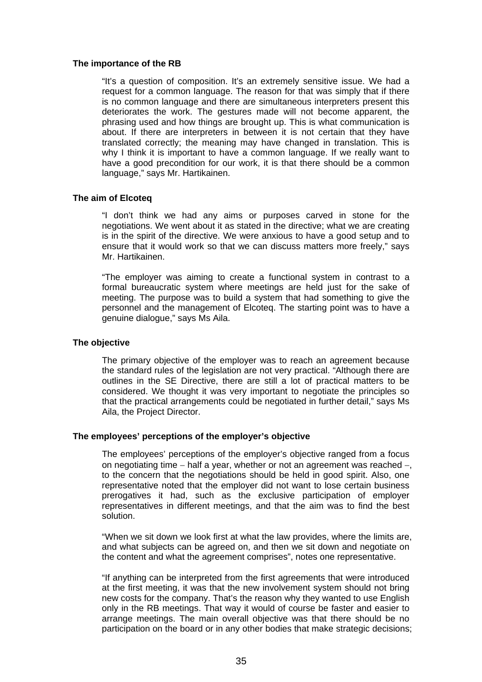#### **The importance of the RB**

"It's a question of composition. It's an extremely sensitive issue. We had a request for a common language. The reason for that was simply that if there is no common language and there are simultaneous interpreters present this deteriorates the work. The gestures made will not become apparent, the phrasing used and how things are brought up. This is what communication is about. If there are interpreters in between it is not certain that they have translated correctly; the meaning may have changed in translation. This is why I think it is important to have a common language. If we really want to have a good precondition for our work, it is that there should be a common language," says Mr. Hartikainen.

## **The aim of Elcoteq**

"I don't think we had any aims or purposes carved in stone for the negotiations. We went about it as stated in the directive; what we are creating is in the spirit of the directive. We were anxious to have a good setup and to ensure that it would work so that we can discuss matters more freely," says Mr. Hartikainen.

"The employer was aiming to create a functional system in contrast to a formal bureaucratic system where meetings are held just for the sake of meeting. The purpose was to build a system that had something to give the personnel and the management of Elcoteq. The starting point was to have a genuine dialogue," says Ms Aila.

## **The objective**

The primary objective of the employer was to reach an agreement because the standard rules of the legislation are not very practical. "Although there are outlines in the SE Directive, there are still a lot of practical matters to be considered. We thought it was very important to negotiate the principles so that the practical arrangements could be negotiated in further detail," says Ms Aila, the Project Director.

## **The employees' perceptions of the employer's objective**

The employees' perceptions of the employer's objective ranged from a focus on negotiating time − half a year, whether or not an agreement was reached −, to the concern that the negotiations should be held in good spirit. Also, one representative noted that the employer did not want to lose certain business prerogatives it had, such as the exclusive participation of employer representatives in different meetings, and that the aim was to find the best solution.

"When we sit down we look first at what the law provides, where the limits are, and what subjects can be agreed on, and then we sit down and negotiate on the content and what the agreement comprises", notes one representative.

"If anything can be interpreted from the first agreements that were introduced at the first meeting, it was that the new involvement system should not bring new costs for the company. That's the reason why they wanted to use English only in the RB meetings. That way it would of course be faster and easier to arrange meetings. The main overall objective was that there should be no participation on the board or in any other bodies that make strategic decisions;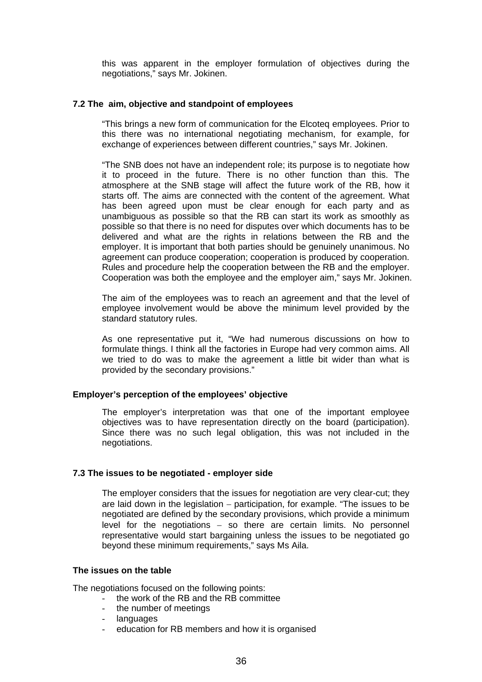this was apparent in the employer formulation of objectives during the negotiations," says Mr. Jokinen.

## **7.2 The aim, objective and standpoint of employees**

"This brings a new form of communication for the Elcoteq employees. Prior to this there was no international negotiating mechanism, for example, for exchange of experiences between different countries," says Mr. Jokinen.

"The SNB does not have an independent role; its purpose is to negotiate how it to proceed in the future. There is no other function than this. The atmosphere at the SNB stage will affect the future work of the RB, how it starts off. The aims are connected with the content of the agreement. What has been agreed upon must be clear enough for each party and as unambiguous as possible so that the RB can start its work as smoothly as possible so that there is no need for disputes over which documents has to be delivered and what are the rights in relations between the RB and the employer. It is important that both parties should be genuinely unanimous. No agreement can produce cooperation; cooperation is produced by cooperation. Rules and procedure help the cooperation between the RB and the employer. Cooperation was both the employee and the employer aim," says Mr. Jokinen.

The aim of the employees was to reach an agreement and that the level of employee involvement would be above the minimum level provided by the standard statutory rules.

As one representative put it, "We had numerous discussions on how to formulate things. I think all the factories in Europe had very common aims. All we tried to do was to make the agreement a little bit wider than what is provided by the secondary provisions."

## **Employer's perception of the employees' objective**

The employer's interpretation was that one of the important employee objectives was to have representation directly on the board (participation). Since there was no such legal obligation, this was not included in the negotiations.

## **7.3 The issues to be negotiated - employer side**

The employer considers that the issues for negotiation are very clear-cut; they are laid down in the legislation – participation, for example. "The issues to be negotiated are defined by the secondary provisions, which provide a minimum level for the negotiations − so there are certain limits. No personnel representative would start bargaining unless the issues to be negotiated go beyond these minimum requirements," says Ms Aila.

## **The issues on the table**

The negotiations focused on the following points:

- the work of the RB and the RB committee
- the number of meetings
- languages
- education for RB members and how it is organised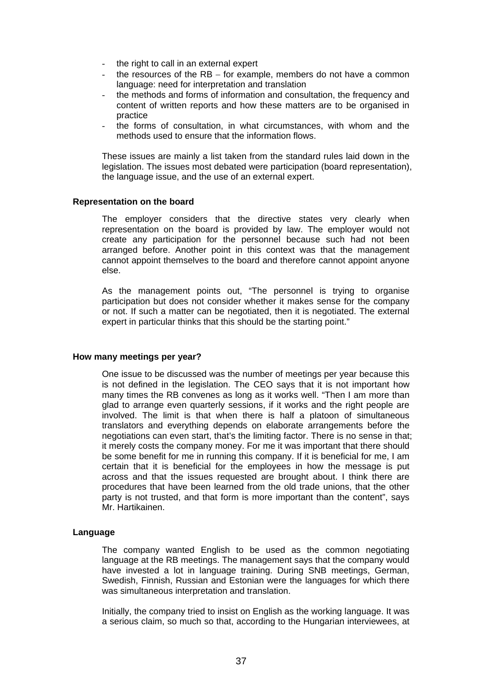- the right to call in an external expert
- the resources of the RB − for example, members do not have a common language: need for interpretation and translation
- the methods and forms of information and consultation, the frequency and content of written reports and how these matters are to be organised in practice
- the forms of consultation, in what circumstances, with whom and the methods used to ensure that the information flows.

These issues are mainly a list taken from the standard rules laid down in the legislation. The issues most debated were participation (board representation), the language issue, and the use of an external expert.

## **Representation on the board**

The employer considers that the directive states very clearly when representation on the board is provided by law. The employer would not create any participation for the personnel because such had not been arranged before. Another point in this context was that the management cannot appoint themselves to the board and therefore cannot appoint anyone else.

As the management points out, "The personnel is trying to organise participation but does not consider whether it makes sense for the company or not. If such a matter can be negotiated, then it is negotiated. The external expert in particular thinks that this should be the starting point."

#### **How many meetings per year?**

One issue to be discussed was the number of meetings per year because this is not defined in the legislation. The CEO says that it is not important how many times the RB convenes as long as it works well. "Then I am more than glad to arrange even quarterly sessions, if it works and the right people are involved. The limit is that when there is half a platoon of simultaneous translators and everything depends on elaborate arrangements before the negotiations can even start, that's the limiting factor. There is no sense in that; it merely costs the company money. For me it was important that there should be some benefit for me in running this company. If it is beneficial for me, I am certain that it is beneficial for the employees in how the message is put across and that the issues requested are brought about. I think there are procedures that have been learned from the old trade unions, that the other party is not trusted, and that form is more important than the content", says Mr. Hartikainen.

## **Language**

The company wanted English to be used as the common negotiating language at the RB meetings. The management says that the company would have invested a lot in language training. During SNB meetings, German, Swedish, Finnish, Russian and Estonian were the languages for which there was simultaneous interpretation and translation.

Initially, the company tried to insist on English as the working language. It was a serious claim, so much so that, according to the Hungarian interviewees, at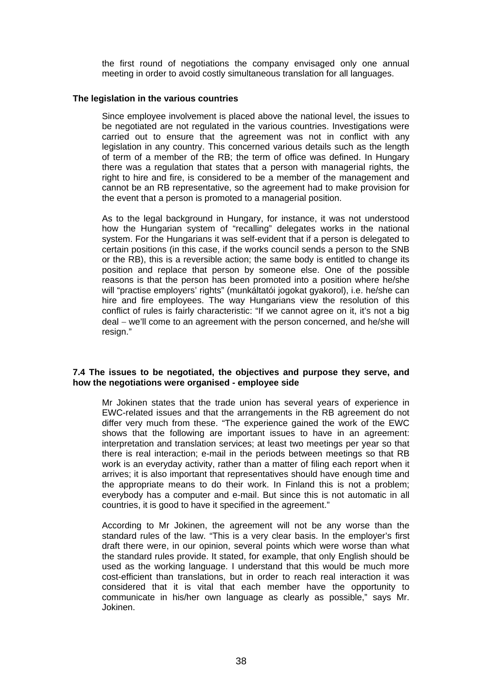the first round of negotiations the company envisaged only one annual meeting in order to avoid costly simultaneous translation for all languages.

## **The legislation in the various countries**

Since employee involvement is placed above the national level, the issues to be negotiated are not regulated in the various countries. Investigations were carried out to ensure that the agreement was not in conflict with any legislation in any country. This concerned various details such as the length of term of a member of the RB; the term of office was defined. In Hungary there was a regulation that states that a person with managerial rights, the right to hire and fire, is considered to be a member of the management and cannot be an RB representative, so the agreement had to make provision for the event that a person is promoted to a managerial position.

As to the legal background in Hungary, for instance, it was not understood how the Hungarian system of "recalling" delegates works in the national system. For the Hungarians it was self-evident that if a person is delegated to certain positions (in this case, if the works council sends a person to the SNB or the RB), this is a reversible action; the same body is entitled to change its position and replace that person by someone else. One of the possible reasons is that the person has been promoted into a position where he/she will "practise employers' rights" (munkáltatói jogokat gyakorol), i.e. he/she can hire and fire employees. The way Hungarians view the resolution of this conflict of rules is fairly characteristic: "If we cannot agree on it, it's not a big deal − we'll come to an agreement with the person concerned, and he/she will resign."

## **7.4 The issues to be negotiated, the objectives and purpose they serve, and how the negotiations were organised - employee side**

Mr Jokinen states that the trade union has several years of experience in EWC-related issues and that the arrangements in the RB agreement do not differ very much from these. "The experience gained the work of the EWC shows that the following are important issues to have in an agreement: interpretation and translation services; at least two meetings per year so that there is real interaction; e-mail in the periods between meetings so that RB work is an everyday activity, rather than a matter of filing each report when it arrives; it is also important that representatives should have enough time and the appropriate means to do their work. In Finland this is not a problem; everybody has a computer and e-mail. But since this is not automatic in all countries, it is good to have it specified in the agreement."

According to Mr Jokinen, the agreement will not be any worse than the standard rules of the law. "This is a very clear basis. In the employer's first draft there were, in our opinion, several points which were worse than what the standard rules provide. It stated, for example, that only English should be used as the working language. I understand that this would be much more cost-efficient than translations, but in order to reach real interaction it was considered that it is vital that each member have the opportunity to communicate in his/her own language as clearly as possible," says Mr. Jokinen.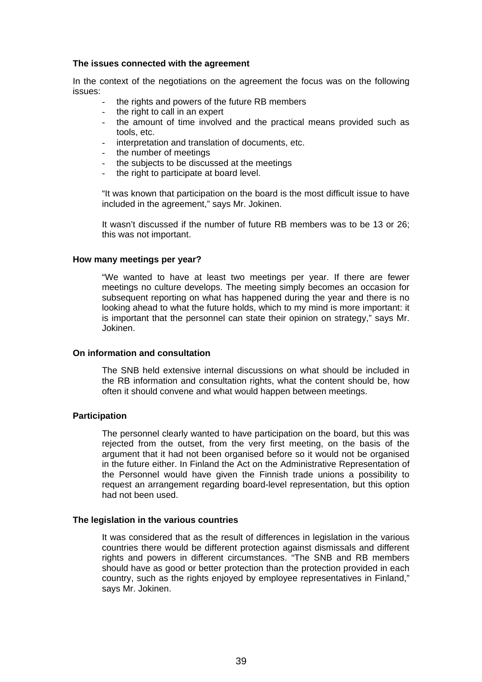## **The issues connected with the agreement**

In the context of the negotiations on the agreement the focus was on the following issues:

- the rights and powers of the future RB members
- the right to call in an expert
- the amount of time involved and the practical means provided such as tools, etc.
- interpretation and translation of documents, etc.
- the number of meetings
- the subjects to be discussed at the meetings
- the right to participate at board level.

"It was known that participation on the board is the most difficult issue to have included in the agreement," says Mr. Jokinen.

It wasn't discussed if the number of future RB members was to be 13 or 26; this was not important.

#### **How many meetings per year?**

"We wanted to have at least two meetings per year. If there are fewer meetings no culture develops. The meeting simply becomes an occasion for subsequent reporting on what has happened during the year and there is no looking ahead to what the future holds, which to my mind is more important: it is important that the personnel can state their opinion on strategy," says Mr. Jokinen.

## **On information and consultation**

The SNB held extensive internal discussions on what should be included in the RB information and consultation rights, what the content should be, how often it should convene and what would happen between meetings.

## **Participation**

The personnel clearly wanted to have participation on the board, but this was rejected from the outset, from the very first meeting, on the basis of the argument that it had not been organised before so it would not be organised in the future either. In Finland the Act on the Administrative Representation of the Personnel would have given the Finnish trade unions a possibility to request an arrangement regarding board-level representation, but this option had not been used.

## **The legislation in the various countries**

It was considered that as the result of differences in legislation in the various countries there would be different protection against dismissals and different rights and powers in different circumstances. "The SNB and RB members should have as good or better protection than the protection provided in each country, such as the rights enjoyed by employee representatives in Finland," says Mr. Jokinen.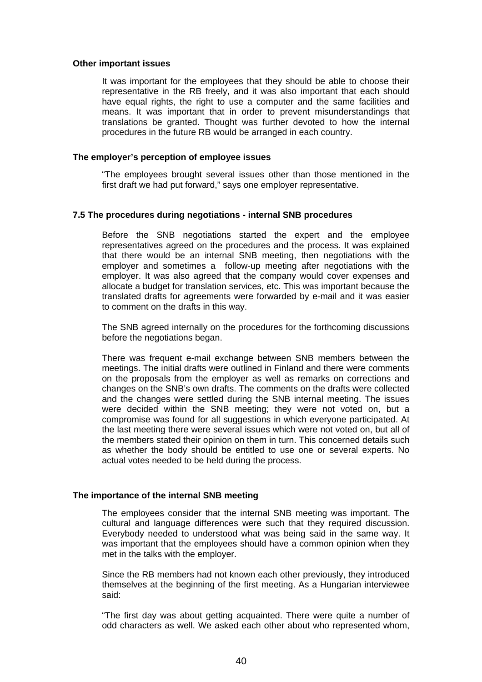#### **Other important issues**

It was important for the employees that they should be able to choose their representative in the RB freely, and it was also important that each should have equal rights, the right to use a computer and the same facilities and means. It was important that in order to prevent misunderstandings that translations be granted. Thought was further devoted to how the internal procedures in the future RB would be arranged in each country.

## **The employer's perception of employee issues**

"The employees brought several issues other than those mentioned in the first draft we had put forward," says one employer representative.

## **7.5 The procedures during negotiations - internal SNB procedures**

Before the SNB negotiations started the expert and the employee representatives agreed on the procedures and the process. It was explained that there would be an internal SNB meeting, then negotiations with the employer and sometimes a follow-up meeting after negotiations with the employer. It was also agreed that the company would cover expenses and allocate a budget for translation services, etc. This was important because the translated drafts for agreements were forwarded by e-mail and it was easier to comment on the drafts in this way.

The SNB agreed internally on the procedures for the forthcoming discussions before the negotiations began.

There was frequent e-mail exchange between SNB members between the meetings. The initial drafts were outlined in Finland and there were comments on the proposals from the employer as well as remarks on corrections and changes on the SNB's own drafts. The comments on the drafts were collected and the changes were settled during the SNB internal meeting. The issues were decided within the SNB meeting; they were not voted on, but a compromise was found for all suggestions in which everyone participated. At the last meeting there were several issues which were not voted on, but all of the members stated their opinion on them in turn. This concerned details such as whether the body should be entitled to use one or several experts. No actual votes needed to be held during the process.

## **The importance of the internal SNB meeting**

The employees consider that the internal SNB meeting was important. The cultural and language differences were such that they required discussion. Everybody needed to understood what was being said in the same way. It was important that the employees should have a common opinion when they met in the talks with the employer.

Since the RB members had not known each other previously, they introduced themselves at the beginning of the first meeting. As a Hungarian interviewee said:

"The first day was about getting acquainted. There were quite a number of odd characters as well. We asked each other about who represented whom,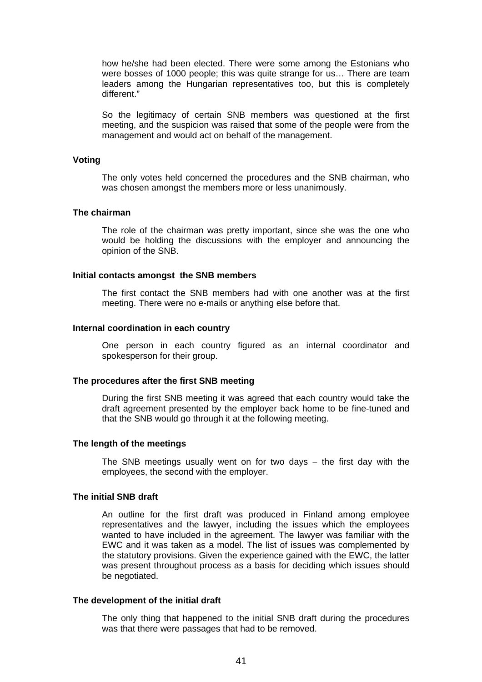how he/she had been elected. There were some among the Estonians who were bosses of 1000 people; this was quite strange for us… There are team leaders among the Hungarian representatives too, but this is completely different."

So the legitimacy of certain SNB members was questioned at the first meeting, and the suspicion was raised that some of the people were from the management and would act on behalf of the management.

#### **Voting**

The only votes held concerned the procedures and the SNB chairman, who was chosen amongst the members more or less unanimously.

#### **The chairman**

The role of the chairman was pretty important, since she was the one who would be holding the discussions with the employer and announcing the opinion of the SNB.

#### **Initial contacts amongst the SNB members**

The first contact the SNB members had with one another was at the first meeting. There were no e-mails or anything else before that.

#### **Internal coordination in each country**

One person in each country figured as an internal coordinator and spokesperson for their group.

## **The procedures after the first SNB meeting**

During the first SNB meeting it was agreed that each country would take the draft agreement presented by the employer back home to be fine-tuned and that the SNB would go through it at the following meeting.

#### **The length of the meetings**

The SNB meetings usually went on for two days – the first day with the employees, the second with the employer.

## **The initial SNB draft**

An outline for the first draft was produced in Finland among employee representatives and the lawyer, including the issues which the employees wanted to have included in the agreement. The lawyer was familiar with the EWC and it was taken as a model. The list of issues was complemented by the statutory provisions. Given the experience gained with the EWC, the latter was present throughout process as a basis for deciding which issues should be negotiated.

#### **The development of the initial draft**

The only thing that happened to the initial SNB draft during the procedures was that there were passages that had to be removed.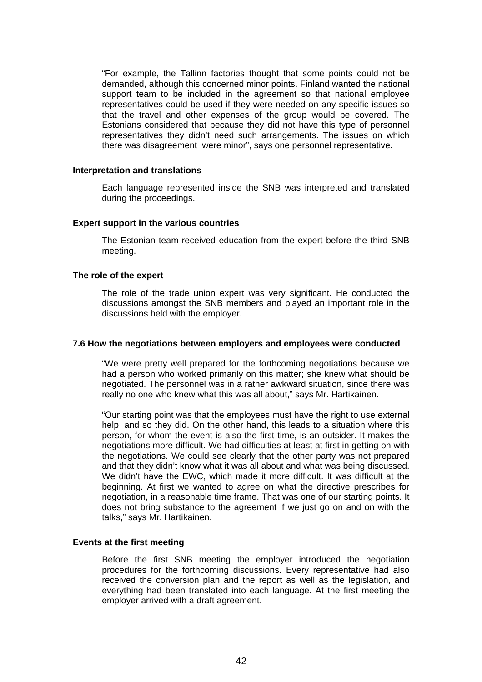"For example, the Tallinn factories thought that some points could not be demanded, although this concerned minor points. Finland wanted the national support team to be included in the agreement so that national employee representatives could be used if they were needed on any specific issues so that the travel and other expenses of the group would be covered. The Estonians considered that because they did not have this type of personnel representatives they didn't need such arrangements. The issues on which there was disagreement were minor", says one personnel representative.

#### **Interpretation and translations**

Each language represented inside the SNB was interpreted and translated during the proceedings.

#### **Expert support in the various countries**

The Estonian team received education from the expert before the third SNB meeting.

#### **The role of the expert**

The role of the trade union expert was very significant. He conducted the discussions amongst the SNB members and played an important role in the discussions held with the employer.

#### **7.6 How the negotiations between employers and employees were conducted**

"We were pretty well prepared for the forthcoming negotiations because we had a person who worked primarily on this matter; she knew what should be negotiated. The personnel was in a rather awkward situation, since there was really no one who knew what this was all about," says Mr. Hartikainen.

"Our starting point was that the employees must have the right to use external help, and so they did. On the other hand, this leads to a situation where this person, for whom the event is also the first time, is an outsider. It makes the negotiations more difficult. We had difficulties at least at first in getting on with the negotiations. We could see clearly that the other party was not prepared and that they didn't know what it was all about and what was being discussed. We didn't have the EWC, which made it more difficult. It was difficult at the beginning. At first we wanted to agree on what the directive prescribes for negotiation, in a reasonable time frame. That was one of our starting points. It does not bring substance to the agreement if we just go on and on with the talks," says Mr. Hartikainen.

## **Events at the first meeting**

Before the first SNB meeting the employer introduced the negotiation procedures for the forthcoming discussions. Every representative had also received the conversion plan and the report as well as the legislation, and everything had been translated into each language. At the first meeting the employer arrived with a draft agreement.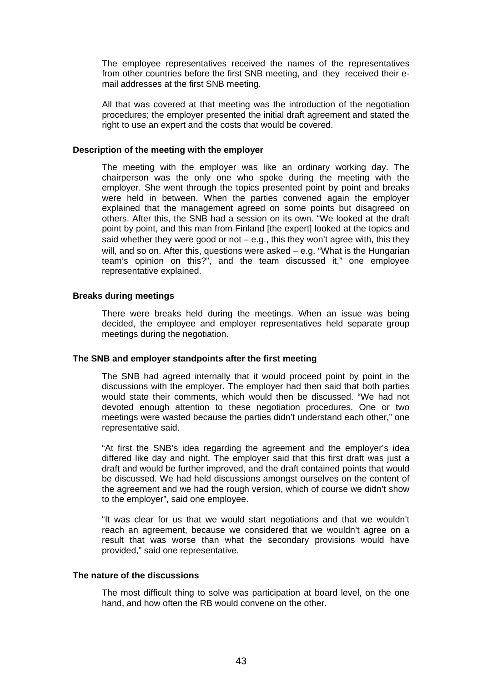The employee representatives received the names of the representatives from other countries before the first SNB meeting, and they received their email addresses at the first SNB meeting.

All that was covered at that meeting was the introduction of the negotiation procedures; the employer presented the initial draft agreement and stated the right to use an expert and the costs that would be covered.

#### **Description of the meeting with the employer**

The meeting with the employer was like an ordinary working day. The chairperson was the only one who spoke during the meeting with the employer. She went through the topics presented point by point and breaks were held in between. When the parties convened again the employer explained that the management agreed on some points but disagreed on others. After this, the SNB had a session on its own. "We looked at the draft point by point, and this man from Finland [the expert] looked at the topics and said whether they were good or not – e.g., this they won't agree with, this they will, and so on. After this, questions were asked – e.g. "What is the Hungarian team's opinion on this?", and the team discussed it," one employee representative explained.

#### **Breaks during meetings**

There were breaks held during the meetings. When an issue was being decided, the employee and employer representatives held separate group meetings during the negotiation.

## **The SNB and employer standpoints after the first meeting**

The SNB had agreed internally that it would proceed point by point in the discussions with the employer. The employer had then said that both parties would state their comments, which would then be discussed. "We had not devoted enough attention to these negotiation procedures. One or two meetings were wasted because the parties didn't understand each other," one representative said.

"At first the SNB's idea regarding the agreement and the employer's idea differed like day and night. The employer said that this first draft was just a draft and would be further improved, and the draft contained points that would be discussed. We had held discussions amongst ourselves on the content of the agreement and we had the rough version, which of course we didn't show to the employer", said one employee.

"It was clear for us that we would start negotiations and that we wouldn't reach an agreement, because we considered that we wouldn't agree on a result that was worse than what the secondary provisions would have provided," said one representative.

#### **The nature of the discussions**

The most difficult thing to solve was participation at board level, on the one hand, and how often the RB would convene on the other.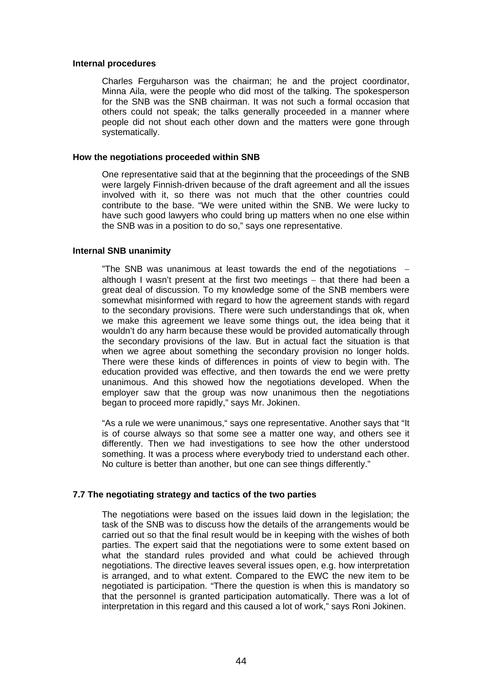#### **Internal procedures**

Charles Ferguharson was the chairman; he and the project coordinator, Minna Aila, were the people who did most of the talking. The spokesperson for the SNB was the SNB chairman. It was not such a formal occasion that others could not speak; the talks generally proceeded in a manner where people did not shout each other down and the matters were gone through systematically.

## **How the negotiations proceeded within SNB**

One representative said that at the beginning that the proceedings of the SNB were largely Finnish-driven because of the draft agreement and all the issues involved with it, so there was not much that the other countries could contribute to the base. "We were united within the SNB. We were lucky to have such good lawyers who could bring up matters when no one else within the SNB was in a position to do so," says one representative.

## **Internal SNB unanimity**

"The SNB was unanimous at least towards the end of the negotiations – although I wasn't present at the first two meetings – that there had been a great deal of discussion. To my knowledge some of the SNB members were somewhat misinformed with regard to how the agreement stands with regard to the secondary provisions. There were such understandings that ok, when we make this agreement we leave some things out, the idea being that it wouldn't do any harm because these would be provided automatically through the secondary provisions of the law. But in actual fact the situation is that when we agree about something the secondary provision no longer holds. There were these kinds of differences in points of view to begin with. The education provided was effective, and then towards the end we were pretty unanimous. And this showed how the negotiations developed. When the employer saw that the group was now unanimous then the negotiations began to proceed more rapidly," says Mr. Jokinen.

"As a rule we were unanimous," says one representative. Another says that "It is of course always so that some see a matter one way, and others see it differently. Then we had investigations to see how the other understood something. It was a process where everybody tried to understand each other. No culture is better than another, but one can see things differently."

## **7.7 The negotiating strategy and tactics of the two parties**

The negotiations were based on the issues laid down in the legislation; the task of the SNB was to discuss how the details of the arrangements would be carried out so that the final result would be in keeping with the wishes of both parties. The expert said that the negotiations were to some extent based on what the standard rules provided and what could be achieved through negotiations. The directive leaves several issues open, e.g. how interpretation is arranged, and to what extent. Compared to the EWC the new item to be negotiated is participation. "There the question is when this is mandatory so that the personnel is granted participation automatically. There was a lot of interpretation in this regard and this caused a lot of work," says Roni Jokinen.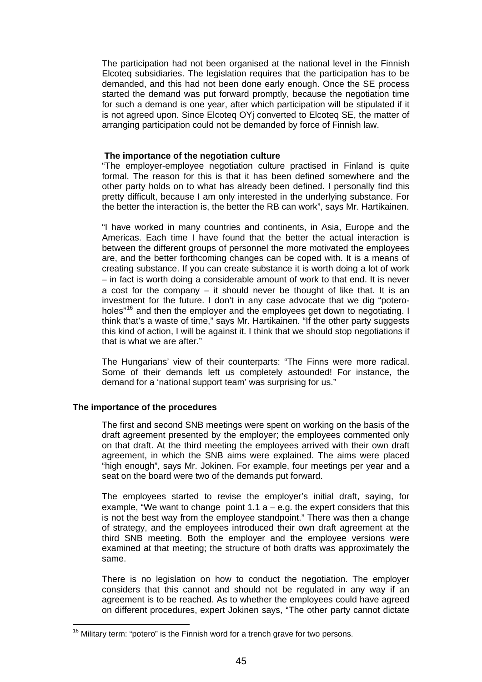The participation had not been organised at the national level in the Finnish Elcoteq subsidiaries. The legislation requires that the participation has to be demanded, and this had not been done early enough. Once the SE process started the demand was put forward promptly, because the negotiation time for such a demand is one year, after which participation will be stipulated if it is not agreed upon. Since Elcoteq OYj converted to Elcoteq SE, the matter of arranging participation could not be demanded by force of Finnish law.

#### **The importance of the negotiation culture**

"The employer-employee negotiation culture practised in Finland is quite formal. The reason for this is that it has been defined somewhere and the other party holds on to what has already been defined. I personally find this pretty difficult, because I am only interested in the underlying substance. For the better the interaction is, the better the RB can work", says Mr. Hartikainen.

"I have worked in many countries and continents, in Asia, Europe and the Americas. Each time I have found that the better the actual interaction is between the different groups of personnel the more motivated the employees are, and the better forthcoming changes can be coped with. It is a means of creating substance. If you can create substance it is worth doing a lot of work − in fact is worth doing a considerable amount of work to that end. It is never a cost for the company – it should never be thought of like that. It is an investment for the future. I don't in any case advocate that we dig "potero-holes"<sup>[16](#page-47-0)</sup> and then the employer and the employees get down to negotiating. I think that's a waste of time," says Mr. Hartikainen. "If the other party suggests this kind of action, I will be against it. I think that we should stop negotiations if that is what we are after."

The Hungarians' view of their counterparts: "The Finns were more radical. Some of their demands left us completely astounded! For instance, the demand for a 'national support team' was surprising for us."

## **The importance of the procedures**

 $\overline{a}$ 

The first and second SNB meetings were spent on working on the basis of the draft agreement presented by the employer; the employees commented only on that draft. At the third meeting the employees arrived with their own draft agreement, in which the SNB aims were explained. The aims were placed "high enough", says Mr. Jokinen. For example, four meetings per year and a seat on the board were two of the demands put forward.

The employees started to revise the employer's initial draft, saying, for example, "We want to change point  $1.1$  a – e.g. the expert considers that this is not the best way from the employee standpoint." There was then a change of strategy, and the employees introduced their own draft agreement at the third SNB meeting. Both the employer and the employee versions were examined at that meeting; the structure of both drafts was approximately the same.

There is no legislation on how to conduct the negotiation. The employer considers that this cannot and should not be regulated in any way if an agreement is to be reached. As to whether the employees could have agreed on different procedures, expert Jokinen says, "The other party cannot dictate

<span id="page-47-0"></span> $16$  Military term: "potero" is the Finnish word for a trench grave for two persons.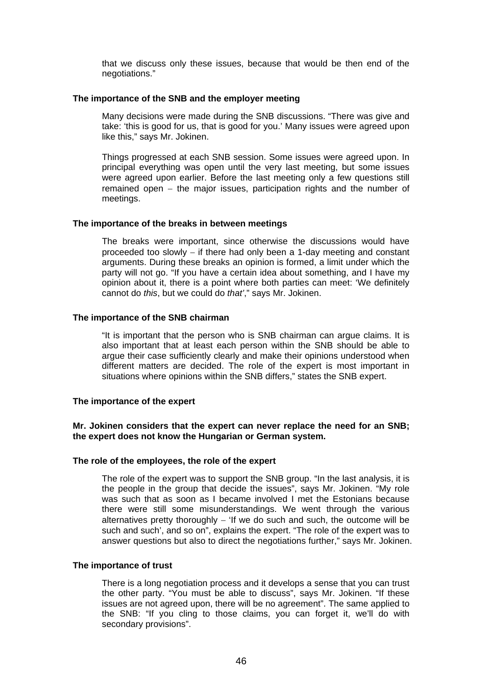that we discuss only these issues, because that would be then end of the negotiations."

#### **The importance of the SNB and the employer meeting**

Many decisions were made during the SNB discussions. "There was give and take: 'this is good for us, that is good for you.' Many issues were agreed upon like this," says Mr. Jokinen.

Things progressed at each SNB session. Some issues were agreed upon. In principal everything was open until the very last meeting, but some issues were agreed upon earlier. Before the last meeting only a few questions still remained open − the major issues, participation rights and the number of meetings.

#### **The importance of the breaks in between meetings**

The breaks were important, since otherwise the discussions would have proceeded too slowly − if there had only been a 1-day meeting and constant arguments. During these breaks an opinion is formed, a limit under which the party will not go. "If you have a certain idea about something, and I have my opinion about it, there is a point where both parties can meet: 'We definitely cannot do *this*, but we could do *that'*," says Mr. Jokinen.

#### **The importance of the SNB chairman**

"It is important that the person who is SNB chairman can argue claims. It is also important that at least each person within the SNB should be able to argue their case sufficiently clearly and make their opinions understood when different matters are decided. The role of the expert is most important in situations where opinions within the SNB differs," states the SNB expert.

## **The importance of the expert**

## **Mr. Jokinen considers that the expert can never replace the need for an SNB; the expert does not know the Hungarian or German system.**

#### **The role of the employees, the role of the expert**

The role of the expert was to support the SNB group. "In the last analysis, it is the people in the group that decide the issues", says Mr. Jokinen. "My role was such that as soon as I became involved I met the Estonians because there were still some misunderstandings. We went through the various alternatives pretty thoroughly − 'If we do such and such, the outcome will be such and such', and so on", explains the expert. "The role of the expert was to answer questions but also to direct the negotiations further," says Mr. Jokinen.

#### **The importance of trust**

There is a long negotiation process and it develops a sense that you can trust the other party. "You must be able to discuss", says Mr. Jokinen. "If these issues are not agreed upon, there will be no agreement". The same applied to the SNB: "If you cling to those claims, you can forget it, we'll do with secondary provisions".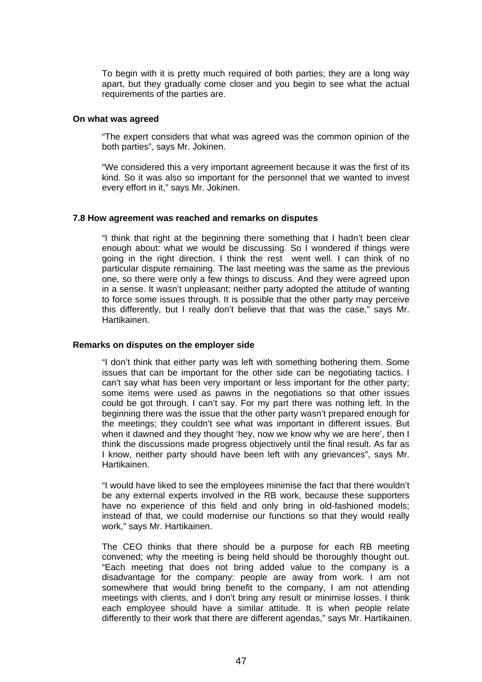To begin with it is pretty much required of both parties; they are a long way apart, but they gradually come closer and you begin to see what the actual requirements of the parties are.

#### **On what was agreed**

"The expert considers that what was agreed was the common opinion of the both parties", says Mr. Jokinen.

"We considered this a very important agreement because it was the first of its kind. So it was also so important for the personnel that we wanted to invest every effort in it," says Mr. Jokinen.

#### **7.8 How agreement was reached and remarks on disputes**

"I think that right at the beginning there something that I hadn't been clear enough about: what we would be discussing. So I wondered if things were going in the right direction. I think the rest went well. I can think of no particular dispute remaining. The last meeting was the same as the previous one, so there were only a few things to discuss. And they were agreed upon in a sense. It wasn't unpleasant; neither party adopted the attitude of wanting to force some issues through. It is possible that the other party may perceive this differently, but I really don't believe that that was the case," says Mr. Hartikainen.

#### **Remarks on disputes on the employer side**

"I don't think that either party was left with something bothering them. Some issues that can be important for the other side can be negotiating tactics. I can't say what has been very important or less important for the other party; some items were used as pawns in the negotiations so that other issues could be got through. I can't say. For my part there was nothing left. In the beginning there was the issue that the other party wasn't prepared enough for the meetings; they couldn't see what was important in different issues. But when it dawned and they thought 'hey, now we know why we are here', then I think the discussions made progress objectively until the final result. As far as I know, neither party should have been left with any grievances", says Mr. Hartikainen.

"I would have liked to see the employees minimise the fact that there wouldn't be any external experts involved in the RB work, because these supporters have no experience of this field and only bring in old-fashioned models; instead of that, we could modernise our functions so that they would really work," says Mr. Hartikainen.

The CEO thinks that there should be a purpose for each RB meeting convened; why the meeting is being held should be thoroughly thought out. "Each meeting that does not bring added value to the company is a disadvantage for the company: people are away from work. I am not somewhere that would bring benefit to the company, I am not attending meetings with clients, and I don't bring any result or minimise losses. I think each employee should have a similar attitude. It is when people relate differently to their work that there are different agendas," says Mr. Hartikainen.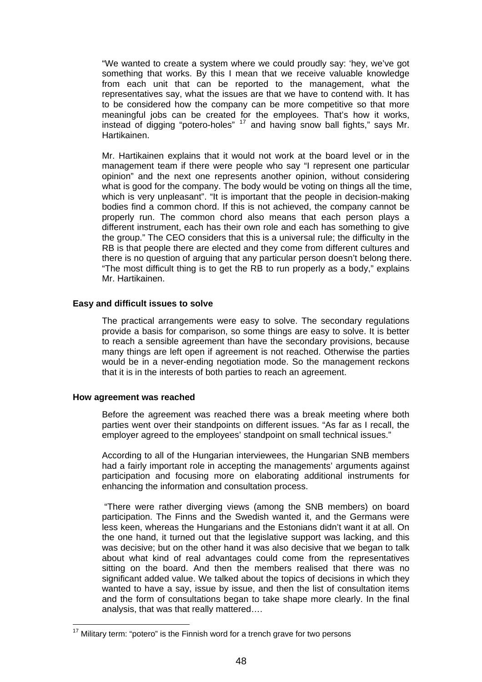"We wanted to create a system where we could proudly say: 'hey, we've got something that works. By this I mean that we receive valuable knowledge from each unit that can be reported to the management, what the representatives say, what the issues are that we have to contend with. It has to be considered how the company can be more competitive so that more meaningful jobs can be created for the employees. That's how it works, instead of digging "potero-holes" [17](#page-50-0) and having snow ball fights," says Mr. Hartikainen.

Mr. Hartikainen explains that it would not work at the board level or in the management team if there were people who say "I represent one particular opinion" and the next one represents another opinion, without considering what is good for the company. The body would be voting on things all the time, which is very unpleasant". "It is important that the people in decision-making bodies find a common chord. If this is not achieved, the company cannot be properly run. The common chord also means that each person plays a different instrument, each has their own role and each has something to give the group." The CEO considers that this is a universal rule; the difficulty in the RB is that people there are elected and they come from different cultures and there is no question of arguing that any particular person doesn't belong there. "The most difficult thing is to get the RB to run properly as a body," explains Mr. Hartikainen.

## **Easy and difficult issues to solve**

The practical arrangements were easy to solve. The secondary regulations provide a basis for comparison, so some things are easy to solve. It is better to reach a sensible agreement than have the secondary provisions, because many things are left open if agreement is not reached. Otherwise the parties would be in a never-ending negotiation mode. So the management reckons that it is in the interests of both parties to reach an agreement.

## **How agreement was reached**

 $\overline{a}$ 

Before the agreement was reached there was a break meeting where both parties went over their standpoints on different issues. "As far as I recall, the employer agreed to the employees' standpoint on small technical issues."

According to all of the Hungarian interviewees, the Hungarian SNB members had a fairly important role in accepting the managements' arguments against participation and focusing more on elaborating additional instruments for enhancing the information and consultation process.

 "There were rather diverging views (among the SNB members) on board participation. The Finns and the Swedish wanted it, and the Germans were less keen, whereas the Hungarians and the Estonians didn't want it at all. On the one hand, it turned out that the legislative support was lacking, and this was decisive; but on the other hand it was also decisive that we began to talk about what kind of real advantages could come from the representatives sitting on the board. And then the members realised that there was no significant added value. We talked about the topics of decisions in which they wanted to have a say, issue by issue, and then the list of consultation items and the form of consultations began to take shape more clearly. In the final analysis, that was that really mattered….

<span id="page-50-0"></span> $17$  Military term: "potero" is the Finnish word for a trench grave for two persons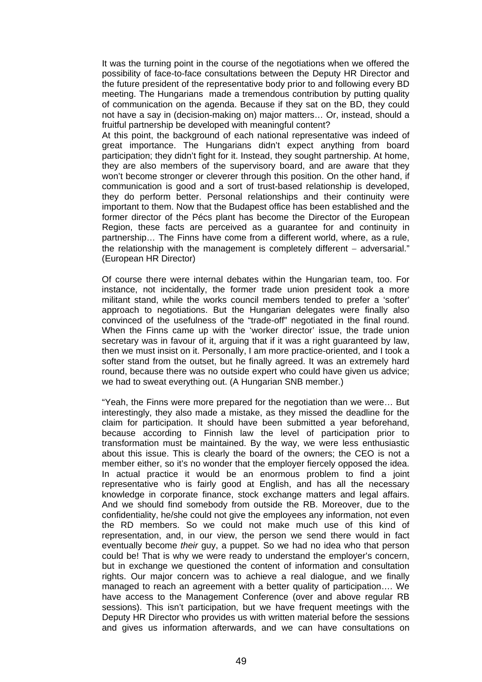It was the turning point in the course of the negotiations when we offered the possibility of face-to-face consultations between the Deputy HR Director and the future president of the representative body prior to and following every BD meeting. The Hungarians made a tremendous contribution by putting quality of communication on the agenda. Because if they sat on the BD, they could not have a say in (decision-making on) major matters… Or, instead, should a fruitful partnership be developed with meaningful content?

At this point, the background of each national representative was indeed of great importance. The Hungarians didn't expect anything from board participation; they didn't fight for it. Instead, they sought partnership. At home, they are also members of the supervisory board, and are aware that they won't become stronger or cleverer through this position. On the other hand, if communication is good and a sort of trust-based relationship is developed, they do perform better. Personal relationships and their continuity were important to them. Now that the Budapest office has been established and the former director of the Pécs plant has become the Director of the European Region, these facts are perceived as a guarantee for and continuity in partnership… The Finns have come from a different world, where, as a rule, the relationship with the management is completely different – adversarial." (European HR Director)

Of course there were internal debates within the Hungarian team, too. For instance, not incidentally, the former trade union president took a more militant stand, while the works council members tended to prefer a 'softer' approach to negotiations. But the Hungarian delegates were finally also convinced of the usefulness of the "trade-off" negotiated in the final round. When the Finns came up with the 'worker director' issue, the trade union secretary was in favour of it, arguing that if it was a right guaranteed by law, then we must insist on it. Personally, I am more practice-oriented, and I took a softer stand from the outset, but he finally agreed. It was an extremely hard round, because there was no outside expert who could have given us advice; we had to sweat everything out. (A Hungarian SNB member.)

"Yeah, the Finns were more prepared for the negotiation than we were… But interestingly, they also made a mistake, as they missed the deadline for the claim for participation. It should have been submitted a year beforehand, because according to Finnish law the level of participation prior to transformation must be maintained. By the way, we were less enthusiastic about this issue. This is clearly the board of the owners; the CEO is not a member either, so it's no wonder that the employer fiercely opposed the idea. In actual practice it would be an enormous problem to find a joint representative who is fairly good at English, and has all the necessary knowledge in corporate finance, stock exchange matters and legal affairs. And we should find somebody from outside the RB. Moreover, due to the confidentiality, he/she could not give the employees any information, not even the RD members. So we could not make much use of this kind of representation, and, in our view, the person we send there would in fact eventually become *their* guy, a puppet. So we had no idea who that person could be! That is why we were ready to understand the employer's concern, but in exchange we questioned the content of information and consultation rights. Our major concern was to achieve a real dialogue, and we finally managed to reach an agreement with a better quality of participation…. We have access to the Management Conference (over and above regular RB sessions). This isn't participation, but we have frequent meetings with the Deputy HR Director who provides us with written material before the sessions and gives us information afterwards, and we can have consultations on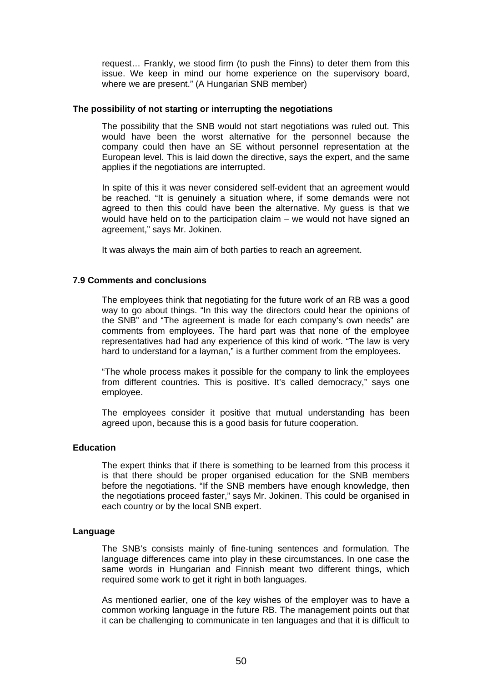request… Frankly, we stood firm (to push the Finns) to deter them from this issue. We keep in mind our home experience on the supervisory board, where we are present." (A Hungarian SNB member)

#### **The possibility of not starting or interrupting the negotiations**

The possibility that the SNB would not start negotiations was ruled out. This would have been the worst alternative for the personnel because the company could then have an SE without personnel representation at the European level. This is laid down the directive, says the expert, and the same applies if the negotiations are interrupted.

In spite of this it was never considered self-evident that an agreement would be reached. "It is genuinely a situation where, if some demands were not agreed to then this could have been the alternative. My guess is that we would have held on to the participation claim − we would not have signed an agreement," says Mr. Jokinen.

It was always the main aim of both parties to reach an agreement.

## **7.9 Comments and conclusions**

The employees think that negotiating for the future work of an RB was a good way to go about things. "In this way the directors could hear the opinions of the SNB" and "The agreement is made for each company's own needs" are comments from employees. The hard part was that none of the employee representatives had had any experience of this kind of work. "The law is very hard to understand for a layman," is a further comment from the employees.

"The whole process makes it possible for the company to link the employees from different countries. This is positive. It's called democracy," says one employee.

The employees consider it positive that mutual understanding has been agreed upon, because this is a good basis for future cooperation.

#### **Education**

The expert thinks that if there is something to be learned from this process it is that there should be proper organised education for the SNB members before the negotiations. "If the SNB members have enough knowledge, then the negotiations proceed faster," says Mr. Jokinen. This could be organised in each country or by the local SNB expert.

## **Language**

The SNB's consists mainly of fine-tuning sentences and formulation. The language differences came into play in these circumstances. In one case the same words in Hungarian and Finnish meant two different things, which required some work to get it right in both languages.

As mentioned earlier, one of the key wishes of the employer was to have a common working language in the future RB. The management points out that it can be challenging to communicate in ten languages and that it is difficult to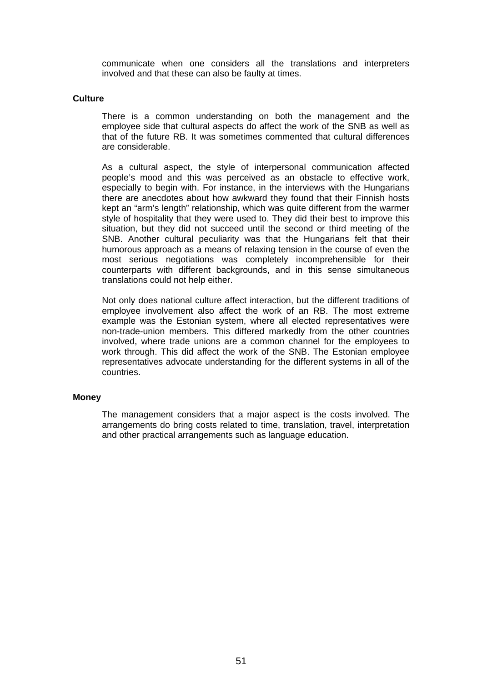communicate when one considers all the translations and interpreters involved and that these can also be faulty at times.

## **Culture**

There is a common understanding on both the management and the employee side that cultural aspects do affect the work of the SNB as well as that of the future RB. It was sometimes commented that cultural differences are considerable.

As a cultural aspect, the style of interpersonal communication affected people's mood and this was perceived as an obstacle to effective work, especially to begin with. For instance, in the interviews with the Hungarians there are anecdotes about how awkward they found that their Finnish hosts kept an "arm's length" relationship, which was quite different from the warmer style of hospitality that they were used to. They did their best to improve this situation, but they did not succeed until the second or third meeting of the SNB. Another cultural peculiarity was that the Hungarians felt that their humorous approach as a means of relaxing tension in the course of even the most serious negotiations was completely incomprehensible for their counterparts with different backgrounds, and in this sense simultaneous translations could not help either.

Not only does national culture affect interaction, but the different traditions of employee involvement also affect the work of an RB. The most extreme example was the Estonian system, where all elected representatives were non-trade-union members. This differed markedly from the other countries involved, where trade unions are a common channel for the employees to work through. This did affect the work of the SNB. The Estonian employee representatives advocate understanding for the different systems in all of the countries.

## **Money**

The management considers that a major aspect is the costs involved. The arrangements do bring costs related to time, translation, travel, interpretation and other practical arrangements such as language education.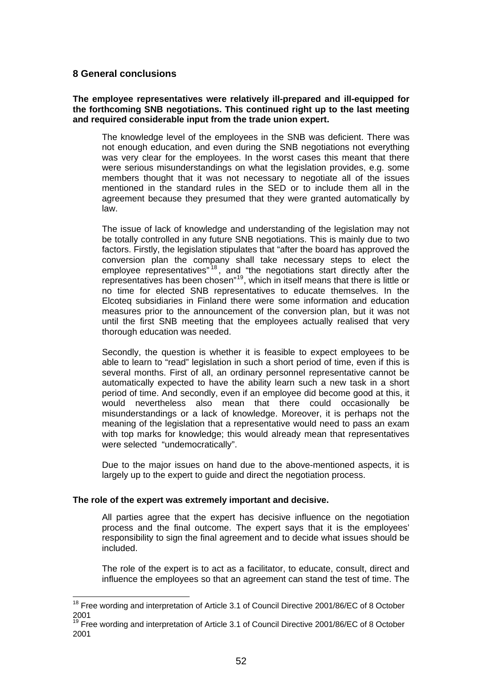## **8 General conclusions**

## **The employee representatives were relatively ill-prepared and ill-equipped for the forthcoming SNB negotiations. This continued right up to the last meeting and required considerable input from the trade union expert.**

The knowledge level of the employees in the SNB was deficient. There was not enough education, and even during the SNB negotiations not everything was very clear for the employees. In the worst cases this meant that there were serious misunderstandings on what the legislation provides, e.g. some members thought that it was not necessary to negotiate all of the issues mentioned in the standard rules in the SED or to include them all in the agreement because they presumed that they were granted automatically by law.

The issue of lack of knowledge and understanding of the legislation may not be totally controlled in any future SNB negotiations. This is mainly due to two factors. Firstly, the legislation stipulates that "after the board has approved the conversion plan the company shall take necessary steps to elect the employee representatives"<sup>[18](#page-54-0)</sup>, and "the negotiations start directly after the representatives has been chosen<sup>"[19](#page-54-1)</sup>, which in itself means that there is little or no time for elected SNB representatives to educate themselves. In the Elcoteq subsidiaries in Finland there were some information and education measures prior to the announcement of the conversion plan, but it was not until the first SNB meeting that the employees actually realised that very thorough education was needed.

Secondly, the question is whether it is feasible to expect employees to be able to learn to "read" legislation in such a short period of time, even if this is several months. First of all, an ordinary personnel representative cannot be automatically expected to have the ability learn such a new task in a short period of time. And secondly, even if an employee did become good at this, it would nevertheless also mean that there could occasionally be misunderstandings or a lack of knowledge. Moreover, it is perhaps not the meaning of the legislation that a representative would need to pass an exam with top marks for knowledge; this would already mean that representatives were selected "undemocratically".

Due to the major issues on hand due to the above-mentioned aspects, it is largely up to the expert to guide and direct the negotiation process.

## **The role of the expert was extremely important and decisive.**

 $\overline{a}$ 

All parties agree that the expert has decisive influence on the negotiation process and the final outcome. The expert says that it is the employees' responsibility to sign the final agreement and to decide what issues should be included.

The role of the expert is to act as a facilitator, to educate, consult, direct and influence the employees so that an agreement can stand the test of time. The

<span id="page-54-0"></span> $18$  Free wording and interpretation of Article 3.1 of Council Directive 2001/86/EC of 8 October 2001

<span id="page-54-1"></span> $19$  Free wording and interpretation of Article 3.1 of Council Directive 2001/86/EC of 8 October 2001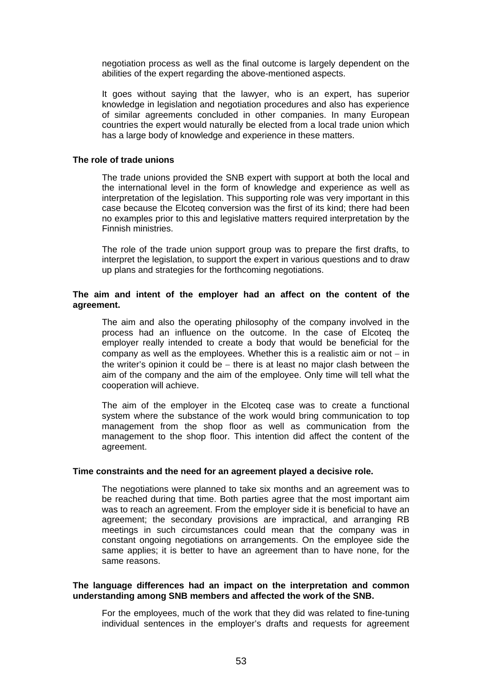negotiation process as well as the final outcome is largely dependent on the abilities of the expert regarding the above-mentioned aspects.

It goes without saying that the lawyer, who is an expert, has superior knowledge in legislation and negotiation procedures and also has experience of similar agreements concluded in other companies. In many European countries the expert would naturally be elected from a local trade union which has a large body of knowledge and experience in these matters.

#### **The role of trade unions**

The trade unions provided the SNB expert with support at both the local and the international level in the form of knowledge and experience as well as interpretation of the legislation. This supporting role was very important in this case because the Elcoteq conversion was the first of its kind; there had been no examples prior to this and legislative matters required interpretation by the Finnish ministries.

The role of the trade union support group was to prepare the first drafts, to interpret the legislation, to support the expert in various questions and to draw up plans and strategies for the forthcoming negotiations.

## **The aim and intent of the employer had an affect on the content of the agreement.**

The aim and also the operating philosophy of the company involved in the process had an influence on the outcome. In the case of Elcoteq the employer really intended to create a body that would be beneficial for the company as well as the employees. Whether this is a realistic aim or not – in the writer's opinion it could be − there is at least no major clash between the aim of the company and the aim of the employee. Only time will tell what the cooperation will achieve.

The aim of the employer in the Elcoteq case was to create a functional system where the substance of the work would bring communication to top management from the shop floor as well as communication from the management to the shop floor. This intention did affect the content of the agreement.

## **Time constraints and the need for an agreement played a decisive role.**

The negotiations were planned to take six months and an agreement was to be reached during that time. Both parties agree that the most important aim was to reach an agreement. From the employer side it is beneficial to have an agreement; the secondary provisions are impractical, and arranging RB meetings in such circumstances could mean that the company was in constant ongoing negotiations on arrangements. On the employee side the same applies; it is better to have an agreement than to have none, for the same reasons.

## **The language differences had an impact on the interpretation and common understanding among SNB members and affected the work of the SNB.**

For the employees, much of the work that they did was related to fine-tuning individual sentences in the employer's drafts and requests for agreement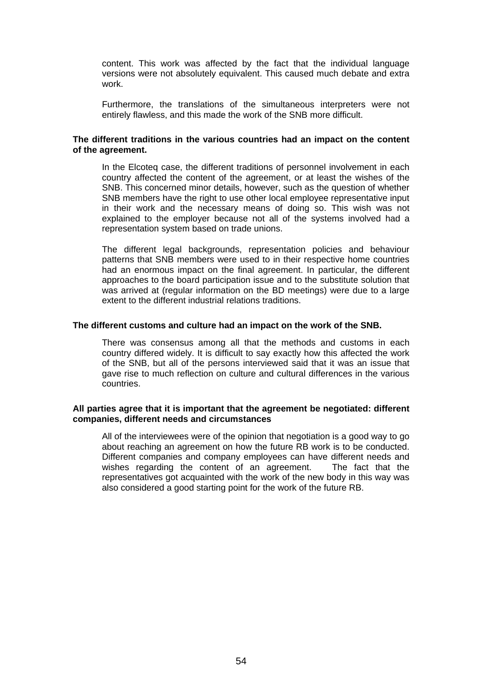content. This work was affected by the fact that the individual language versions were not absolutely equivalent. This caused much debate and extra work.

Furthermore, the translations of the simultaneous interpreters were not entirely flawless, and this made the work of the SNB more difficult.

## **The different traditions in the various countries had an impact on the content of the agreement.**

In the Elcoteq case, the different traditions of personnel involvement in each country affected the content of the agreement, or at least the wishes of the SNB. This concerned minor details, however, such as the question of whether SNB members have the right to use other local employee representative input in their work and the necessary means of doing so. This wish was not explained to the employer because not all of the systems involved had a representation system based on trade unions.

The different legal backgrounds, representation policies and behaviour patterns that SNB members were used to in their respective home countries had an enormous impact on the final agreement. In particular, the different approaches to the board participation issue and to the substitute solution that was arrived at (regular information on the BD meetings) were due to a large extent to the different industrial relations traditions.

#### **The different customs and culture had an impact on the work of the SNB.**

There was consensus among all that the methods and customs in each country differed widely. It is difficult to say exactly how this affected the work of the SNB, but all of the persons interviewed said that it was an issue that gave rise to much reflection on culture and cultural differences in the various countries.

## **All parties agree that it is important that the agreement be negotiated: different companies, different needs and circumstances**

All of the interviewees were of the opinion that negotiation is a good way to go about reaching an agreement on how the future RB work is to be conducted. Different companies and company employees can have different needs and wishes regarding the content of an agreement. The fact that the representatives got acquainted with the work of the new body in this way was also considered a good starting point for the work of the future RB.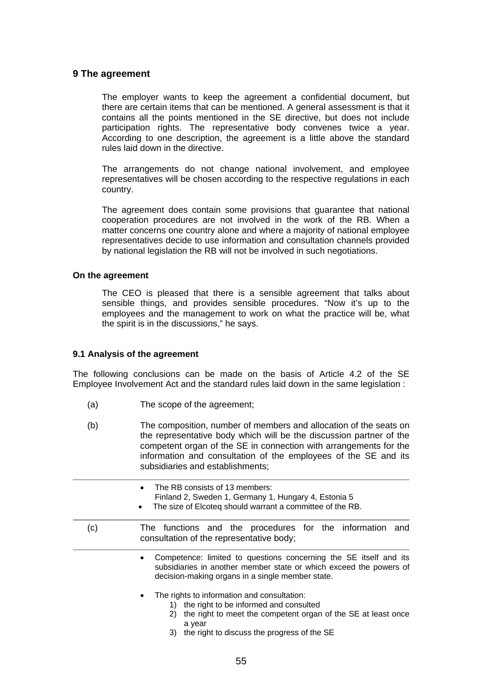## **9 The agreement**

The employer wants to keep the agreement a confidential document, but there are certain items that can be mentioned. A general assessment is that it contains all the points mentioned in the SE directive, but does not include participation rights. The representative body convenes twice a year. According to one description, the agreement is a little above the standard rules laid down in the directive.

The arrangements do not change national involvement, and employee representatives will be chosen according to the respective regulations in each country.

The agreement does contain some provisions that guarantee that national cooperation procedures are not involved in the work of the RB. When a matter concerns one country alone and where a majority of national employee representatives decide to use information and consultation channels provided by national legislation the RB will not be involved in such negotiations.

## **On the agreement**

The CEO is pleased that there is a sensible agreement that talks about sensible things, and provides sensible procedures. "Now it's up to the employees and the management to work on what the practice will be, what the spirit is in the discussions," he says.

## **9.1 Analysis of the agreement**

The following conclusions can be made on the basis of Article 4.2 of the SE Employee Involvement Act and the standard rules laid down in the same legislation :

- (a) The scope of the agreement;
- (b) The composition, number of members and allocation of the seats on the representative body which will be the discussion partner of the competent organ of the SE in connection with arrangements for the information and consultation of the employees of the SE and its subsidiaries and establishments;

|     | The RB consists of 13 members:<br>$\bullet$<br>Finland 2, Sweden 1, Germany 1, Hungary 4, Estonia 5<br>The size of Elcoteg should warrant a committee of the RB.<br>$\bullet$                            |
|-----|----------------------------------------------------------------------------------------------------------------------------------------------------------------------------------------------------------|
| (c) | The functions and the procedures for the information and<br>consultation of the representative body;                                                                                                     |
|     | Competence: limited to questions concerning the SE itself and its<br>$\bullet$<br>subsidiaries in another member state or which exceed the powers of<br>decision-making organs in a single member state. |
|     | The rights to information and consultation:<br>$\bullet$<br>the right to be informed and consulted<br>1)<br>the right to meet the competent organ of the SE at least once<br>2)<br>a year                |

3) the right to discuss the progress of the SE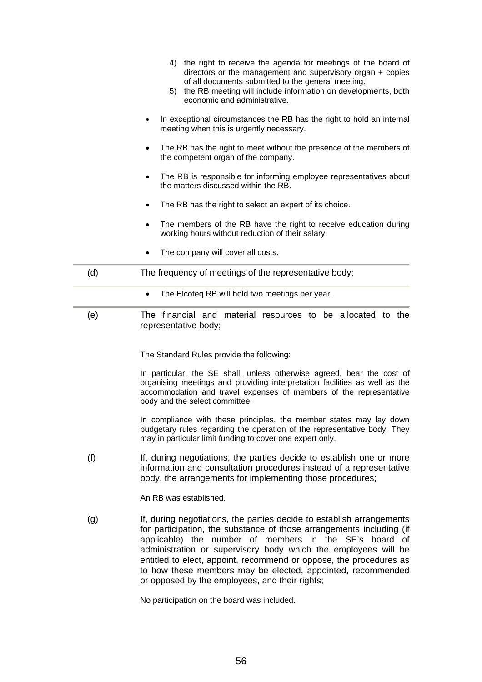|           | the right to receive the agenda for meetings of the board of<br>4)<br>directors or the management and supervisory organ + copies |
|-----------|----------------------------------------------------------------------------------------------------------------------------------|
|           | of all documents submitted to the general meeting.<br>the RB meeting will include information on developments, both<br>5)        |
|           | economic and administrative.                                                                                                     |
|           | In exceptional circumstances the RB has the right to hold an internal<br>meeting when this is urgently necessary.                |
|           | The RB has the right to meet without the presence of the members of<br>the competent organ of the company.                       |
| ٠         | The RB is responsible for informing employee representatives about<br>the matters discussed within the RB.                       |
|           | The RB has the right to select an expert of its choice.                                                                          |
| ٠         | The members of the RB have the right to receive education during<br>working hours without reduction of their salary.             |
|           | The company will cover all costs.                                                                                                |
| (d)       | The frequency of meetings of the representative body;                                                                            |
| $\bullet$ | The Elcoteq RB will hold two meetings per year.                                                                                  |
|           |                                                                                                                                  |

(e) The financial and material resources to be allocated to the representative body;

The Standard Rules provide the following:

In particular, the SE shall, unless otherwise agreed, bear the cost of organising meetings and providing interpretation facilities as well as the accommodation and travel expenses of members of the representative body and the select committee.

In compliance with these principles, the member states may lay down budgetary rules regarding the operation of the representative body. They may in particular limit funding to cover one expert only.

(f) If, during negotiations, the parties decide to establish one or more information and consultation procedures instead of a representative body, the arrangements for implementing those procedures;

An RB was established.

(g) If, during negotiations, the parties decide to establish arrangements for participation, the substance of those arrangements including (if applicable) the number of members in the SE's board of administration or supervisory body which the employees will be entitled to elect, appoint, recommend or oppose, the procedures as to how these members may be elected, appointed, recommended or opposed by the employees, and their rights;

No participation on the board was included.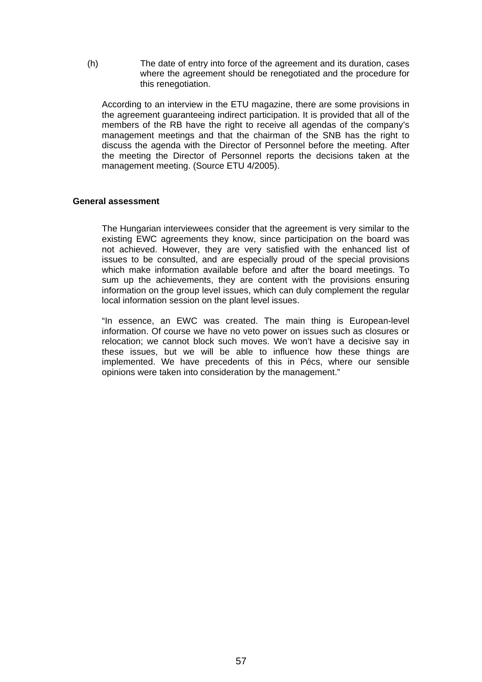(h) The date of entry into force of the agreement and its duration, cases where the agreement should be renegotiated and the procedure for this renegotiation.

According to an interview in the ETU magazine, there are some provisions in the agreement guaranteeing indirect participation. It is provided that all of the members of the RB have the right to receive all agendas of the company's management meetings and that the chairman of the SNB has the right to discuss the agenda with the Director of Personnel before the meeting. After the meeting the Director of Personnel reports the decisions taken at the management meeting. (Source ETU 4/2005).

## **General assessment**

The Hungarian interviewees consider that the agreement is very similar to the existing EWC agreements they know, since participation on the board was not achieved. However, they are very satisfied with the enhanced list of issues to be consulted, and are especially proud of the special provisions which make information available before and after the board meetings. To sum up the achievements, they are content with the provisions ensuring information on the group level issues, which can duly complement the regular local information session on the plant level issues.

"In essence, an EWC was created. The main thing is European-level information. Of course we have no veto power on issues such as closures or relocation; we cannot block such moves. We won't have a decisive say in these issues, but we will be able to influence how these things are implemented. We have precedents of this in Pécs, where our sensible opinions were taken into consideration by the management."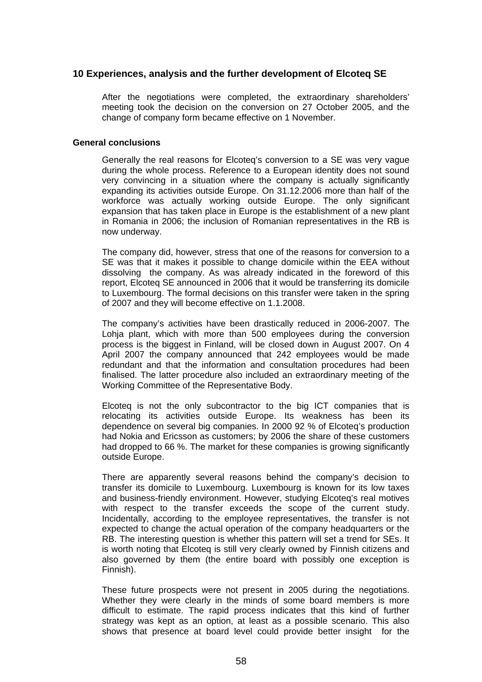## **10 Experiences, analysis and the further development of Elcoteq SE**

After the negotiations were completed, the extraordinary shareholders' meeting took the decision on the conversion on 27 October 2005, and the change of company form became effective on 1 November.

## **General conclusions**

Generally the real reasons for Elcoteq's conversion to a SE was very vague during the whole process. Reference to a European identity does not sound very convincing in a situation where the company is actually significantly expanding its activities outside Europe. On 31.12.2006 more than half of the workforce was actually working outside Europe. The only significant expansion that has taken place in Europe is the establishment of a new plant in Romania in 2006; the inclusion of Romanian representatives in the RB is now underway.

The company did, however, stress that one of the reasons for conversion to a SE was that it makes it possible to change domicile within the EEA without dissolving the company. As was already indicated in the foreword of this report, Elcoteq SE announced in 2006 that it would be transferring its domicile to Luxembourg. The formal decisions on this transfer were taken in the spring of 2007 and they will become effective on 1.1.2008.

The company's activities have been drastically reduced in 2006-2007. The Lohia plant, which with more than 500 employees during the conversion process is the biggest in Finland, will be closed down in August 2007. On 4 April 2007 the company announced that 242 employees would be made redundant and that the information and consultation procedures had been finalised. The latter procedure also included an extraordinary meeting of the Working Committee of the Representative Body.

Elcoteq is not the only subcontractor to the big ICT companies that is relocating its activities outside Europe. Its weakness has been its dependence on several big companies. In 2000 92 % of Elcoteq's production had Nokia and Ericsson as customers; by 2006 the share of these customers had dropped to 66 %. The market for these companies is growing significantly outside Europe.

There are apparently several reasons behind the company's decision to transfer its domicile to Luxembourg. Luxembourg is known for its low taxes and business-friendly environment. However, studying Elcoteq's real motives with respect to the transfer exceeds the scope of the current study. Incidentally, according to the employee representatives, the transfer is not expected to change the actual operation of the company headquarters or the RB. The interesting question is whether this pattern will set a trend for SEs. It is worth noting that Elcoteq is still very clearly owned by Finnish citizens and also governed by them (the entire board with possibly one exception is Finnish).

These future prospects were not present in 2005 during the negotiations. Whether they were clearly in the minds of some board members is more difficult to estimate. The rapid process indicates that this kind of further strategy was kept as an option, at least as a possible scenario. This also shows that presence at board level could provide better insight for the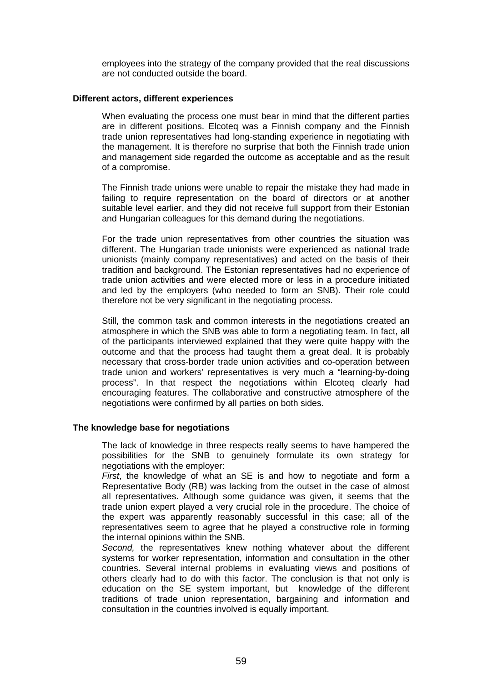employees into the strategy of the company provided that the real discussions are not conducted outside the board.

#### **Different actors, different experiences**

When evaluating the process one must bear in mind that the different parties are in different positions. Elcoteq was a Finnish company and the Finnish trade union representatives had long-standing experience in negotiating with the management. It is therefore no surprise that both the Finnish trade union and management side regarded the outcome as acceptable and as the result of a compromise.

The Finnish trade unions were unable to repair the mistake they had made in failing to require representation on the board of directors or at another suitable level earlier, and they did not receive full support from their Estonian and Hungarian colleagues for this demand during the negotiations.

For the trade union representatives from other countries the situation was different. The Hungarian trade unionists were experienced as national trade unionists (mainly company representatives) and acted on the basis of their tradition and background. The Estonian representatives had no experience of trade union activities and were elected more or less in a procedure initiated and led by the employers (who needed to form an SNB). Their role could therefore not be very significant in the negotiating process.

Still, the common task and common interests in the negotiations created an atmosphere in which the SNB was able to form a negotiating team. In fact, all of the participants interviewed explained that they were quite happy with the outcome and that the process had taught them a great deal. It is probably necessary that cross-border trade union activities and co-operation between trade union and workers' representatives is very much a "learning-by-doing process". In that respect the negotiations within Elcoteq clearly had encouraging features. The collaborative and constructive atmosphere of the negotiations were confirmed by all parties on both sides.

## **The knowledge base for negotiations**

The lack of knowledge in three respects really seems to have hampered the possibilities for the SNB to genuinely formulate its own strategy for negotiations with the employer:

*First*, the knowledge of what an SE is and how to negotiate and form a Representative Body (RB) was lacking from the outset in the case of almost all representatives. Although some guidance was given, it seems that the trade union expert played a very crucial role in the procedure. The choice of the expert was apparently reasonably successful in this case; all of the representatives seem to agree that he played a constructive role in forming the internal opinions within the SNB.

*Second,* the representatives knew nothing whatever about the different systems for worker representation, information and consultation in the other countries. Several internal problems in evaluating views and positions of others clearly had to do with this factor. The conclusion is that not only is education on the SE system important, but knowledge of the different traditions of trade union representation, bargaining and information and consultation in the countries involved is equally important.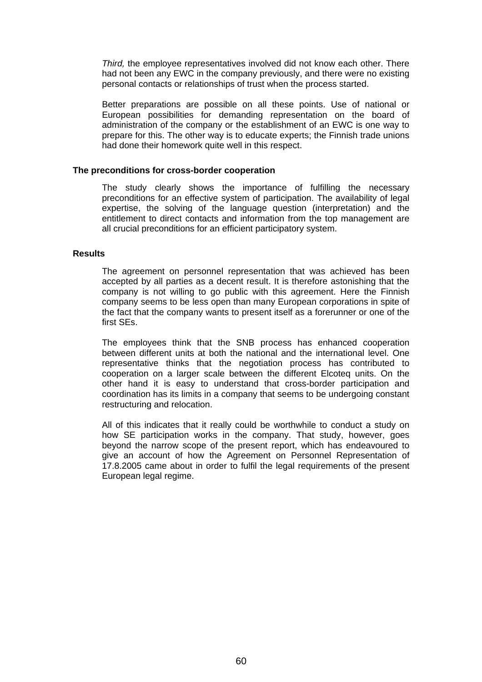*Third,* the employee representatives involved did not know each other. There had not been any EWC in the company previously, and there were no existing personal contacts or relationships of trust when the process started.

Better preparations are possible on all these points. Use of national or European possibilities for demanding representation on the board of administration of the company or the establishment of an EWC is one way to prepare for this. The other way is to educate experts; the Finnish trade unions had done their homework quite well in this respect.

## **The preconditions for cross-border cooperation**

The study clearly shows the importance of fulfilling the necessary preconditions for an effective system of participation. The availability of legal expertise, the solving of the language question (interpretation) and the entitlement to direct contacts and information from the top management are all crucial preconditions for an efficient participatory system.

#### **Results**

The agreement on personnel representation that was achieved has been accepted by all parties as a decent result. It is therefore astonishing that the company is not willing to go public with this agreement. Here the Finnish company seems to be less open than many European corporations in spite of the fact that the company wants to present itself as a forerunner or one of the first SEs.

The employees think that the SNB process has enhanced cooperation between different units at both the national and the international level. One representative thinks that the negotiation process has contributed to cooperation on a larger scale between the different Elcoteq units. On the other hand it is easy to understand that cross-border participation and coordination has its limits in a company that seems to be undergoing constant restructuring and relocation.

All of this indicates that it really could be worthwhile to conduct a study on how SE participation works in the company. That study, however, goes beyond the narrow scope of the present report, which has endeavoured to give an account of how the Agreement on Personnel Representation of 17.8.2005 came about in order to fulfil the legal requirements of the present European legal regime.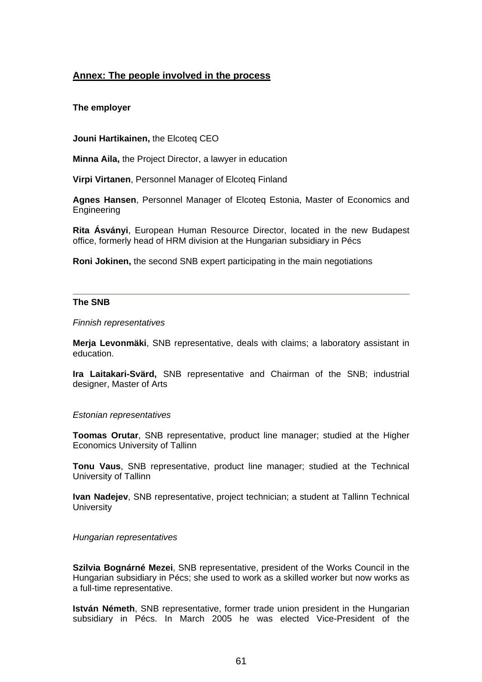## **Annex: The people involved in the process**

## **The employer**

**Jouni Hartikainen,** the Elcoteq CEO

**Minna Aila,** the Project Director, a lawyer in education

**Virpi Virtanen**, Personnel Manager of Elcoteq Finland

**Agnes Hansen**, Personnel Manager of Elcoteq Estonia, Master of Economics and **Engineering** 

**Rita Ásványi**, European Human Resource Director, located in the new Budapest office, formerly head of HRM division at the Hungarian subsidiary in Pécs

**Roni Jokinen,** the second SNB expert participating in the main negotiations

#### **The SNB**

*Finnish representatives* 

**Merja Levonmäki**, SNB representative, deals with claims; a laboratory assistant in education.

**Ira Laitakari-Svärd,** SNB representative and Chairman of the SNB; industrial designer, Master of Arts

#### *Estonian representatives*

**Toomas Orutar**, SNB representative, product line manager; studied at the Higher Economics University of Tallinn

**Tonu Vaus**, SNB representative, product line manager; studied at the Technical University of Tallinn

**Ivan Nadejev**, SNB representative, project technician; a student at Tallinn Technical **University** 

*Hungarian representatives* 

**Szilvia Bognárné Mezei**, SNB representative, president of the Works Council in the Hungarian subsidiary in Pécs; she used to work as a skilled worker but now works as a full-time representative.

**István Németh**, SNB representative, former trade union president in the Hungarian subsidiary in Pécs. In March 2005 he was elected Vice-President of the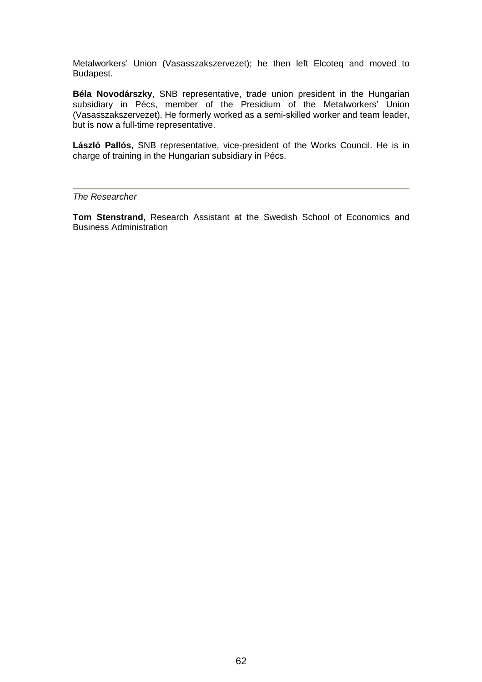Metalworkers' Union (Vasasszakszervezet); he then left Elcoteq and moved to Budapest.

**Béla Novodárszky**, SNB representative, trade union president in the Hungarian subsidiary in Pécs, member of the Presidium of the Metalworkers' Union (Vasasszakszervezet). He formerly worked as a semi-skilled worker and team leader, but is now a full-time representative.

**László Pallós**, SNB representative, vice-president of the Works Council. He is in charge of training in the Hungarian subsidiary in Pécs.

*The Researcher* 

**Tom Stenstrand,** Research Assistant at the Swedish School of Economics and Business Administration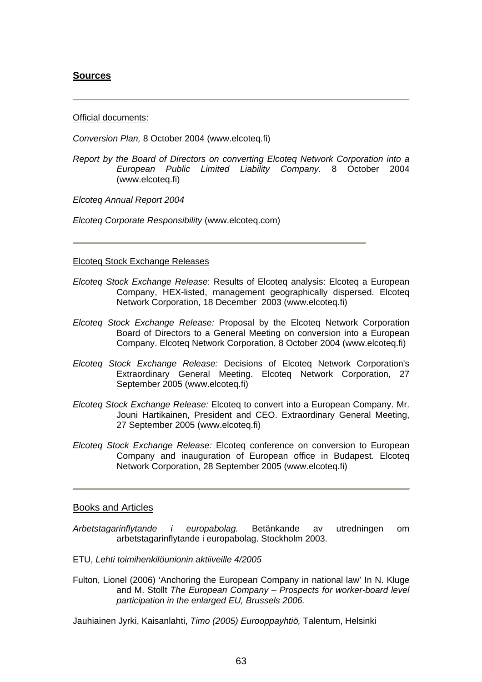## **Sources**

#### Official documents:

*Conversion Plan,* 8 October 2004 (www.elcoteq.fi)

*Report by the Board of Directors on converting Elcoteq Network Corporation into a European Public Limited Liability Company.* 8 October 2004 (www.elcoteq.fi)

*Elcoteq Annual Report 2004* 

*Elcoteq Corporate Responsibility* (www.elcoteq.com)

#### Elcoteq Stock Exchange Releases

- *Elcoteq Stock Exchange Release*: Results of Elcoteq analysis: Elcoteq a European Company, HEX-listed, management geographically dispersed. Elcoteq Network Corporation, 18 December 2003 (www.elcoteq.fi)
- *Elcoteq Stock Exchange Release:* Proposal by the Elcoteq Network Corporation Board of Directors to a General Meeting on conversion into a European Company. Elcoteq Network Corporation, 8 October 2004 (www.elcoteq.fi)
- *Elcoteq Stock Exchange Release:* Decisions of Elcoteq Network Corporation's Extraordinary General Meeting. Elcoteq Network Corporation, 27 September 2005 (www.elcoteq.fi)
- *Elcoteq Stock Exchange Release:* Elcoteq to convert into a European Company. Mr. Jouni Hartikainen, President and CEO. Extraordinary General Meeting, 27 September 2005 (www.elcoteq.fi)
- *Elcoteq Stock Exchange Release:* Elcoteq conference on conversion to European Company and inauguration of European office in Budapest. Elcoteq Network Corporation, 28 September 2005 (www.elcoteq.fi)

## Books and Articles

- *Arbetstagarinflytande i europabolag.* Betänkande av utredningen om arbetstagarinflytande i europabolag. Stockholm 2003.
- ETU, *Lehti toimihenkilöunionin aktiiveille 4/2005*
- Fulton, Lionel (2006) 'Anchoring the European Company in national law' In N. Kluge and M. Stollt *The European Company – Prospects for worker-board level participation in the enlarged EU, Brussels 2006.*

Jauhiainen Jyrki, Kaisanlahti, *Timo (2005) Eurooppayhtiö,* Talentum, Helsinki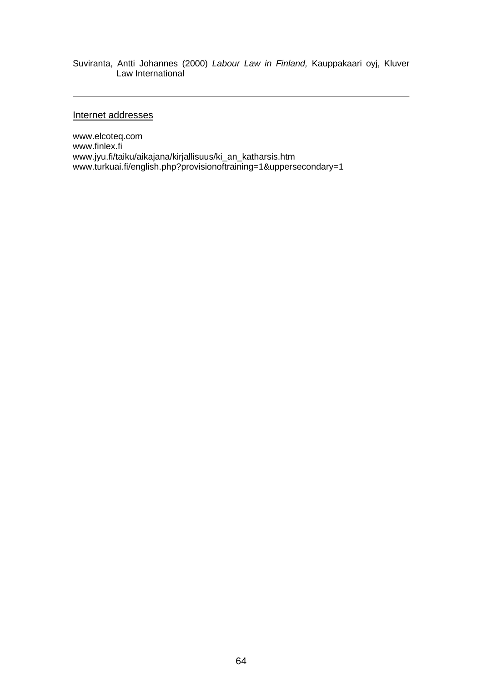## Suviranta, Antti Johannes (2000) *Labour Law in Finland,* Kauppakaari oyj, Kluver Law International

## Internet addresses

www.elcoteq.com www.finlex.fi www.jyu.fi/taiku/aikajana/kirjallisuus/ki\_an\_katharsis.htm www.turkuai.fi/english.php?provisionoftraining=1&uppersecondary=1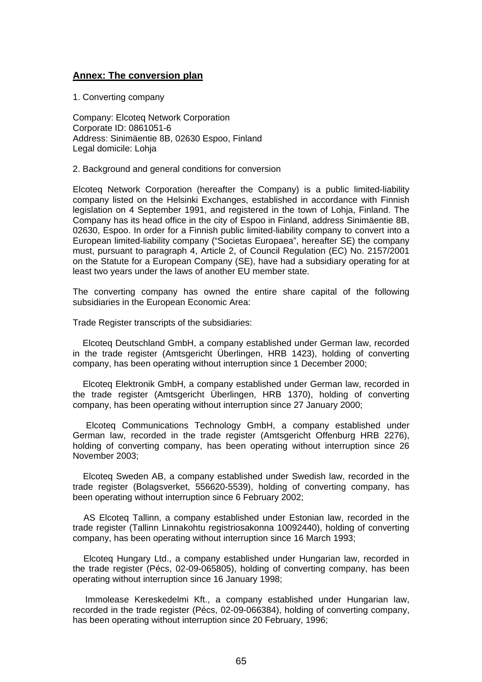## **Annex: The conversion plan**

1. Converting company

Company: Elcoteq Network Corporation Corporate ID: 0861051-6 Address: Sinimäentie 8B, 02630 Espoo, Finland Legal domicile: Lohja

2. Background and general conditions for conversion

Elcoteq Network Corporation (hereafter the Company) is a public limited-liability company listed on the Helsinki Exchanges, established in accordance with Finnish legislation on 4 September 1991, and registered in the town of Lohja, Finland. The Company has its head office in the city of Espoo in Finland, address Sinimäentie 8B, 02630, Espoo. In order for a Finnish public limited-liability company to convert into a European limited-liability company ("Societas Europaea", hereafter SE) the company must, pursuant to paragraph 4, Article 2, of Council Regulation (EC) No. 2157/2001 on the Statute for a European Company (SE), have had a subsidiary operating for at least two years under the laws of another EU member state.

The converting company has owned the entire share capital of the following subsidiaries in the European Economic Area:

Trade Register transcripts of the subsidiaries:

 Elcoteq Deutschland GmbH, a company established under German law, recorded in the trade register (Amtsgericht Überlingen, HRB 1423), holding of converting company, has been operating without interruption since 1 December 2000;

 Elcoteq Elektronik GmbH, a company established under German law, recorded in the trade register (Amtsgericht Überlingen, HRB 1370), holding of converting company, has been operating without interruption since 27 January 2000;

 Elcoteq Communications Technology GmbH, a company established under German law, recorded in the trade register (Amtsgericht Offenburg HRB 2276), holding of converting company, has been operating without interruption since 26 November 2003;

 Elcoteq Sweden AB, a company established under Swedish law, recorded in the trade register (Bolagsverket, 556620-5539), holding of converting company, has been operating without interruption since 6 February 2002;

 AS Elcoteq Tallinn, a company established under Estonian law, recorded in the trade register (Tallinn Linnakohtu registriosakonna 10092440), holding of converting company, has been operating without interruption since 16 March 1993;

 Elcoteq Hungary Ltd., a company established under Hungarian law, recorded in the trade register (Pécs, 02-09-065805), holding of converting company, has been operating without interruption since 16 January 1998;

 Immolease Kereskedelmi Kft., a company established under Hungarian law, recorded in the trade register (Pécs, 02-09-066384), holding of converting company, has been operating without interruption since 20 February, 1996;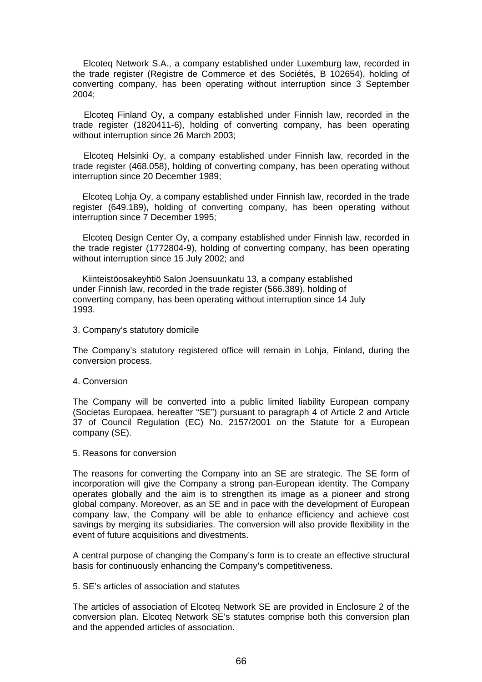Elcoteq Network S.A., a company established under Luxemburg law, recorded in the trade register (Registre de Commerce et des Sociétés, B 102654), holding of converting company, has been operating without interruption since 3 September 2004;

 Elcoteq Finland Oy, a company established under Finnish law, recorded in the trade register (1820411-6), holding of converting company, has been operating without interruption since 26 March 2003;

 Elcoteq Helsinki Oy, a company established under Finnish law, recorded in the trade register (468.058), holding of converting company, has been operating without interruption since 20 December 1989;

 Elcoteq Lohja Oy, a company established under Finnish law, recorded in the trade register (649.189), holding of converting company, has been operating without interruption since 7 December 1995;

 Elcoteq Design Center Oy, a company established under Finnish law, recorded in the trade register (1772804-9), holding of converting company, has been operating without interruption since 15 July 2002; and

 Kiinteistöosakeyhtiö Salon Joensuunkatu 13, a company established under Finnish law, recorded in the trade register (566.389), holding of converting company, has been operating without interruption since 14 July 1993.

3. Company's statutory domicile

The Company's statutory registered office will remain in Lohja, Finland, during the conversion process.

4. Conversion

The Company will be converted into a public limited liability European company (Societas Europaea, hereafter "SE") pursuant to paragraph 4 of Article 2 and Article 37 of Council Regulation (EC) No. 2157/2001 on the Statute for a European company (SE).

5. Reasons for conversion

The reasons for converting the Company into an SE are strategic. The SE form of incorporation will give the Company a strong pan-European identity. The Company operates globally and the aim is to strengthen its image as a pioneer and strong global company. Moreover, as an SE and in pace with the development of European company law, the Company will be able to enhance efficiency and achieve cost savings by merging its subsidiaries. The conversion will also provide flexibility in the event of future acquisitions and divestments.

A central purpose of changing the Company's form is to create an effective structural basis for continuously enhancing the Company's competitiveness.

5. SE's articles of association and statutes

The articles of association of Elcoteq Network SE are provided in Enclosure 2 of the conversion plan. Elcoteq Network SE's statutes comprise both this conversion plan and the appended articles of association.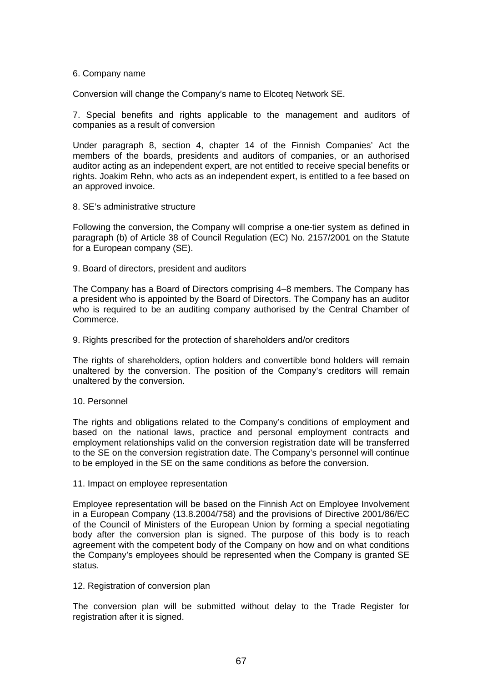## 6. Company name

Conversion will change the Company's name to Elcoteq Network SE.

7. Special benefits and rights applicable to the management and auditors of companies as a result of conversion

Under paragraph 8, section 4, chapter 14 of the Finnish Companies' Act the members of the boards, presidents and auditors of companies, or an authorised auditor acting as an independent expert, are not entitled to receive special benefits or rights. Joakim Rehn, who acts as an independent expert, is entitled to a fee based on an approved invoice.

## 8. SE's administrative structure

Following the conversion, the Company will comprise a one-tier system as defined in paragraph (b) of Article 38 of Council Regulation (EC) No. 2157/2001 on the Statute for a European company (SE).

9. Board of directors, president and auditors

The Company has a Board of Directors comprising 4–8 members. The Company has a president who is appointed by the Board of Directors. The Company has an auditor who is required to be an auditing company authorised by the Central Chamber of Commerce.

## 9. Rights prescribed for the protection of shareholders and/or creditors

The rights of shareholders, option holders and convertible bond holders will remain unaltered by the conversion. The position of the Company's creditors will remain unaltered by the conversion.

## 10. Personnel

The rights and obligations related to the Company's conditions of employment and based on the national laws, practice and personal employment contracts and employment relationships valid on the conversion registration date will be transferred to the SE on the conversion registration date. The Company's personnel will continue to be employed in the SE on the same conditions as before the conversion.

## 11. Impact on employee representation

Employee representation will be based on the Finnish Act on Employee Involvement in a European Company (13.8.2004/758) and the provisions of Directive 2001/86/EC of the Council of Ministers of the European Union by forming a special negotiating body after the conversion plan is signed. The purpose of this body is to reach agreement with the competent body of the Company on how and on what conditions the Company's employees should be represented when the Company is granted SE status.

## 12. Registration of conversion plan

The conversion plan will be submitted without delay to the Trade Register for registration after it is signed.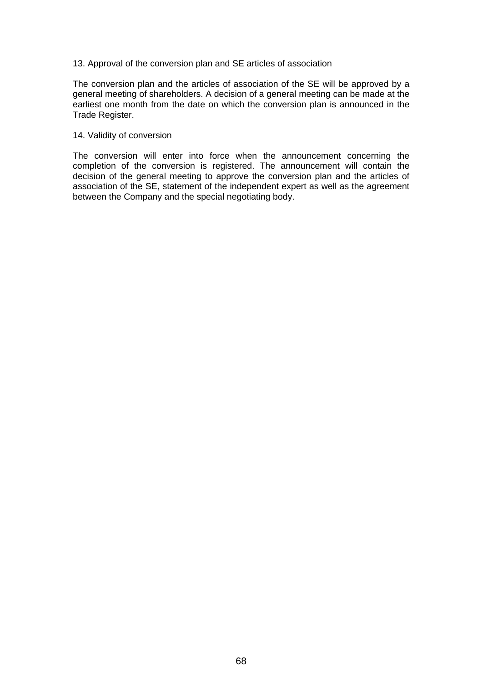13. Approval of the conversion plan and SE articles of association

The conversion plan and the articles of association of the SE will be approved by a general meeting of shareholders. A decision of a general meeting can be made at the earliest one month from the date on which the conversion plan is announced in the Trade Register.

14. Validity of conversion

The conversion will enter into force when the announcement concerning the completion of the conversion is registered. The announcement will contain the decision of the general meeting to approve the conversion plan and the articles of association of the SE, statement of the independent expert as well as the agreement between the Company and the special negotiating body.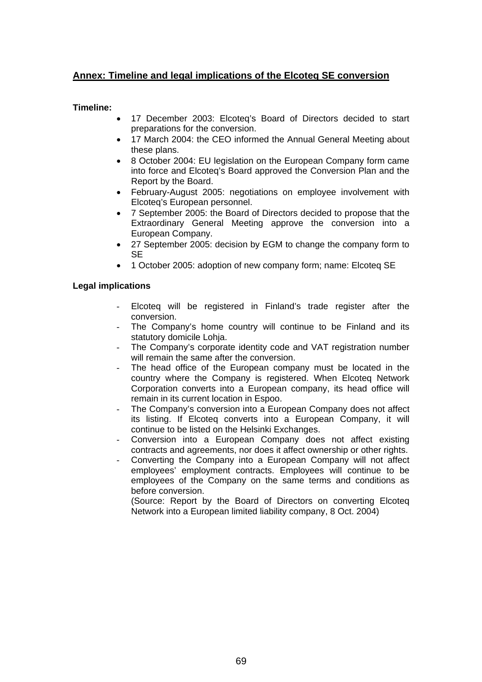# **Annex: Timeline and legal implications of the Elcoteq SE conversion**

## **Timeline:**

- 17 December 2003: Elcoteq's Board of Directors decided to start preparations for the conversion.
- 17 March 2004: the CEO informed the Annual General Meeting about these plans.
- 8 October 2004: EU legislation on the European Company form came into force and Elcoteq's Board approved the Conversion Plan and the Report by the Board.
- February-August 2005: negotiations on employee involvement with Elcoteq's European personnel.
- 7 September 2005: the Board of Directors decided to propose that the Extraordinary General Meeting approve the conversion into a European Company.
- 27 September 2005: decision by EGM to change the company form to SE
- 1 October 2005: adoption of new company form; name: Elcoteq SE

## **Legal implications**

- Elcoteq will be registered in Finland's trade register after the conversion.
- The Company's home country will continue to be Finland and its statutory domicile Lohja.
- The Company's corporate identity code and VAT registration number will remain the same after the conversion.
- The head office of the European company must be located in the country where the Company is registered. When Elcoteq Network Corporation converts into a European company, its head office will remain in its current location in Espoo.
- The Company's conversion into a European Company does not affect its listing. If Elcoteq converts into a European Company, it will continue to be listed on the Helsinki Exchanges.
- Conversion into a European Company does not affect existing contracts and agreements, nor does it affect ownership or other rights.
- Converting the Company into a European Company will not affect employees' employment contracts. Employees will continue to be employees of the Company on the same terms and conditions as before conversion.

(Source: Report by the Board of Directors on converting Elcoteq Network into a European limited liability company, 8 Oct. 2004)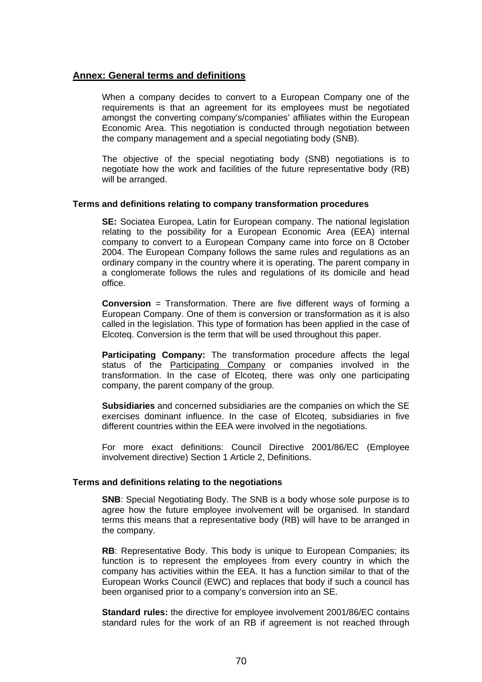# **Annex: General terms and definitions**

When a company decides to convert to a European Company one of the requirements is that an agreement for its employees must be negotiated amongst the converting company's/companies' affiliates within the European Economic Area. This negotiation is conducted through negotiation between the company management and a special negotiating body (SNB).

The objective of the special negotiating body (SNB) negotiations is to negotiate how the work and facilities of the future representative body (RB) will be arranged.

## **Terms and definitions relating to company transformation procedures**

**SE:** Sociatea Europea, Latin for European company. The national legislation relating to the possibility for a European Economic Area (EEA) internal company to convert to a European Company came into force on 8 October 2004. The European Company follows the same rules and regulations as an ordinary company in the country where it is operating. The parent company in a conglomerate follows the rules and regulations of its domicile and head office.

**Conversion** = Transformation. There are five different ways of forming a European Company. One of them is conversion or transformation as it is also called in the legislation. This type of formation has been applied in the case of Elcoteq. Conversion is the term that will be used throughout this paper.

**Participating Company:** The transformation procedure affects the legal status of the Participating Company or companies involved in the transformation. In the case of Elcoteq, there was only one participating company, the parent company of the group.

**Subsidiaries** and concerned subsidiaries are the companies on which the SE exercises dominant influence. In the case of Elcoteq, subsidiaries in five different countries within the EEA were involved in the negotiations.

For more exact definitions: Council Directive 2001/86/EC (Employee involvement directive) Section 1 Article 2, Definitions.

# **Terms and definitions relating to the negotiations**

**SNB**: Special Negotiating Body. The SNB is a body whose sole purpose is to agree how the future employee involvement will be organised. In standard terms this means that a representative body (RB) will have to be arranged in the company.

**RB**: Representative Body. This body is unique to European Companies; its function is to represent the employees from every country in which the company has activities within the EEA. It has a function similar to that of the European Works Council (EWC) and replaces that body if such a council has been organised prior to a company's conversion into an SE.

**Standard rules:** the directive for employee involvement 2001/86/EC contains standard rules for the work of an RB if agreement is not reached through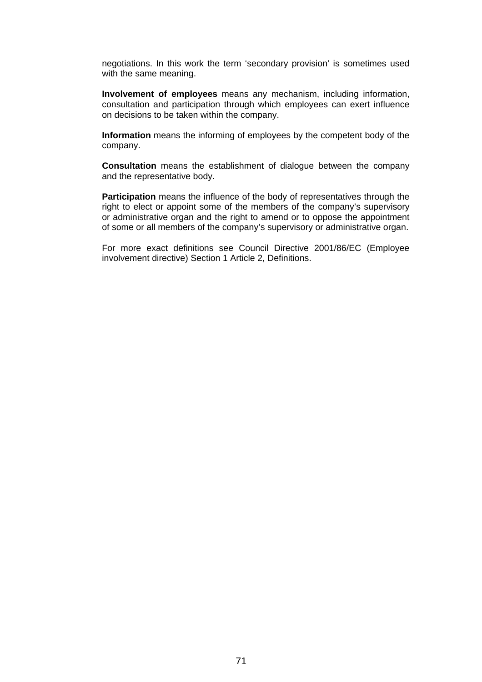negotiations. In this work the term 'secondary provision' is sometimes used with the same meaning.

**Involvement of employees** means any mechanism, including information, consultation and participation through which employees can exert influence on decisions to be taken within the company.

**Information** means the informing of employees by the competent body of the company.

**Consultation** means the establishment of dialogue between the company and the representative body.

**Participation** means the influence of the body of representatives through the right to elect or appoint some of the members of the company's supervisory or administrative organ and the right to amend or to oppose the appointment of some or all members of the company's supervisory or administrative organ.

For more exact definitions see Council Directive 2001/86/EC (Employee involvement directive) Section 1 Article 2, Definitions.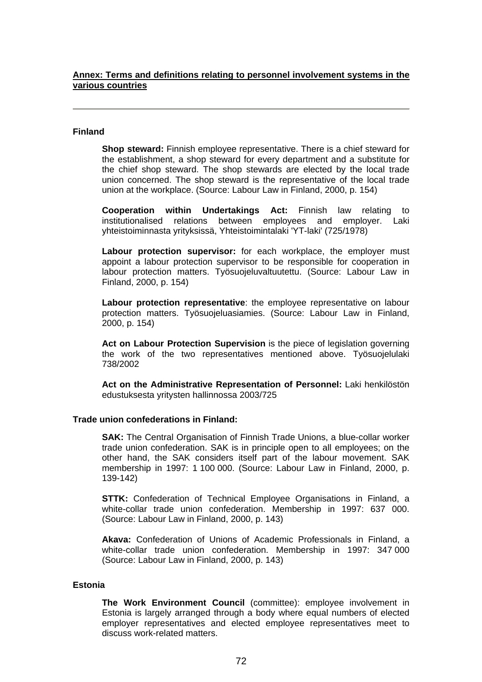# **Annex: Terms and definitions relating to personnel involvement systems in the various countries**

## **Finland**

**Shop steward:** Finnish employee representative. There is a chief steward for the establishment, a shop steward for every department and a substitute for the chief shop steward. The shop stewards are elected by the local trade union concerned. The shop steward is the representative of the local trade union at the workplace. (Source: Labour Law in Finland, 2000, p. 154)

**Cooperation within Undertakings Act:** Finnish law relating to institutionalised relations between employees and employer. Laki yhteistoiminnasta yrityksissä, Yhteistoimintalaki 'YT-laki' (725/1978)

**Labour protection supervisor:** for each workplace, the employer must appoint a labour protection supervisor to be responsible for cooperation in labour protection matters. Työsuojeluvaltuutettu. (Source: Labour Law in Finland, 2000, p. 154)

**Labour protection representative**: the employee representative on labour protection matters. Työsuojeluasiamies. (Source: Labour Law in Finland, 2000, p. 154)

**Act on Labour Protection Supervision** is the piece of legislation governing the work of the two representatives mentioned above. Työsuojelulaki 738/2002

**Act on the Administrative Representation of Personnel:** Laki henkilöstön edustuksesta yritysten hallinnossa 2003/725

# **Trade union confederations in Finland:**

**SAK:** The Central Organisation of Finnish Trade Unions, a blue-collar worker trade union confederation. SAK is in principle open to all employees; on the other hand, the SAK considers itself part of the labour movement. SAK membership in 1997: 1 100 000. (Source: Labour Law in Finland, 2000, p. 139-142)

**STTK:** Confederation of Technical Employee Organisations in Finland, a white-collar trade union confederation. Membership in 1997: 637 000. (Source: Labour Law in Finland, 2000, p. 143)

**Akava:** Confederation of Unions of Academic Professionals in Finland, a white-collar trade union confederation. Membership in 1997: 347 000 (Source: Labour Law in Finland, 2000, p. 143)

## **Estonia**

**The Work Environment Council** (committee): employee involvement in Estonia is largely arranged through a body where equal numbers of elected employer representatives and elected employee representatives meet to discuss work-related matters.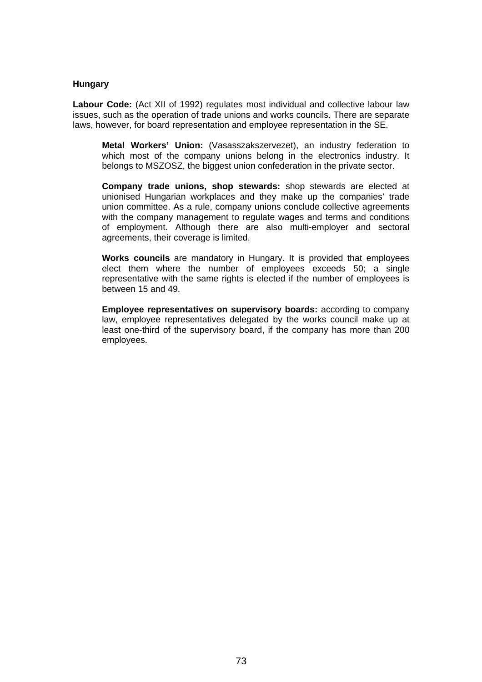# **Hungary**

**Labour Code:** (Act XII of 1992) regulates most individual and collective labour law issues, such as the operation of trade unions and works councils. There are separate laws, however, for board representation and employee representation in the SE.

**Metal Workers' Union:** (Vasasszakszervezet), an industry federation to which most of the company unions belong in the electronics industry. It belongs to MSZOSZ, the biggest union confederation in the private sector.

**Company trade unions, shop stewards:** shop stewards are elected at unionised Hungarian workplaces and they make up the companies' trade union committee. As a rule, company unions conclude collective agreements with the company management to regulate wages and terms and conditions of employment. Although there are also multi-employer and sectoral agreements, their coverage is limited.

**Works councils** are mandatory in Hungary. It is provided that employees elect them where the number of employees exceeds 50; a single representative with the same rights is elected if the number of employees is between 15 and 49.

**Employee representatives on supervisory boards:** according to company law, employee representatives delegated by the works council make up at least one-third of the supervisory board, if the company has more than 200 employees.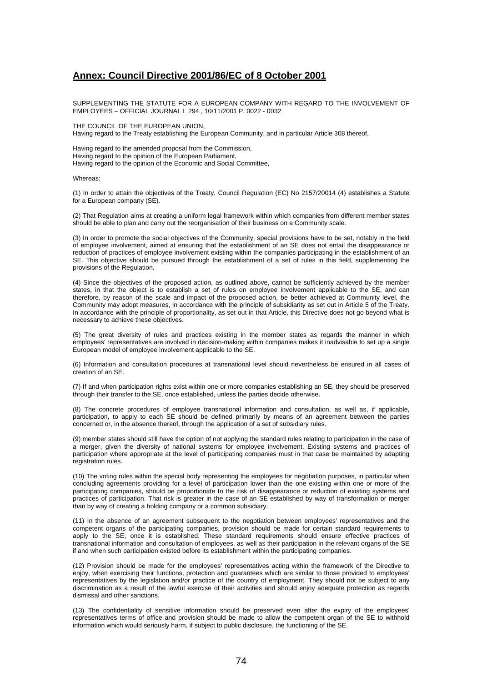# **Annex: Council Directive 2001/86/EC of 8 October 2001**

SUPPLEMENTING THE STATUTE FOR A EUROPEAN COMPANY WITH REGARD TO THE INVOLVEMENT OF EMPLOYEES − OFFICIAL JOURNAL L 294 , 10/11/2001 P. 0022 - 0032

THE COUNCIL OF THE EUROPEAN UNION, Having regard to the Treaty establishing the European Community, and in particular Article 308 thereof,

Having regard to the amended proposal from the Commission, Having regard to the opinion of the European Parliament, Having regard to the opinion of the Economic and Social Committee,

#### Whereas:

(1) In order to attain the objectives of the Treaty, Council Regulation (EC) No 2157/20014 (4) establishes a Statute for a European company (SE).

(2) That Regulation aims at creating a uniform legal framework within which companies from different member states should be able to plan and carry out the reorganisation of their business on a Community scale.

(3) In order to promote the social objectives of the Community, special provisions have to be set, notably in the field of employee involvement, aimed at ensuring that the establishment of an SE does not entail the disappearance or reduction of practices of employee involvement existing within the companies participating in the establishment of an SE. This objective should be pursued through the establishment of a set of rules in this field, supplementing the provisions of the Regulation.

(4) Since the objectives of the proposed action, as outlined above, cannot be sufficiently achieved by the member states, in that the object is to establish a set of rules on employee involvement applicable to the SE, and can therefore, by reason of the scale and impact of the proposed action, be better achieved at Community level, the Community may adopt measures, in accordance with the principle of subsidiarity as set out in Article 5 of the Treaty. In accordance with the principle of proportionality, as set out in that Article, this Directive does not go beyond what is necessary to achieve these objectives.

(5) The great diversity of rules and practices existing in the member states as regards the manner in which employees' representatives are involved in decision-making within companies makes it inadvisable to set up a single European model of employee involvement applicable to the SE.

(6) Information and consultation procedures at transnational level should nevertheless be ensured in all cases of creation of an SE.

(7) If and when participation rights exist within one or more companies establishing an SE, they should be preserved through their transfer to the SE, once established, unless the parties decide otherwise.

(8) The concrete procedures of employee transnational information and consultation, as well as, if applicable, participation, to apply to each SE should be defined primarily by means of an agreement between the parties concerned or, in the absence thereof, through the application of a set of subsidiary rules.

(9) member states should still have the option of not applying the standard rules relating to participation in the case of a merger, given the diversity of national systems for employee involvement. Existing systems and practices of participation where appropriate at the level of participating companies must in that case be maintained by adapting registration rules.

(10) The voting rules within the special body representing the employees for negotiation purposes, in particular when concluding agreements providing for a level of participation lower than the one existing within one or more of the participating companies, should be proportionate to the risk of disappearance or reduction of existing systems and practices of participation. That risk is greater in the case of an SE established by way of transformation or merger than by way of creating a holding company or a common subsidiary.

(11) In the absence of an agreement subsequent to the negotiation between employees' representatives and the competent organs of the participating companies, provision should be made for certain standard requirements to apply to the SE, once it is established. These standard requirements should ensure effective practices of transnational information and consultation of employees, as well as their participation in the relevant organs of the SE if and when such participation existed before its establishment within the participating companies.

(12) Provision should be made for the employees' representatives acting within the framework of the Directive to enjoy, when exercising their functions, protection and guarantees which are similar to those provided to employees' representatives by the legislation and/or practice of the country of employment. They should not be subject to any discrimination as a result of the lawful exercise of their activities and should enjoy adequate protection as regards dismissal and other sanctions.

(13) The confidentiality of sensitive information should be preserved even after the expiry of the employees' representatives terms of office and provision should be made to allow the competent organ of the SE to withhold information which would seriously harm, if subject to public disclosure, the functioning of the SE.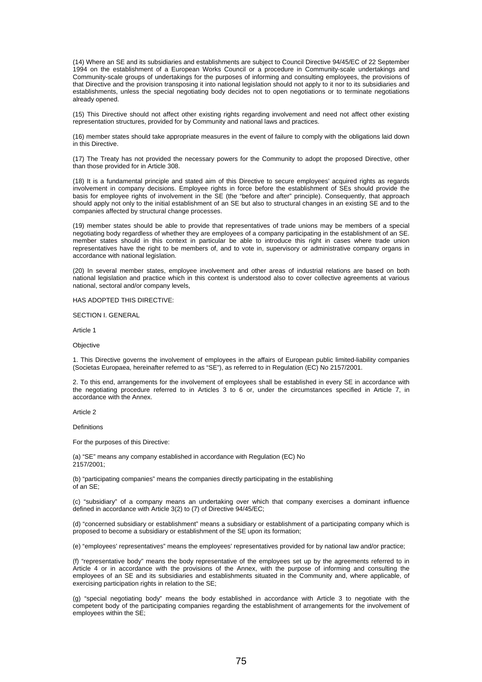(14) Where an SE and its subsidiaries and establishments are subject to Council Directive 94/45/EC of 22 September 1994 on the establishment of a European Works Council or a procedure in Community-scale undertakings and Community-scale groups of undertakings for the purposes of informing and consulting employees, the provisions of that Directive and the provision transposing it into national legislation should not apply to it nor to its subsidiaries and establishments, unless the special negotiating body decides not to open negotiations or to terminate negotiations already opened.

(15) This Directive should not affect other existing rights regarding involvement and need not affect other existing representation structures, provided for by Community and national laws and practices.

(16) member states should take appropriate measures in the event of failure to comply with the obligations laid down in this Directive.

(17) The Treaty has not provided the necessary powers for the Community to adopt the proposed Directive, other than those provided for in Article 308.

(18) It is a fundamental principle and stated aim of this Directive to secure employees' acquired rights as regards involvement in company decisions. Employee rights in force before the establishment of SEs should provide the basis for employee rights of involvement in the SE (the "before and after" principle). Consequently, that approach should apply not only to the initial establishment of an SE but also to structural changes in an existing SE and to the companies affected by structural change processes.

(19) member states should be able to provide that representatives of trade unions may be members of a special negotiating body regardless of whether they are employees of a company participating in the establishment of an SE. member states should in this context in particular be able to introduce this right in cases where trade union representatives have the right to be members of, and to vote in, supervisory or administrative company organs in accordance with national legislation.

(20) In several member states, employee involvement and other areas of industrial relations are based on both national legislation and practice which in this context is understood also to cover collective agreements at various national, sectoral and/or company levels,

HAS ADOPTED THIS DIRECTIVE:

SECTION I. GENERAL

Article 1

**Objective** 

1. This Directive governs the involvement of employees in the affairs of European public limited-liability companies (Societas Europaea, hereinafter referred to as "SE"), as referred to in Regulation (EC) No 2157/2001.

2. To this end, arrangements for the involvement of employees shall be established in every SE in accordance with the negotiating procedure referred to in Articles 3 to 6 or, under the circumstances specified in Article 7, in accordance with the Annex.

Article 2

**Definitions** 

For the purposes of this Directive:

(a) "SE" means any company established in accordance with Regulation (EC) No 2157/2001;

(b) "participating companies" means the companies directly participating in the establishing of an SE;

(c) "subsidiary" of a company means an undertaking over which that company exercises a dominant influence defined in accordance with Article 3(2) to (7) of Directive 94/45/EC;

(d) "concerned subsidiary or establishment" means a subsidiary or establishment of a participating company which is proposed to become a subsidiary or establishment of the SE upon its formation;

(e) "employees' representatives" means the employees' representatives provided for by national law and/or practice;

(f) "representative body" means the body representative of the employees set up by the agreements referred to in Article 4 or in accordance with the provisions of the Annex, with the purpose of informing and consulting the employees of an SE and its subsidiaries and establishments situated in the Community and, where applicable, of exercising participation rights in relation to the SE;

(g) "special negotiating body" means the body established in accordance with Article 3 to negotiate with the competent body of the participating companies regarding the establishment of arrangements for the involvement of employees within the SE;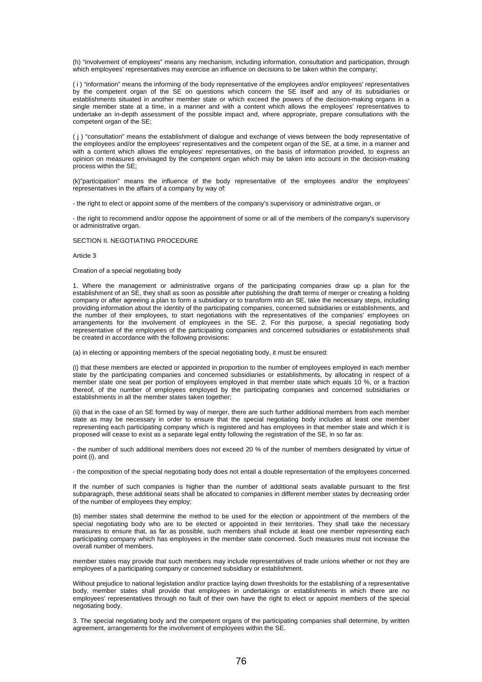(h) "involvement of employees" means any mechanism, including information, consultation and participation, through which employees' representatives may exercise an influence on decisions to be taken within the company;

( i ) "information" means the informing of the body representative of the employees and/or employees' representatives by the competent organ of the SE on questions which concern the SE itself and any of its subsidiaries or establishments situated in another member state or which exceed the powers of the decision-making organs in a single member state at a time, in a manner and with a content which allows the employees' representatives to undertake an in-depth assessment of the possible impact and, where appropriate, prepare consultations with the competent organ of the SE;

( j ) "consultation" means the establishment of dialogue and exchange of views between the body representative of the employees and/or the employees' representatives and the competent organ of the SE, at a time, in a manner and with a content which allows the employees' representatives, on the basis of information provided, to express an opinion on measures envisaged by the competent organ which may be taken into account in the decision-making process within the SE;

(k)"participation" means the influence of the body representative of the employees and/or the employees' representatives in the affairs of a company by way of:

- the right to elect or appoint some of the members of the company's supervisory or administrative organ, or

- the right to recommend and/or oppose the appointment of some or all of the members of the company's supervisory or administrative organ.

### SECTION II. NEGOTIATING PROCEDURE

Article 3

Creation of a special negotiating body

1. Where the management or administrative organs of the participating companies draw up a plan for the establishment of an SE, they shall as soon as possible after publishing the draft terms of merger or creating a holding company or after agreeing a plan to form a subsidiary or to transform into an SE, take the necessary steps, including providing information about the identity of the participating companies, concerned subsidiaries or establishments, and the number of their employees, to start negotiations with the representatives of the companies' employees on arrangements for the involvement of employees in the SE. 2. For this purpose, a special negotiating body representative of the employees of the participating companies and concerned subsidiaries or establishments shall be created in accordance with the following provisions:

(a) in electing or appointing members of the special negotiating body, it must be ensured:

(i) that these members are elected or appointed in proportion to the number of employees employed in each member state by the participating companies and concerned subsidiaries or establishments, by allocating in respect of a member state one seat per portion of employees employed in that member state which equals 10 %, or a fraction thereof, of the number of employees employed by the participating companies and concerned subsidiaries or establishments in all the member states taken together;

(ii) that in the case of an SE formed by way of merger, there are such further additional members from each member state as may be necessary in order to ensure that the special negotiating body includes at least one member representing each participating company which is registered and has employees in that member state and which it is proposed will cease to exist as a separate legal entity following the registration of the SE, in so far as:

- the number of such additional members does not exceed 20 % of the number of members designated by virtue of point (i), and

- the composition of the special negotiating body does not entail a double representation of the employees concerned.

If the number of such companies is higher than the number of additional seats available pursuant to the first subparagraph, these additional seats shall be allocated to companies in different member states by decreasing order of the number of employees they employ;

(b) member states shall determine the method to be used for the election or appointment of the members of the special negotiating body who are to be elected or appointed in their territories. They shall take the necessary measures to ensure that, as far as possible, such members shall include at least one member representing each participating company which has employees in the member state concerned. Such measures must not increase the overall number of members.

member states may provide that such members may include representatives of trade unions whether or not they are employees of a participating company or concerned subsidiary or establishment.

Without prejudice to national legislation and/or practice laying down thresholds for the establishing of a representative body, member states shall provide that employees in undertakings or establishments in which there are no employees' representatives through no fault of their own have the right to elect or appoint members of the special negotiating body.

3. The special negotiating body and the competent organs of the participating companies shall determine, by written agreement, arrangements for the involvement of employees within the SE.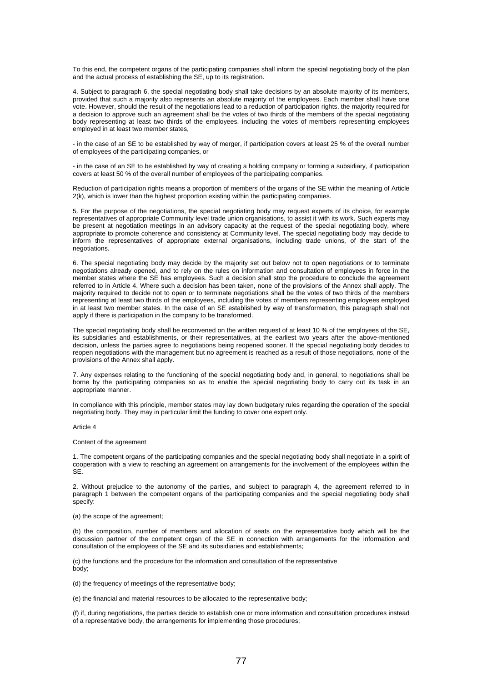To this end, the competent organs of the participating companies shall inform the special negotiating body of the plan and the actual process of establishing the SE, up to its registration.

4. Subject to paragraph 6, the special negotiating body shall take decisions by an absolute majority of its members, provided that such a majority also represents an absolute majority of the employees. Each member shall have one vote. However, should the result of the negotiations lead to a reduction of participation rights, the majority required for a decision to approve such an agreement shall be the votes of two thirds of the members of the special negotiating body representing at least two thirds of the employees, including the votes of members representing employees employed in at least two member states,

- in the case of an SE to be established by way of merger, if participation covers at least 25 % of the overall number of employees of the participating companies, or

- in the case of an SE to be established by way of creating a holding company or forming a subsidiary, if participation covers at least 50 % of the overall number of employees of the participating companies.

Reduction of participation rights means a proportion of members of the organs of the SE within the meaning of Article 2(k), which is lower than the highest proportion existing within the participating companies.

5. For the purpose of the negotiations, the special negotiating body may request experts of its choice, for example representatives of appropriate Community level trade union organisations, to assist it with its work. Such experts may be present at negotiation meetings in an advisory capacity at the request of the special negotiating body, where appropriate to promote coherence and consistency at Community level. The special negotiating body may decide to inform the representatives of appropriate external organisations, including trade unions, of the start of the negotiations.

6. The special negotiating body may decide by the majority set out below not to open negotiations or to terminate negotiations already opened, and to rely on the rules on information and consultation of employees in force in the member states where the SE has employees. Such a decision shall stop the procedure to conclude the agreement referred to in Article 4. Where such a decision has been taken, none of the provisions of the Annex shall apply. The majority required to decide not to open or to terminate negotiations shall be the votes of two thirds of the members representing at least two thirds of the employees, including the votes of members representing employees employed in at least two member states. In the case of an SE established by way of transformation, this paragraph shall not apply if there is participation in the company to be transformed.

The special negotiating body shall be reconvened on the written request of at least 10 % of the employees of the SE, its subsidiaries and establishments, or their representatives, at the earliest two years after the above-mentioned decision, unless the parties agree to negotiations being reopened sooner. If the special negotiating body decides to reopen negotiations with the management but no agreement is reached as a result of those negotiations, none of the provisions of the Annex shall apply.

7. Any expenses relating to the functioning of the special negotiating body and, in general, to negotiations shall be borne by the participating companies so as to enable the special negotiating body to carry out its task in an appropriate manner.

In compliance with this principle, member states may lay down budgetary rules regarding the operation of the special negotiating body. They may in particular limit the funding to cover one expert only.

Article 4

### Content of the agreement

1. The competent organs of the participating companies and the special negotiating body shall negotiate in a spirit of cooperation with a view to reaching an agreement on arrangements for the involvement of the employees within the SE.

2. Without prejudice to the autonomy of the parties, and subject to paragraph 4, the agreement referred to in paragraph 1 between the competent organs of the participating companies and the special negotiating body shall specify:

#### (a) the scope of the agreement;

(b) the composition, number of members and allocation of seats on the representative body which will be the discussion partner of the competent organ of the SE in connection with arrangements for the information and consultation of the employees of the SE and its subsidiaries and establishments;

(c) the functions and the procedure for the information and consultation of the representative body;

(d) the frequency of meetings of the representative body;

(e) the financial and material resources to be allocated to the representative body;

(f) if, during negotiations, the parties decide to establish one or more information and consultation procedures instead of a representative body, the arrangements for implementing those procedures;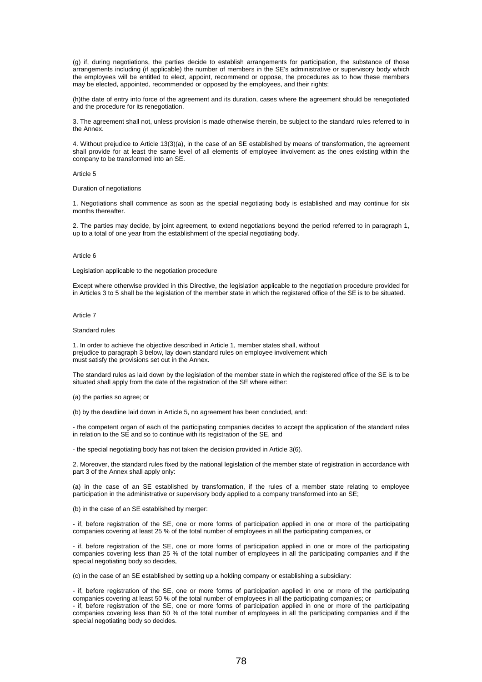(g) if, during negotiations, the parties decide to establish arrangements for participation, the substance of those arrangements including (if applicable) the number of members in the SE's administrative or supervisory body which the employees will be entitled to elect, appoint, recommend or oppose, the procedures as to how these members may be elected, appointed, recommended or opposed by the employees, and their rights;

(h)the date of entry into force of the agreement and its duration, cases where the agreement should be renegotiated and the procedure for its renegotiation.

3. The agreement shall not, unless provision is made otherwise therein, be subject to the standard rules referred to in the Annex.

4. Without prejudice to Article 13(3)(a), in the case of an SE established by means of transformation, the agreement shall provide for at least the same level of all elements of employee involvement as the ones existing within the company to be transformed into an SE.

#### Article 5

### Duration of negotiations

1. Negotiations shall commence as soon as the special negotiating body is established and may continue for six months thereafter.

2. The parties may decide, by joint agreement, to extend negotiations beyond the period referred to in paragraph 1, up to a total of one year from the establishment of the special negotiating body.

#### Article 6

Legislation applicable to the negotiation procedure

Except where otherwise provided in this Directive, the legislation applicable to the negotiation procedure provided for in Articles 3 to 5 shall be the legislation of the member state in which the registered office of the SE is to be situated.

#### Article 7

#### Standard rules

1. In order to achieve the objective described in Article 1, member states shall, without prejudice to paragraph 3 below, lay down standard rules on employee involvement which must satisfy the provisions set out in the Annex.

The standard rules as laid down by the legislation of the member state in which the registered office of the SE is to be situated shall apply from the date of the registration of the SE where either:

(a) the parties so agree; or

(b) by the deadline laid down in Article 5, no agreement has been concluded, and:

- the competent organ of each of the participating companies decides to accept the application of the standard rules in relation to the SE and so to continue with its registration of the SE, and

- the special negotiating body has not taken the decision provided in Article 3(6).

2. Moreover, the standard rules fixed by the national legislation of the member state of registration in accordance with part 3 of the Annex shall apply only:

(a) in the case of an SE established by transformation, if the rules of a member state relating to employee participation in the administrative or supervisory body applied to a company transformed into an SE;

(b) in the case of an SE established by merger:

- if, before registration of the SE, one or more forms of participation applied in one or more of the participating companies covering at least 25 % of the total number of employees in all the participating companies, or

- if, before registration of the SE, one or more forms of participation applied in one or more of the participating companies covering less than 25 % of the total number of employees in all the participating companies and if the special negotiating body so decides,

(c) in the case of an SE established by setting up a holding company or establishing a subsidiary:

- if, before registration of the SE, one or more forms of participation applied in one or more of the participating companies covering at least 50 % of the total number of employees in all the participating companies; or

- if, before registration of the SE, one or more forms of participation applied in one or more of the participating companies covering less than 50 % of the total number of employees in all the participating companies and if the special negotiating body so decides.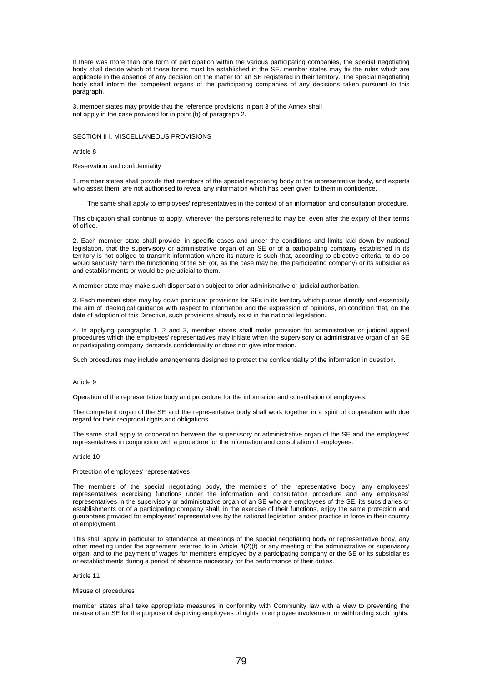If there was more than one form of participation within the various participating companies, the special negotiating body shall decide which of those forms must be established in the SE. member states may fix the rules which are applicable in the absence of any decision on the matter for an SE registered in their territory. The special negotiating body shall inform the competent organs of the participating companies of any decisions taken pursuant to this paragraph.

3. member states may provide that the reference provisions in part 3 of the Annex shall not apply in the case provided for in point (b) of paragraph 2.

## SECTION II I. MISCELLANEOUS PROVISIONS

Article 8

Reservation and confidentiality

1. member states shall provide that members of the special negotiating body or the representative body, and experts who assist them, are not authorised to reveal any information which has been given to them in confidence.

The same shall apply to employees' representatives in the context of an information and consultation procedure.

This obligation shall continue to apply, wherever the persons referred to may be, even after the expiry of their terms of office.

2. Each member state shall provide, in specific cases and under the conditions and limits laid down by national legislation, that the supervisory or administrative organ of an SE or of a participating company established in its territory is not obliged to transmit information where its nature is such that, according to objective criteria, to do so would seriously harm the functioning of the SE (or, as the case may be, the participating company) or its subsidiaries and establishments or would be prejudicial to them.

A member state may make such dispensation subject to prior administrative or judicial authorisation.

3. Each member state may lay down particular provisions for SEs in its territory which pursue directly and essentially the aim of ideological guidance with respect to information and the expression of opinions, on condition that, on the date of adoption of this Directive, such provisions already exist in the national legislation.

4. In applying paragraphs 1, 2 and 3, member states shall make provision for administrative or judicial appeal procedures which the employees' representatives may initiate when the supervisory or administrative organ of an SE or participating company demands confidentiality or does not give information.

Such procedures may include arrangements designed to protect the confidentiality of the information in question.

#### Article 9

Operation of the representative body and procedure for the information and consultation of employees.

The competent organ of the SE and the representative body shall work together in a spirit of cooperation with due regard for their reciprocal rights and obligations.

The same shall apply to cooperation between the supervisory or administrative organ of the SE and the employees' representatives in conjunction with a procedure for the information and consultation of employees.

### Article 10

### Protection of employees' representatives

The members of the special negotiating body, the members of the representative body, any employees' representatives exercising functions under the information and consultation procedure and any employees' representatives in the supervisory or administrative organ of an SE who are employees of the SE, its subsidiaries or establishments or of a participating company shall, in the exercise of their functions, enjoy the same protection and guarantees provided for employees' representatives by the national legislation and/or practice in force in their country of employment.

This shall apply in particular to attendance at meetings of the special negotiating body or representative body, any other meeting under the agreement referred to in Article 4(2)(f) or any meeting of the administrative or supervisory organ, and to the payment of wages for members employed by a participating company or the SE or its subsidiaries or establishments during a period of absence necessary for the performance of their duties.

#### Article 11

#### Misuse of procedures

member states shall take appropriate measures in conformity with Community law with a view to preventing the misuse of an SE for the purpose of depriving employees of rights to employee involvement or withholding such rights.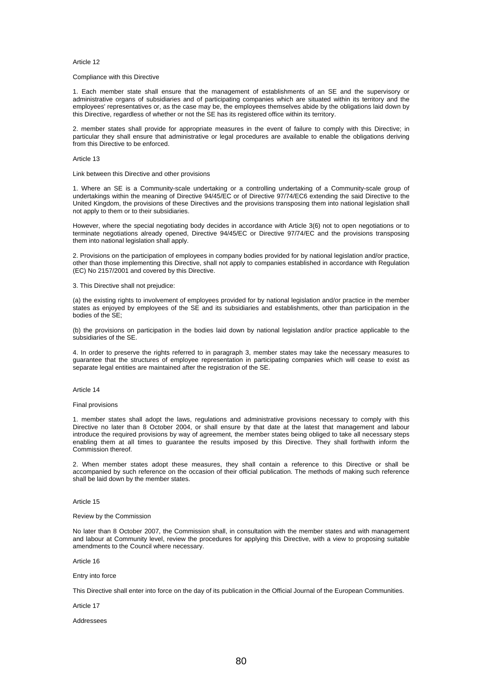### Article 12

#### Compliance with this Directive

1. Each member state shall ensure that the management of establishments of an SE and the supervisory or administrative organs of subsidiaries and of participating companies which are situated within its territory and the employees' representatives or, as the case may be, the employees themselves abide by the obligations laid down by this Directive, regardless of whether or not the SE has its registered office within its territory.

2. member states shall provide for appropriate measures in the event of failure to comply with this Directive; in particular they shall ensure that administrative or legal procedures are available to enable the obligations deriving from this Directive to be enforced.

#### Article 13

Link between this Directive and other provisions

1. Where an SE is a Community-scale undertaking or a controlling undertaking of a Community-scale group of undertakings within the meaning of Directive 94/45/EC or of Directive 97/74/EC6 extending the said Directive to the United Kingdom, the provisions of these Directives and the provisions transposing them into national legislation shall not apply to them or to their subsidiaries.

However, where the special negotiating body decides in accordance with Article 3(6) not to open negotiations or to terminate negotiations already opened, Directive 94/45/EC or Directive 97/74/EC and the provisions transposing them into national legislation shall apply.

2. Provisions on the participation of employees in company bodies provided for by national legislation and/or practice, other than those implementing this Directive, shall not apply to companies established in accordance with Regulation (EC) No 2157/2001 and covered by this Directive.

3. This Directive shall not prejudice:

(a) the existing rights to involvement of employees provided for by national legislation and/or practice in the member states as enjoyed by employees of the SE and its subsidiaries and establishments, other than participation in the bodies of the SE;

(b) the provisions on participation in the bodies laid down by national legislation and/or practice applicable to the subsidiaries of the SE.

4. In order to preserve the rights referred to in paragraph 3, member states may take the necessary measures to guarantee that the structures of employee representation in participating companies which will cease to exist as separate legal entities are maintained after the registration of the SE.

#### Article 14

### Final provisions

1. member states shall adopt the laws, regulations and administrative provisions necessary to comply with this Directive no later than 8 October 2004, or shall ensure by that date at the latest that management and labour introduce the required provisions by way of agreement, the member states being obliged to take all necessary steps enabling them at all times to guarantee the results imposed by this Directive. They shall forthwith inform the Commission thereof.

2. When member states adopt these measures, they shall contain a reference to this Directive or shall be accompanied by such reference on the occasion of their official publication. The methods of making such reference shall be laid down by the member states.

#### Article 15

#### Review by the Commission

No later than 8 October 2007, the Commission shall, in consultation with the member states and with management and labour at Community level, review the procedures for applying this Directive, with a view to proposing suitable amendments to the Council where necessary.

Article 16

### Entry into force

This Directive shall enter into force on the day of its publication in the Official Journal of the European Communities.

Article 17

Addressees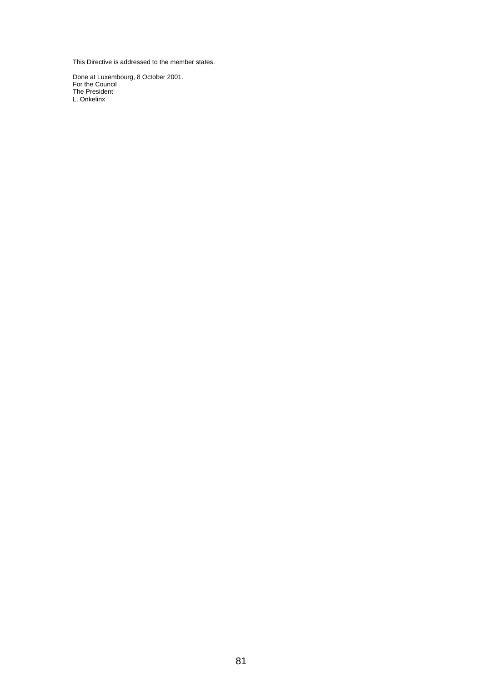This Directive is addressed to the member states.

Done at Luxembourg, 8 October 2001. For the Council The President L. Onkelinx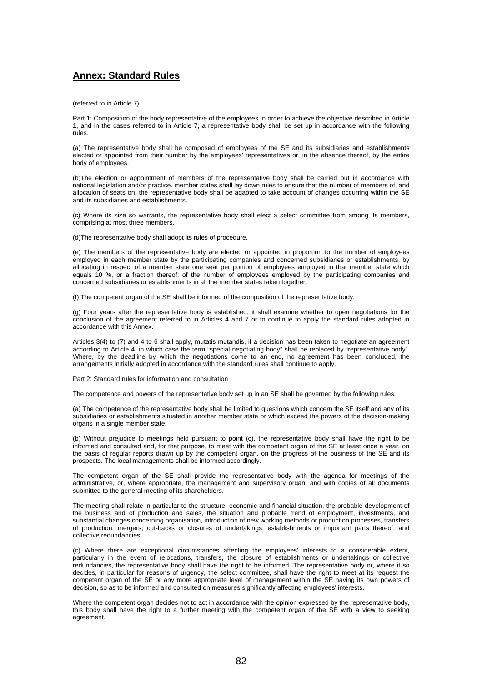# **Annex: Standard Rules**

### (referred to in Article 7)

Part 1: Composition of the body representative of the employees In order to achieve the objective described in Article 1, and in the cases referred to in Article 7, a representative body shall be set up in accordance with the following rules.

(a) The representative body shall be composed of employees of the SE and its subsidiaries and establishments elected or appointed from their number by the employees' representatives or, in the absence thereof, by the entire body of employees.

(b)The election or appointment of members of the representative body shall be carried out in accordance with national legislation and/or practice. member states shall lay down rules to ensure that the number of members of, and allocation of seats on, the representative body shall be adapted to take account of changes occurring within the SE and its subsidiaries and establishments.

(c) Where its size so warrants, the representative body shall elect a select committee from among its members, comprising at most three members.

(d)The representative body shall adopt its rules of procedure.

(e) The members of the representative body are elected or appointed in proportion to the number of employees employed in each member state by the participating companies and concerned subsidiaries or establishments, by allocating in respect of a member state one seat per portion of employees employed in that member state which equals 10 %, or a fraction thereof, of the number of employees employed by the participating companies and concerned subsidiaries or establishments in all the member states taken together.

(f) The competent organ of the SE shall be informed of the composition of the representative body.

(g) Four years after the representative body is established, it shall examine whether to open negotiations for the conclusion of the agreement referred to in Articles 4 and 7 or to continue to apply the standard rules adopted in accordance with this Annex.

Articles 3(4) to (7) and 4 to 6 shall apply, mutatis mutandis, if a decision has been taken to negotiate an agreement according to Article 4, in which case the term "special negotiating body" shall be replaced by "representative body". Where, by the deadline by which the negotiations come to an end, no agreement has been concluded, the arrangements initially adopted in accordance with the standard rules shall continue to apply.

Part 2: Standard rules for information and consultation

The competence and powers of the representative body set up in an SE shall be governed by the following rules.

(a) The competence of the representative body shall be limited to questions which concern the SE itself and any of its subsidiaries or establishments situated in another member state or which exceed the powers of the decision-making organs in a single member state.

(b) Without prejudice to meetings held pursuant to point (c), the representative body shall have the right to be informed and consulted and, for that purpose, to meet with the competent organ of the SE at least once a year, on the basis of regular reports drawn up by the competent organ, on the progress of the business of the SE and its prospects. The local managements shall be informed accordingly.

The competent organ of the SE shall provide the representative body with the agenda for meetings of the administrative, or, where appropriate, the management and supervisory organ, and with copies of all documents submitted to the general meeting of its shareholders.

The meeting shall relate in particular to the structure, economic and financial situation, the probable development of the business and of production and sales, the situation and probable trend of employment, investments, and substantial changes concerning organisation, introduction of new working methods or production processes, transfers of production, mergers, cut-backs or closures of undertakings, establishments or important parts thereof, and collective redundancies.

(c) Where there are exceptional circumstances affecting the employees' interests to a considerable extent, particularly in the event of relocations, transfers, the closure of establishments or undertakings or collective redundancies, the representative body shall have the right to be informed. The representative body or, where it so decides, in particular for reasons of urgency, the select committee, shall have the right to meet at its request the competent organ of the SE or any more appropriate level of management within the SE having its own powers of decision, so as to be informed and consulted on measures significantly affecting employees' interests.

Where the competent organ decides not to act in accordance with the opinion expressed by the representative body, this body shall have the right to a further meeting with the competent organ of the SE with a view to seeking agreement.